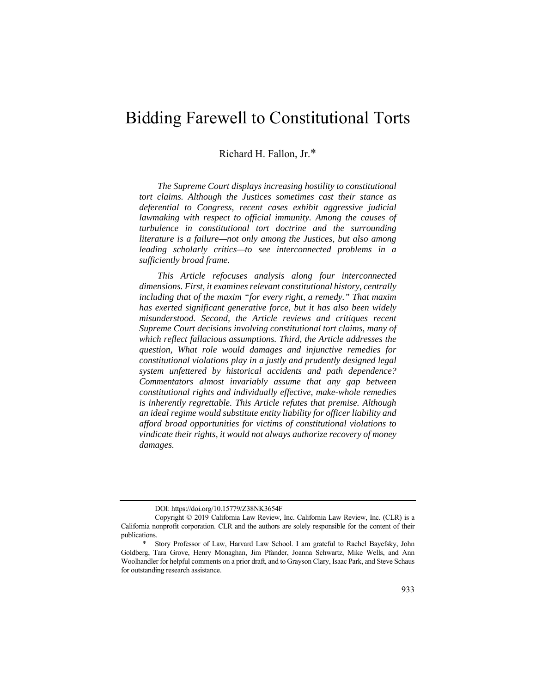# Bidding Farewell to Constitutional Torts

Richard H. Fallon, Jr.\*

*The Supreme Court displays increasing hostility to constitutional tort claims. Although the Justices sometimes cast their stance as deferential to Congress, recent cases exhibit aggressive judicial lawmaking with respect to official immunity. Among the causes of turbulence in constitutional tort doctrine and the surrounding literature is a failure—not only among the Justices, but also among leading scholarly critics—to see interconnected problems in a sufficiently broad frame.* 

*This Article refocuses analysis along four interconnected dimensions. First, it examines relevant constitutional history, centrally including that of the maxim "for every right, a remedy." That maxim has exerted significant generative force, but it has also been widely misunderstood. Second, the Article reviews and critiques recent Supreme Court decisions involving constitutional tort claims, many of which reflect fallacious assumptions. Third, the Article addresses the question, What role would damages and injunctive remedies for constitutional violations play in a justly and prudently designed legal system unfettered by historical accidents and path dependence? Commentators almost invariably assume that any gap between constitutional rights and individually effective, make-whole remedies is inherently regrettable. This Article refutes that premise. Although an ideal regime would substitute entity liability for officer liability and afford broad opportunities for victims of constitutional violations to vindicate their rights, it would not always authorize recovery of money damages.* 

DOI: https://doi.org/10.15779/Z38NK3654F

Copyright © 2019 California Law Review, Inc. California Law Review, Inc. (CLR) is a California nonprofit corporation. CLR and the authors are solely responsible for the content of their publications.

<sup>\*</sup> Story Professor of Law, Harvard Law School. I am grateful to Rachel Bayefsky, John Goldberg, Tara Grove, Henry Monaghan, Jim Pfander, Joanna Schwartz, Mike Wells, and Ann Woolhandler for helpful comments on a prior draft, and to Grayson Clary, Isaac Park, and Steve Schaus for outstanding research assistance.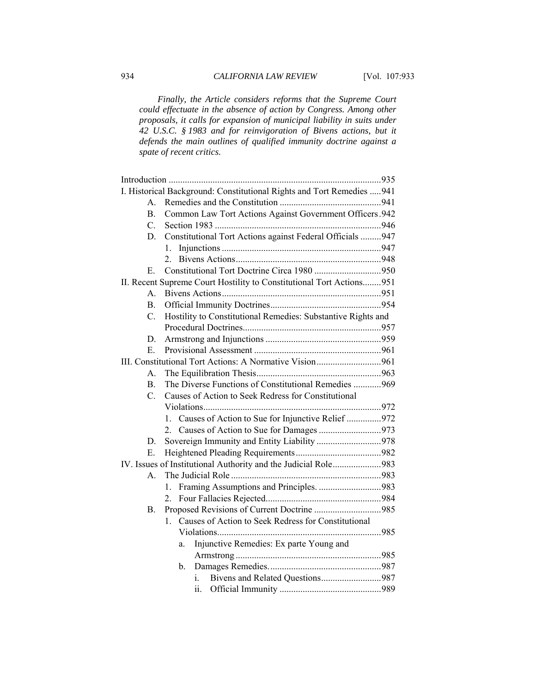*Finally, the Article considers reforms that the Supreme Court could effectuate in the absence of action by Congress. Among other proposals, it calls for expansion of municipal liability in suits under 42 U.S.C. § 1983 and for reinvigoration of Bivens actions, but it defends the main outlines of qualified immunity doctrine against a spate of recent critics.* 

|                                                         |                  | I. Historical Background: Constitutional Rights and Tort Remedies  941 |  |
|---------------------------------------------------------|------------------|------------------------------------------------------------------------|--|
|                                                         | A.               |                                                                        |  |
|                                                         | $\mathbf{B}$ .   | Common Law Tort Actions Against Government Officers.942                |  |
|                                                         | $\overline{C}$ . |                                                                        |  |
|                                                         | D.               | Constitutional Tort Actions against Federal Officials 947              |  |
|                                                         |                  | 1.                                                                     |  |
|                                                         |                  | 2.                                                                     |  |
|                                                         | Е.               |                                                                        |  |
|                                                         |                  | II. Recent Supreme Court Hostility to Constitutional Tort Actions951   |  |
|                                                         | $\mathsf{A}$ .   |                                                                        |  |
|                                                         | <b>B.</b>        |                                                                        |  |
|                                                         | C.               | Hostility to Constitutional Remedies: Substantive Rights and           |  |
|                                                         |                  |                                                                        |  |
|                                                         | D.               |                                                                        |  |
|                                                         | Е.               |                                                                        |  |
| III. Constitutional Tort Actions: A Normative Vision961 |                  |                                                                        |  |
|                                                         | А.               |                                                                        |  |
|                                                         | $\mathbf{B}$ .   | The Diverse Functions of Constitutional Remedies 969                   |  |
|                                                         | $C_{\cdot}$      | Causes of Action to Seek Redress for Constitutional                    |  |
|                                                         |                  |                                                                        |  |
|                                                         |                  | 1. Causes of Action to Sue for Injunctive Relief 972                   |  |
|                                                         |                  |                                                                        |  |
|                                                         | D.               | Sovereign Immunity and Entity Liability 978                            |  |
|                                                         | Е.               |                                                                        |  |
|                                                         |                  | IV. Issues of Institutional Authority and the Judicial Role983         |  |
|                                                         | $\mathbf{A}$     |                                                                        |  |
|                                                         |                  | Framing Assumptions and Principles. 983<br>1.                          |  |
|                                                         |                  | 2.                                                                     |  |
|                                                         | В.               | Proposed Revisions of Current Doctrine 985                             |  |
|                                                         |                  | 1. Causes of Action to Seek Redress for Constitutional                 |  |
|                                                         |                  |                                                                        |  |
|                                                         |                  | Injunctive Remedies: Ex parte Young and<br>a.                          |  |
|                                                         |                  |                                                                        |  |
|                                                         |                  | b.                                                                     |  |
|                                                         |                  | Bivens and Related Questions987<br>i.                                  |  |
|                                                         |                  | ii.                                                                    |  |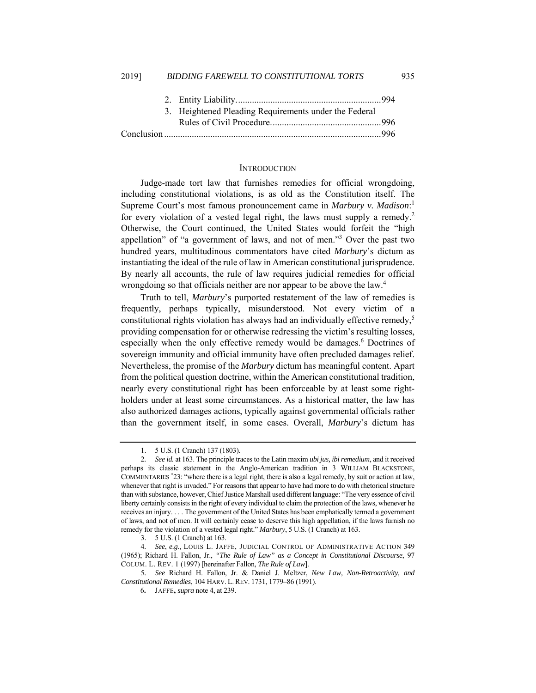| 3. Heightened Pleading Requirements under the Federal |  |
|-------------------------------------------------------|--|
|                                                       |  |
|                                                       |  |

## **INTRODUCTION**

Judge-made tort law that furnishes remedies for official wrongdoing, including constitutional violations, is as old as the Constitution itself. The Supreme Court's most famous pronouncement came in *Marbury v. Madison*: 1 for every violation of a vested legal right, the laws must supply a remedy.<sup>2</sup> Otherwise, the Court continued, the United States would forfeit the "high appellation" of "a government of laws, and not of men."<sup>3</sup> Over the past two hundred years, multitudinous commentators have cited *Marbury*'s dictum as instantiating the ideal of the rule of law in American constitutional jurisprudence. By nearly all accounts, the rule of law requires judicial remedies for official wrongdoing so that officials neither are nor appear to be above the law.<sup>4</sup>

Truth to tell, *Marbury*'s purported restatement of the law of remedies is frequently, perhaps typically, misunderstood. Not every victim of a constitutional rights violation has always had an individually effective remedy, $5$ providing compensation for or otherwise redressing the victim's resulting losses, especially when the only effective remedy would be damages.<sup>6</sup> Doctrines of sovereign immunity and official immunity have often precluded damages relief. Nevertheless, the promise of the *Marbury* dictum has meaningful content. Apart from the political question doctrine, within the American constitutional tradition, nearly every constitutional right has been enforceable by at least some rightholders under at least some circumstances. As a historical matter, the law has also authorized damages actions, typically against governmental officials rather than the government itself, in some cases. Overall, *Marbury*'s dictum has

 <sup>1. 5</sup> U.S. (1 Cranch) 137 (1803).

<sup>2</sup>*. See id.* at 163. The principle traces to the Latin maxim *ubi jus, ibi remedium*, and it received perhaps its classic statement in the Anglo-American tradition in 3 WILLIAM BLACKSTONE, COMMENTARIES \* 23: "where there is a legal right, there is also a legal remedy, by suit or action at law, whenever that right is invaded." For reasons that appear to have had more to do with rhetorical structure than with substance, however, Chief Justice Marshall used different language: "The very essence of civil liberty certainly consists in the right of every individual to claim the protection of the laws, whenever he receives an injury. . . . The government of the United States has been emphatically termed a government of laws, and not of men. It will certainly cease to deserve this high appellation, if the laws furnish no remedy for the violation of a vested legal right." *Marbury*, 5 U.S. (1 Cranch) at 163.

 <sup>3. 5</sup> U.S. (1 Cranch) at 163.

<sup>4</sup>*. See*, *e.g*., LOUIS L. JAFFE, JUDICIAL CONTROL OF ADMINISTRATIVE ACTION 349 (1965); Richard H. Fallon, Jr., *"The Rule of Law" as a Concept in Constitutional Discourse*, 97 COLUM. L. REV. 1 (1997) [hereinafter Fallon, *The Rule of Law*].

<sup>5</sup>*. See* Richard H. Fallon, Jr. & Daniel J. Meltzer, *New Law, Non-Retroactivity, and Constitutional Remedies*, 104 HARV. L.REV. 1731, 1779–86 (1991).

<sup>6</sup>**.** JAFFE**,** *supra* note 4, at 239.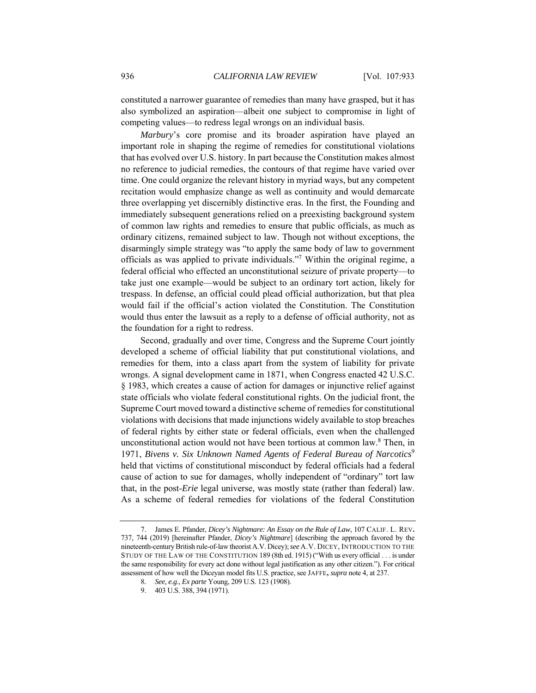constituted a narrower guarantee of remedies than many have grasped, but it has also symbolized an aspiration—albeit one subject to compromise in light of competing values—to redress legal wrongs on an individual basis.

*Marbury*'s core promise and its broader aspiration have played an important role in shaping the regime of remedies for constitutional violations that has evolved over U.S. history. In part because the Constitution makes almost no reference to judicial remedies, the contours of that regime have varied over time. One could organize the relevant history in myriad ways, but any competent recitation would emphasize change as well as continuity and would demarcate three overlapping yet discernibly distinctive eras. In the first, the Founding and immediately subsequent generations relied on a preexisting background system of common law rights and remedies to ensure that public officials, as much as ordinary citizens, remained subject to law. Though not without exceptions, the disarmingly simple strategy was "to apply the same body of law to government officials as was applied to private individuals."7 Within the original regime, a federal official who effected an unconstitutional seizure of private property—to take just one example—would be subject to an ordinary tort action, likely for trespass. In defense, an official could plead official authorization, but that plea would fail if the official's action violated the Constitution. The Constitution would thus enter the lawsuit as a reply to a defense of official authority, not as the foundation for a right to redress.

Second, gradually and over time, Congress and the Supreme Court jointly developed a scheme of official liability that put constitutional violations, and remedies for them, into a class apart from the system of liability for private wrongs. A signal development came in 1871, when Congress enacted 42 U.S.C. § 1983, which creates a cause of action for damages or injunctive relief against state officials who violate federal constitutional rights. On the judicial front, the Supreme Court moved toward a distinctive scheme of remedies for constitutional violations with decisions that made injunctions widely available to stop breaches of federal rights by either state or federal officials, even when the challenged unconstitutional action would not have been tortious at common law.<sup>8</sup> Then, in 1971, *Bivens v. Six Unknown Named Agents of Federal Bureau of Narcotics*<sup>9</sup> held that victims of constitutional misconduct by federal officials had a federal cause of action to sue for damages, wholly independent of "ordinary" tort law that, in the post-*Erie* legal universe, was mostly state (rather than federal) law. As a scheme of federal remedies for violations of the federal Constitution

 <sup>7.</sup> James E. Pfander, *Dicey's Nightmare: An Essay on the Rule of Law*, 107 CALIF. L. REV**.** 737, 744 (2019) [hereinafter Pfander, *Dicey's Nightmare*] (describing the approach favored by the nineteenth-century British rule-of-law theorist A.V. Dicey); *see* A.V. DICEY, INTRODUCTION TO THE STUDY OF THE LAW OF THE CONSTITUTION 189 (8th ed. 1915) ("With us every official . . . is under the same responsibility for every act done without legal justification as any other citizen."). For critical assessment of how well the Diceyan model fits U.S. practice, see JAFFE**,** *supra* note 4, at 237.

<sup>8</sup>*. See, e.g*., *Ex parte* Young, 209 U.S. 123 (1908).

 <sup>9. 403</sup> U.S. 388, 394 (1971).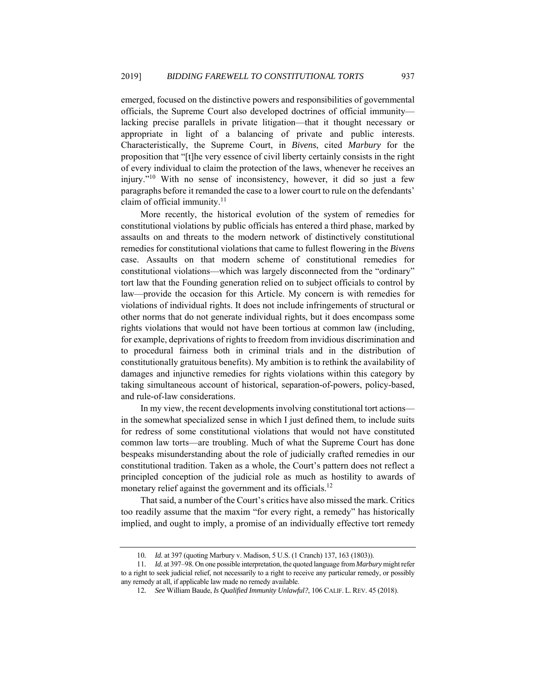emerged, focused on the distinctive powers and responsibilities of governmental officials, the Supreme Court also developed doctrines of official immunity lacking precise parallels in private litigation—that it thought necessary or appropriate in light of a balancing of private and public interests. Characteristically, the Supreme Court, in *Bivens*, cited *Marbury* for the proposition that "[t]he very essence of civil liberty certainly consists in the right of every individual to claim the protection of the laws, whenever he receives an injury."10 With no sense of inconsistency, however, it did so just a few paragraphs before it remanded the case to a lower court to rule on the defendants' claim of official immunity.<sup>11</sup>

More recently, the historical evolution of the system of remedies for constitutional violations by public officials has entered a third phase, marked by assaults on and threats to the modern network of distinctively constitutional remedies for constitutional violations that came to fullest flowering in the *Bivens* case. Assaults on that modern scheme of constitutional remedies for constitutional violations—which was largely disconnected from the "ordinary" tort law that the Founding generation relied on to subject officials to control by law—provide the occasion for this Article. My concern is with remedies for violations of individual rights. It does not include infringements of structural or other norms that do not generate individual rights, but it does encompass some rights violations that would not have been tortious at common law (including, for example, deprivations of rights to freedom from invidious discrimination and to procedural fairness both in criminal trials and in the distribution of constitutionally gratuitous benefits). My ambition is to rethink the availability of damages and injunctive remedies for rights violations within this category by taking simultaneous account of historical, separation-of-powers, policy-based, and rule-of-law considerations.

In my view, the recent developments involving constitutional tort actions in the somewhat specialized sense in which I just defined them, to include suits for redress of some constitutional violations that would not have constituted common law torts—are troubling. Much of what the Supreme Court has done bespeaks misunderstanding about the role of judicially crafted remedies in our constitutional tradition. Taken as a whole, the Court's pattern does not reflect a principled conception of the judicial role as much as hostility to awards of monetary relief against the government and its officials.<sup>12</sup>

That said, a number of the Court's critics have also missed the mark. Critics too readily assume that the maxim "for every right, a remedy" has historically implied, and ought to imply, a promise of an individually effective tort remedy

<sup>10</sup>*. Id.* at 397 (quoting Marbury v. Madison, 5 U.S. (1 Cranch) 137, 163 (1803)).

<sup>11</sup>*. Id.* at 397–98. On one possible interpretation, the quoted language from *Marbury* might refer to a right to seek judicial relief, not necessarily to a right to receive any particular remedy, or possibly any remedy at all, if applicable law made no remedy available.

<sup>12</sup>*. See* William Baude, *Is Qualified Immunity Unlawful?*, 106 CALIF. L.REV. 45 (2018).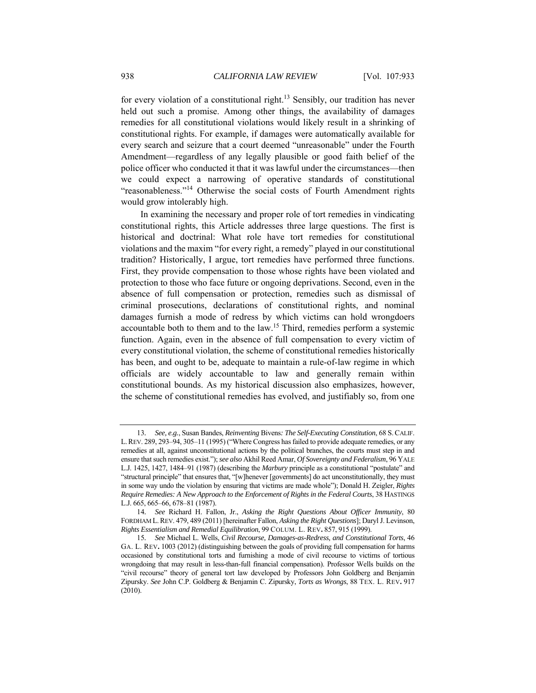for every violation of a constitutional right.<sup>13</sup> Sensibly, our tradition has never held out such a promise. Among other things, the availability of damages remedies for all constitutional violations would likely result in a shrinking of constitutional rights. For example, if damages were automatically available for every search and seizure that a court deemed "unreasonable" under the Fourth Amendment—regardless of any legally plausible or good faith belief of the police officer who conducted it that it was lawful under the circumstances—then we could expect a narrowing of operative standards of constitutional "reasonableness."<sup>14</sup> Otherwise the social costs of Fourth Amendment rights would grow intolerably high.

In examining the necessary and proper role of tort remedies in vindicating constitutional rights, this Article addresses three large questions. The first is historical and doctrinal: What role have tort remedies for constitutional violations and the maxim "for every right, a remedy" played in our constitutional tradition? Historically, I argue, tort remedies have performed three functions. First, they provide compensation to those whose rights have been violated and protection to those who face future or ongoing deprivations. Second, even in the absence of full compensation or protection, remedies such as dismissal of criminal prosecutions, declarations of constitutional rights, and nominal damages furnish a mode of redress by which victims can hold wrongdoers accountable both to them and to the law.15 Third, remedies perform a systemic function. Again, even in the absence of full compensation to every victim of every constitutional violation, the scheme of constitutional remedies historically has been, and ought to be, adequate to maintain a rule-of-law regime in which officials are widely accountable to law and generally remain within constitutional bounds. As my historical discussion also emphasizes, however, the scheme of constitutional remedies has evolved, and justifiably so, from one

<sup>13</sup>*. See, e.g.*, Susan Bandes, *Reinventing* Bivens*: The Self-Executing Constitution*, 68 S.CALIF. L.REV. 289, 293–94, 305–11 (1995) ("Where Congress has failed to provide adequate remedies, or any remedies at all, against unconstitutional actions by the political branches, the courts must step in and ensure that such remedies exist."); *see also* Akhil Reed Amar, *Of Sovereignty and Federalism*, 96 YALE L.J. 1425, 1427, 1484–91 (1987) (describing the *Marbury* principle as a constitutional "postulate" and "structural principle" that ensures that, "[w]henever [governments] do act unconstitutionally, they must in some way undo the violation by ensuring that victims are made whole"); Donald H. Zeigler, *Rights Require Remedies: A New Approach to the Enforcement of Rights in the Federal Courts*, 38 HASTINGS L.J. 665, 665–66, 678–81 (1987).

<sup>14</sup>*. See* Richard H. Fallon, Jr., *Asking the Right Questions About Officer Immunity*, 80 FORDHAM L.REV. 479, 489 (2011) [hereinafter Fallon, *Asking the Right Questions*]; Daryl J. Levinson, *Rights Essentialism and Remedial Equilibration*, 99 COLUM. L. REV**.** 857, 915 (1999).

<sup>15</sup>*. See* Michael L. Wells, *Civil Recourse, Damages-as-Redress, and Constitutional Torts*, 46 GA. L. REV**.** 1003 (2012) (distinguishing between the goals of providing full compensation for harms occasioned by constitutional torts and furnishing a mode of civil recourse to victims of tortious wrongdoing that may result in less-than-full financial compensation). Professor Wells builds on the "civil recourse" theory of general tort law developed by Professors John Goldberg and Benjamin Zipursky. *See* John C.P. Goldberg & Benjamin C. Zipursky, *Torts as Wrongs*, 88 TEX. L. REV**.** 917 (2010).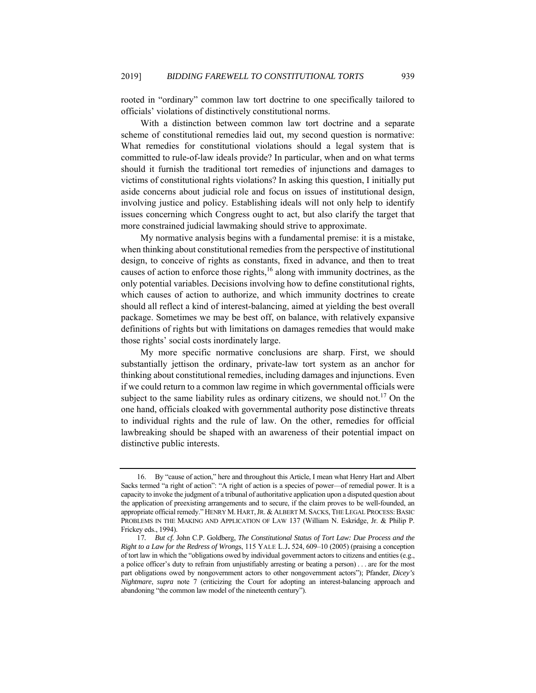rooted in "ordinary" common law tort doctrine to one specifically tailored to officials' violations of distinctively constitutional norms.

With a distinction between common law tort doctrine and a separate scheme of constitutional remedies laid out, my second question is normative: What remedies for constitutional violations should a legal system that is committed to rule-of-law ideals provide? In particular, when and on what terms should it furnish the traditional tort remedies of injunctions and damages to victims of constitutional rights violations? In asking this question, I initially put aside concerns about judicial role and focus on issues of institutional design, involving justice and policy. Establishing ideals will not only help to identify issues concerning which Congress ought to act, but also clarify the target that more constrained judicial lawmaking should strive to approximate.

My normative analysis begins with a fundamental premise: it is a mistake, when thinking about constitutional remedies from the perspective of institutional design, to conceive of rights as constants, fixed in advance, and then to treat causes of action to enforce those rights, $16$  along with immunity doctrines, as the only potential variables. Decisions involving how to define constitutional rights, which causes of action to authorize, and which immunity doctrines to create should all reflect a kind of interest-balancing, aimed at yielding the best overall package. Sometimes we may be best off, on balance, with relatively expansive definitions of rights but with limitations on damages remedies that would make those rights' social costs inordinately large.

My more specific normative conclusions are sharp. First, we should substantially jettison the ordinary, private-law tort system as an anchor for thinking about constitutional remedies, including damages and injunctions. Even if we could return to a common law regime in which governmental officials were subject to the same liability rules as ordinary citizens, we should not.<sup>17</sup> On the one hand, officials cloaked with governmental authority pose distinctive threats to individual rights and the rule of law. On the other, remedies for official lawbreaking should be shaped with an awareness of their potential impact on distinctive public interests.

 <sup>16.</sup> By "cause of action," here and throughout this Article, I mean what Henry Hart and Albert Sacks termed "a right of action": "A right of action is a species of power—of remedial power. It is a capacity to invoke the judgment of a tribunal of authoritative application upon a disputed question about the application of preexisting arrangements and to secure, if the claim proves to be well-founded, an appropriate official remedy." HENRY M. HART, JR. & ALBERT M. SACKS, THE LEGAL PROCESS: BASIC PROBLEMS IN THE MAKING AND APPLICATION OF LAW 137 (William N. Eskridge, Jr. & Philip P. Frickey eds., 1994).

<sup>17</sup>*. But cf.* John C.P. Goldberg, *The Constitutional Status of Tort Law: Due Process and the Right to a Law for the Redress of Wron*gs, 115 YALE L.J**.** 524, 609–10 (2005) (praising a conception of tort law in which the "obligations owed by individual government actors to citizens and entities (e.g., a police officer's duty to refrain from unjustifiably arresting or beating a person) . . . are for the most part obligations owed by nongovernment actors to other nongovernment actors"); Pfander, *Dicey's Nightmare*, *supra* note 7 (criticizing the Court for adopting an interest-balancing approach and abandoning "the common law model of the nineteenth century").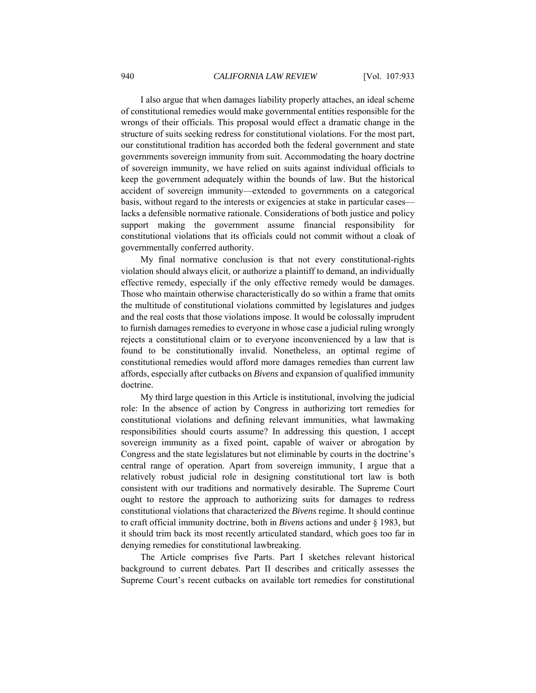I also argue that when damages liability properly attaches, an ideal scheme of constitutional remedies would make governmental entities responsible for the wrongs of their officials. This proposal would effect a dramatic change in the structure of suits seeking redress for constitutional violations. For the most part, our constitutional tradition has accorded both the federal government and state governments sovereign immunity from suit. Accommodating the hoary doctrine of sovereign immunity, we have relied on suits against individual officials to keep the government adequately within the bounds of law. But the historical accident of sovereign immunity—extended to governments on a categorical basis, without regard to the interests or exigencies at stake in particular cases lacks a defensible normative rationale. Considerations of both justice and policy support making the government assume financial responsibility for constitutional violations that its officials could not commit without a cloak of governmentally conferred authority.

My final normative conclusion is that not every constitutional-rights violation should always elicit, or authorize a plaintiff to demand, an individually effective remedy, especially if the only effective remedy would be damages. Those who maintain otherwise characteristically do so within a frame that omits the multitude of constitutional violations committed by legislatures and judges and the real costs that those violations impose. It would be colossally imprudent to furnish damages remedies to everyone in whose case a judicial ruling wrongly rejects a constitutional claim or to everyone inconvenienced by a law that is found to be constitutionally invalid. Nonetheless, an optimal regime of constitutional remedies would afford more damages remedies than current law affords, especially after cutbacks on *Bivens* and expansion of qualified immunity doctrine.

My third large question in this Article is institutional, involving the judicial role: In the absence of action by Congress in authorizing tort remedies for constitutional violations and defining relevant immunities, what lawmaking responsibilities should courts assume? In addressing this question, I accept sovereign immunity as a fixed point, capable of waiver or abrogation by Congress and the state legislatures but not eliminable by courts in the doctrine's central range of operation. Apart from sovereign immunity, I argue that a relatively robust judicial role in designing constitutional tort law is both consistent with our traditions and normatively desirable. The Supreme Court ought to restore the approach to authorizing suits for damages to redress constitutional violations that characterized the *Bivens* regime. It should continue to craft official immunity doctrine, both in *Bivens* actions and under § 1983, but it should trim back its most recently articulated standard, which goes too far in denying remedies for constitutional lawbreaking.

The Article comprises five Parts. Part I sketches relevant historical background to current debates. Part II describes and critically assesses the Supreme Court's recent cutbacks on available tort remedies for constitutional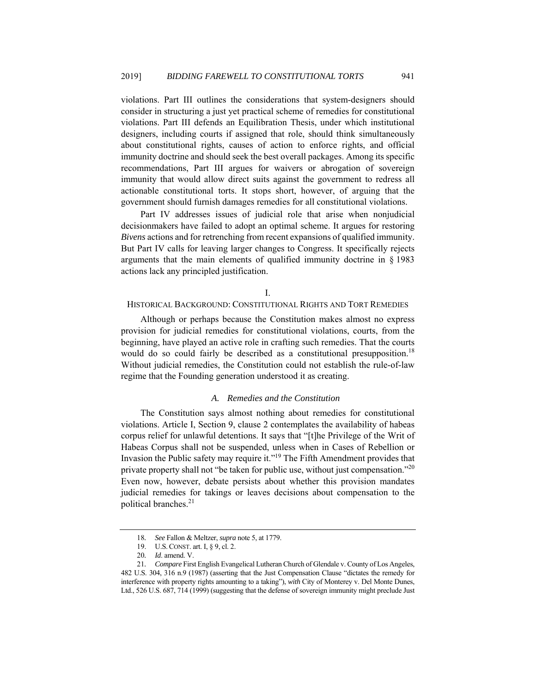violations. Part III outlines the considerations that system-designers should consider in structuring a just yet practical scheme of remedies for constitutional violations. Part III defends an Equilibration Thesis, under which institutional designers, including courts if assigned that role, should think simultaneously about constitutional rights, causes of action to enforce rights, and official immunity doctrine and should seek the best overall packages. Among its specific recommendations, Part III argues for waivers or abrogation of sovereign immunity that would allow direct suits against the government to redress all actionable constitutional torts. It stops short, however, of arguing that the government should furnish damages remedies for all constitutional violations.

Part IV addresses issues of judicial role that arise when nonjudicial decisionmakers have failed to adopt an optimal scheme. It argues for restoring *Bivens* actions and for retrenching from recent expansions of qualified immunity. But Part IV calls for leaving larger changes to Congress. It specifically rejects arguments that the main elements of qualified immunity doctrine in § 1983 actions lack any principled justification.

# I.

# HISTORICAL BACKGROUND: CONSTITUTIONAL RIGHTS AND TORT REMEDIES

Although or perhaps because the Constitution makes almost no express provision for judicial remedies for constitutional violations, courts, from the beginning, have played an active role in crafting such remedies. That the courts would do so could fairly be described as a constitutional presupposition.<sup>18</sup> Without judicial remedies, the Constitution could not establish the rule-of-law regime that the Founding generation understood it as creating.

## *A. Remedies and the Constitution*

The Constitution says almost nothing about remedies for constitutional violations. Article I, Section 9, clause 2 contemplates the availability of habeas corpus relief for unlawful detentions. It says that "[t]he Privilege of the Writ of Habeas Corpus shall not be suspended, unless when in Cases of Rebellion or Invasion the Public safety may require it."19 The Fifth Amendment provides that private property shall not "be taken for public use, without just compensation."<sup>20</sup> Even now, however, debate persists about whether this provision mandates judicial remedies for takings or leaves decisions about compensation to the political branches.<sup>21</sup>

<sup>18</sup>*. See* Fallon & Meltzer, *supra* note 5, at 1779.

 <sup>19.</sup> U.S.CONST. art. I, § 9, cl. 2.

<sup>20</sup>*. Id*. amend. V.

<sup>21</sup>*. Compare* First English Evangelical Lutheran Church of Glendale v. County of Los Angeles, 482 U.S. 304, 316 n.9 (1987) (asserting that the Just Compensation Clause "dictates the remedy for interference with property rights amounting to a taking"), *with* City of Monterey v. Del Monte Dunes, Ltd., 526 U.S. 687, 714 (1999) (suggesting that the defense of sovereign immunity might preclude Just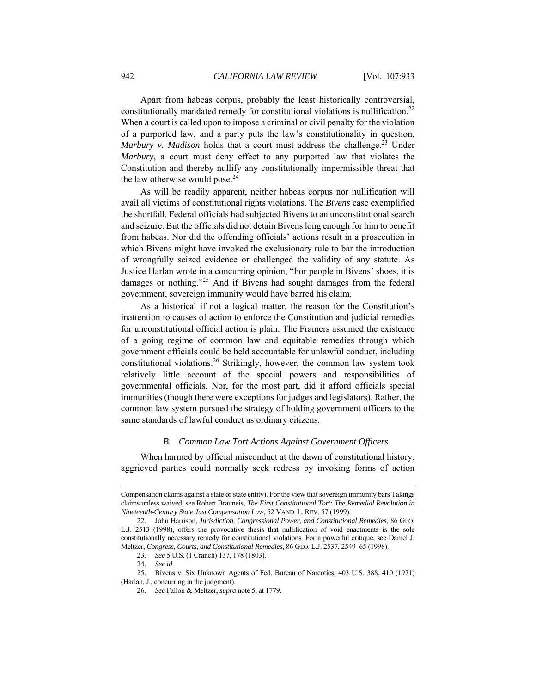Apart from habeas corpus, probably the least historically controversial, constitutionally mandated remedy for constitutional violations is nullification.<sup>22</sup> When a court is called upon to impose a criminal or civil penalty for the violation of a purported law, and a party puts the law's constitutionality in question, *Marbury v. Madison* holds that a court must address the challenge.<sup>23</sup> Under *Marbury*, a court must deny effect to any purported law that violates the Constitution and thereby nullify any constitutionally impermissible threat that the law otherwise would pose. $24$ 

As will be readily apparent, neither habeas corpus nor nullification will avail all victims of constitutional rights violations. The *Bivens* case exemplified the shortfall. Federal officials had subjected Bivens to an unconstitutional search and seizure. But the officials did not detain Bivens long enough for him to benefit from habeas. Nor did the offending officials' actions result in a prosecution in which Bivens might have invoked the exclusionary rule to bar the introduction of wrongfully seized evidence or challenged the validity of any statute. As Justice Harlan wrote in a concurring opinion, "For people in Bivens' shoes, it is damages or nothing."25 And if Bivens had sought damages from the federal government, sovereign immunity would have barred his claim.

As a historical if not a logical matter, the reason for the Constitution's inattention to causes of action to enforce the Constitution and judicial remedies for unconstitutional official action is plain. The Framers assumed the existence of a going regime of common law and equitable remedies through which government officials could be held accountable for unlawful conduct, including constitutional violations.<sup>26</sup> Strikingly, however, the common law system took relatively little account of the special powers and responsibilities of governmental officials. Nor, for the most part, did it afford officials special immunities (though there were exceptions for judges and legislators). Rather, the common law system pursued the strategy of holding government officers to the same standards of lawful conduct as ordinary citizens.

# *B. Common Law Tort Actions Against Government Officers*

When harmed by official misconduct at the dawn of constitutional history, aggrieved parties could normally seek redress by invoking forms of action

Compensation claims against a state or state entity). For the view that sovereign immunity bars Takings claims unless waived, see Robert Brauneis, *The First Constitutional Tort: The Remedial Revolution in Nineteenth-Century State Just Compensation Law*, 52 VAND. L.REV. 57 (1999).

 <sup>22.</sup> John Harrison, *Jurisdiction, Congressional Power, and Constitutional Remedies*, 86 GEO. L.J. 2513 (1998), offers the provocative thesis that nullification of void enactments is the sole constitutionally necessary remedy for constitutional violations. For a powerful critique, see Daniel J. Meltzer, *Congress, Courts, and Constitutional Remedies*, 86 GEO. L.J. 2537, 2549–65 (1998).

<sup>23</sup>*. See* 5 U.S. (1 Cranch) 137, 178 (1803).

<sup>24</sup>*. See id*.

 <sup>25.</sup> Bivens v. Six Unknown Agents of Fed. Bureau of Narcotics, 403 U.S. 388, 410 (1971) (Harlan, J., concurring in the judgment).

<sup>26</sup>*. See* Fallon & Meltzer, *supra* note 5, at 1779.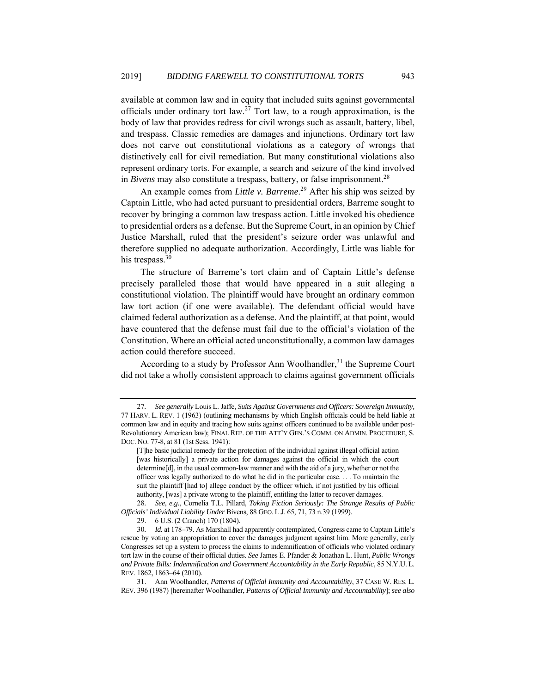available at common law and in equity that included suits against governmental officials under ordinary tort law.<sup>27</sup> Tort law, to a rough approximation, is the body of law that provides redress for civil wrongs such as assault, battery, libel, and trespass. Classic remedies are damages and injunctions. Ordinary tort law does not carve out constitutional violations as a category of wrongs that distinctively call for civil remediation. But many constitutional violations also represent ordinary torts. For example, a search and seizure of the kind involved in *Bivens* may also constitute a trespass, battery, or false imprisonment. 28

An example comes from *Little v. Barreme*. 29 After his ship was seized by Captain Little, who had acted pursuant to presidential orders, Barreme sought to recover by bringing a common law trespass action. Little invoked his obedience to presidential orders as a defense. But the Supreme Court, in an opinion by Chief Justice Marshall, ruled that the president's seizure order was unlawful and therefore supplied no adequate authorization. Accordingly, Little was liable for his trespass.<sup>30</sup>

The structure of Barreme's tort claim and of Captain Little's defense precisely paralleled those that would have appeared in a suit alleging a constitutional violation. The plaintiff would have brought an ordinary common law tort action (if one were available). The defendant official would have claimed federal authorization as a defense. And the plaintiff, at that point, would have countered that the defense must fail due to the official's violation of the Constitution. Where an official acted unconstitutionally, a common law damages action could therefore succeed.

According to a study by Professor Ann Woolhandler,  $31$  the Supreme Court did not take a wholly consistent approach to claims against government officials

<sup>27</sup>*. See generally* Louis L. Jaffe, *Suits Against Governments and Officers: Sovereign Immunity,*  77 HARV. L. REV. 1 (1963) (outlining mechanisms by which English officials could be held liable at common law and in equity and tracing how suits against officers continued to be available under post-Revolutionary American law); FINAL REP. OF THE ATT'Y GEN.'S COMM. ON ADMIN. PROCEDURE, S. DOC. NO. 77-8, at 81 (1st Sess. 1941):

<sup>[</sup>T]he basic judicial remedy for the protection of the individual against illegal official action [was historically] a private action for damages against the official in which the court determine[d], in the usual common-law manner and with the aid of a jury, whether or not the officer was legally authorized to do what he did in the particular case. . . . To maintain the suit the plaintiff [had to] allege conduct by the officer which, if not justified by his official authority, [was] a private wrong to the plaintiff, entitling the latter to recover damages.

<sup>28</sup>*. See, e.g.*, Cornelia T.L. Pillard, *Taking Fiction Seriously: The Strange Results of Public Officials' Individual Liability Under* Bivens, 88 GEO. L.J. 65, 71, 73 n.39 (1999).

 <sup>29. 6</sup> U.S. (2 Cranch) 170 (1804).

<sup>30</sup>*. Id.* at 178–79. As Marshall had apparently contemplated, Congress came to Captain Little's rescue by voting an appropriation to cover the damages judgment against him. More generally, early Congresses set up a system to process the claims to indemnification of officials who violated ordinary tort law in the course of their official duties. *See* James E. Pfander & Jonathan L. Hunt, *Public Wrongs and Private Bills: Indemnification and Government Accountability in the Early Republic*, 85 N.Y.U. L. REV. 1862, 1863–64 (2010).

 <sup>31.</sup> Ann Woolhandler, *Patterns of Official Immunity and Accountability*, 37 CASE W. RES. L. REV. 396 (1987) [hereinafter Woolhandler, *Patterns of Official Immunity and Accountability*]; *see also*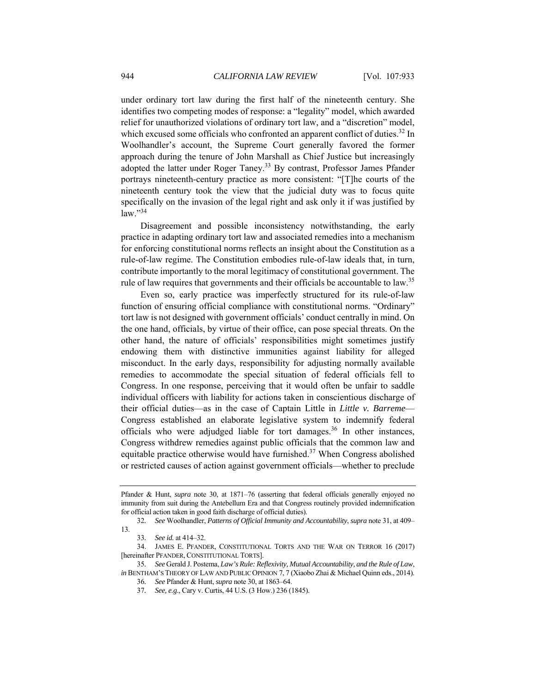under ordinary tort law during the first half of the nineteenth century. She identifies two competing modes of response: a "legality" model, which awarded relief for unauthorized violations of ordinary tort law, and a "discretion" model, which excused some officials who confronted an apparent conflict of duties.<sup>32</sup> In Woolhandler's account, the Supreme Court generally favored the former approach during the tenure of John Marshall as Chief Justice but increasingly adopted the latter under Roger Taney.<sup>33</sup> By contrast, Professor James Pfander portrays nineteenth-century practice as more consistent: "[T]he courts of the nineteenth century took the view that the judicial duty was to focus quite specifically on the invasion of the legal right and ask only it if was justified by  $law.$ <sup>34</sup>

Disagreement and possible inconsistency notwithstanding, the early practice in adapting ordinary tort law and associated remedies into a mechanism for enforcing constitutional norms reflects an insight about the Constitution as a rule-of-law regime. The Constitution embodies rule-of-law ideals that, in turn, contribute importantly to the moral legitimacy of constitutional government. The rule of law requires that governments and their officials be accountable to law.<sup>35</sup>

Even so, early practice was imperfectly structured for its rule-of-law function of ensuring official compliance with constitutional norms. "Ordinary" tort law is not designed with government officials' conduct centrally in mind. On the one hand, officials, by virtue of their office, can pose special threats. On the other hand, the nature of officials' responsibilities might sometimes justify endowing them with distinctive immunities against liability for alleged misconduct. In the early days, responsibility for adjusting normally available remedies to accommodate the special situation of federal officials fell to Congress. In one response, perceiving that it would often be unfair to saddle individual officers with liability for actions taken in conscientious discharge of their official duties—as in the case of Captain Little in *Little v. Barreme*— Congress established an elaborate legislative system to indemnify federal officials who were adjudged liable for tort damages.<sup>36</sup> In other instances, Congress withdrew remedies against public officials that the common law and equitable practice otherwise would have furnished.<sup>37</sup> When Congress abolished or restricted causes of action against government officials—whether to preclude

Pfander & Hunt, *supra* note 30, at 1871–76 (asserting that federal officials generally enjoyed no immunity from suit during the Antebellum Era and that Congress routinely provided indemnification for official action taken in good faith discharge of official duties).

<sup>32</sup>*. See* Woolhandler, *Patterns of Official Immunity and Accountability*, *supra* note 31, at 409– 13.

<sup>33</sup>*. See id.* at 414–32.

 <sup>34.</sup> JAMES E. PFANDER, CONSTITUTIONAL TORTS AND THE WAR ON TERROR 16 (2017) [hereinafter PFANDER, CONSTITUTIONAL TORTS].

<sup>35</sup>*. See* Gerald J. Postema, *Law's Rule: Reflexivity, Mutual Accountability, and the Rule of Law*, *in* BENTHAM'S THEORY OF LAW AND PUBLIC OPINION 7, 7 (Xiaobo Zhai & Michael Quinn eds., 2014).

<sup>36</sup>*. See* Pfander & Hunt, *supra* note 30, at 1863–64.

<sup>37</sup>*. See, e.g*., Cary v. Curtis, 44 U.S. (3 How.) 236 (1845).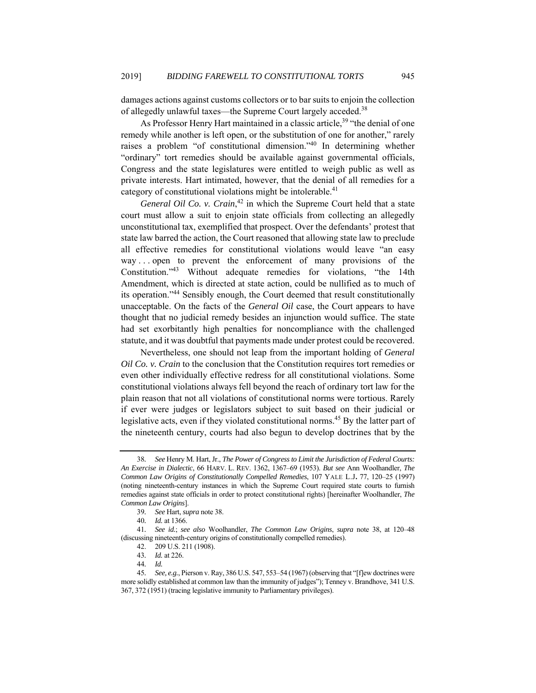damages actions against customs collectors or to bar suits to enjoin the collection of allegedly unlawful taxes—the Supreme Court largely acceded.<sup>38</sup>

As Professor Henry Hart maintained in a classic article,<sup>39</sup> "the denial of one remedy while another is left open, or the substitution of one for another," rarely raises a problem "of constitutional dimension."40 In determining whether "ordinary" tort remedies should be available against governmental officials, Congress and the state legislatures were entitled to weigh public as well as private interests. Hart intimated, however, that the denial of all remedies for a category of constitutional violations might be intolerable. $41$ 

General Oil Co. v. Crain,<sup>42</sup> in which the Supreme Court held that a state court must allow a suit to enjoin state officials from collecting an allegedly unconstitutional tax, exemplified that prospect. Over the defendants' protest that state law barred the action, the Court reasoned that allowing state law to preclude all effective remedies for constitutional violations would leave "an easy way . . . open to prevent the enforcement of many provisions of the Constitution."43 Without adequate remedies for violations, "the 14th Amendment, which is directed at state action, could be nullified as to much of its operation."44 Sensibly enough, the Court deemed that result constitutionally unacceptable. On the facts of the *General Oil* case, the Court appears to have thought that no judicial remedy besides an injunction would suffice. The state had set exorbitantly high penalties for noncompliance with the challenged statute, and it was doubtful that payments made under protest could be recovered.

Nevertheless, one should not leap from the important holding of *General Oil Co. v. Crain* to the conclusion that the Constitution requires tort remedies or even other individually effective redress for all constitutional violations. Some constitutional violations always fell beyond the reach of ordinary tort law for the plain reason that not all violations of constitutional norms were tortious. Rarely if ever were judges or legislators subject to suit based on their judicial or legislative acts, even if they violated constitutional norms.<sup>45</sup> By the latter part of the nineteenth century, courts had also begun to develop doctrines that by the

<sup>38</sup>*. See* Henry M. Hart, Jr., *The Power of Congress to Limit the Jurisdiction of Federal Courts: An Exercise in Dialectic*, 66 HARV. L. REV. 1362, 1367–69 (1953). *But see* Ann Woolhandler, *The Common Law Origins of Constitutionally Compelled Remedies*, 107 YALE L.J**.** 77, 120–25 (1997) (noting nineteenth-century instances in which the Supreme Court required state courts to furnish remedies against state officials in order to protect constitutional rights) [hereinafter Woolhandler, *The Common Law Origins*].

<sup>39</sup>*. See* Hart, *supra* note 38.

<sup>40</sup>*. Id.* at 1366.

<sup>41</sup>*. See id.*; *see also* Woolhandler, *The Common Law Origins*, *supra* note 38, at 120–48 (discussing nineteenth-century origins of constitutionally compelled remedies).

 <sup>42. 209</sup> U.S. 211 (1908).

<sup>43</sup>*. Id.* at 226.

<sup>44</sup>*. Id.*

<sup>45</sup>*. See, e.g.*, Pierson v. Ray, 386 U.S. 547, 553–54 (1967) (observing that "[f]ew doctrines were more solidly established at common law than the immunity of judges"); Tenney v. Brandhove, 341 U.S. 367, 372 (1951) (tracing legislative immunity to Parliamentary privileges).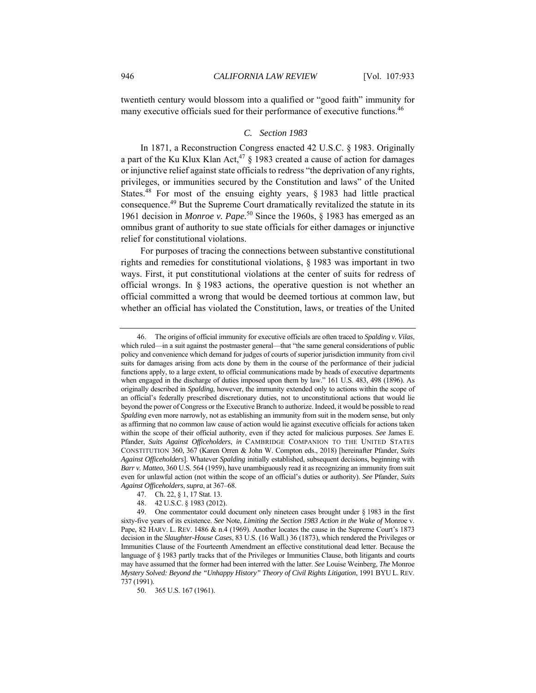twentieth century would blossom into a qualified or "good faith" immunity for many executive officials sued for their performance of executive functions.<sup>46</sup>

# *C. Section 1983*

In 1871, a Reconstruction Congress enacted 42 U.S.C. § 1983. Originally a part of the Ku Klux Klan Act,<sup>47</sup> § 1983 created a cause of action for damages or injunctive relief against state officials to redress "the deprivation of any rights, privileges, or immunities secured by the Constitution and laws" of the United States.<sup>48</sup> For most of the ensuing eighty years, § 1983 had little practical consequence.49 But the Supreme Court dramatically revitalized the statute in its 1961 decision in *Monroe v. Pape.*50 Since the 1960s, § 1983 has emerged as an omnibus grant of authority to sue state officials for either damages or injunctive relief for constitutional violations.

For purposes of tracing the connections between substantive constitutional rights and remedies for constitutional violations, § 1983 was important in two ways. First, it put constitutional violations at the center of suits for redress of official wrongs. In § 1983 actions, the operative question is not whether an official committed a wrong that would be deemed tortious at common law, but whether an official has violated the Constitution, laws, or treaties of the United

50. 365 U.S. 167 (1961).

 <sup>46.</sup> The origins of official immunity for executive officials are often traced to *Spalding v. Vilas*, which ruled—in a suit against the postmaster general—that "the same general considerations of public policy and convenience which demand for judges of courts of superior jurisdiction immunity from civil suits for damages arising from acts done by them in the course of the performance of their judicial functions apply, to a large extent, to official communications made by heads of executive departments when engaged in the discharge of duties imposed upon them by law." 161 U.S. 483, 498 (1896). As originally described in *Spalding*, however, the immunity extended only to actions within the scope of an official's federally prescribed discretionary duties, not to unconstitutional actions that would lie beyond the power of Congress or the Executive Branch to authorize. Indeed, it would be possible to read *Spalding* even more narrowly, not as establishing an immunity from suit in the modern sense, but only as affirming that no common law cause of action would lie against executive officials for actions taken within the scope of their official authority, even if they acted for malicious purposes. *See* James E. Pfander, *Suits Against Officeholders*, *in* CAMBRIDGE COMPANION TO THE UNITED STATES CONSTITUTION 360, 367 (Karen Orren & John W. Compton eds., 2018) [hereinafter Pfander, *Suits Against Officeholders*]. Whatever *Spalding* initially established, subsequent decisions, beginning with *Barr v. Matteo*, 360 U.S. 564 (1959), have unambiguously read it as recognizing an immunity from suit even for unlawful action (not within the scope of an official's duties or authority). *See* Pfander, *Suits Against Officeholders*, *supra*, at 367–68.

 <sup>47.</sup> Ch. 22, § 1, 17 Stat. 13.

 <sup>48. 42</sup> U.S.C. § 1983 (2012).

 <sup>49.</sup> One commentator could document only nineteen cases brought under § 1983 in the first sixty-five years of its existence. *See* Note, *Limiting the Section 1983 Action in the Wake of* Monroe v. Pape, 82 HARV. L. REV. 1486 & n.4 (1969). Another locates the cause in the Supreme Court's 1873 decision in the *Slaughter-House Cases*, 83 U.S. (16 Wall.) 36 (1873), which rendered the Privileges or Immunities Clause of the Fourteenth Amendment an effective constitutional dead letter. Because the language of § 1983 partly tracks that of the Privileges or Immunities Clause, both litigants and courts may have assumed that the former had been interred with the latter. *See* Louise Weinberg, *The* Monroe *Mystery Solved: Beyond the "Unhappy History" Theory of Civil Rights Litigation*, 1991 BYU L. REV. 737 (1991).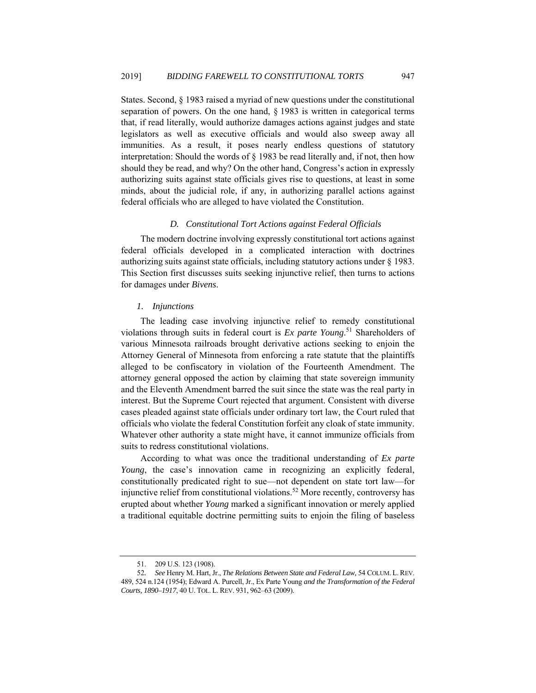States. Second, § 1983 raised a myriad of new questions under the constitutional separation of powers. On the one hand, § 1983 is written in categorical terms that, if read literally, would authorize damages actions against judges and state legislators as well as executive officials and would also sweep away all immunities. As a result, it poses nearly endless questions of statutory interpretation: Should the words of  $\S$  1983 be read literally and, if not, then how should they be read, and why? On the other hand, Congress's action in expressly authorizing suits against state officials gives rise to questions, at least in some minds, about the judicial role, if any, in authorizing parallel actions against federal officials who are alleged to have violated the Constitution.

# *D. Constitutional Tort Actions against Federal Officials*

The modern doctrine involving expressly constitutional tort actions against federal officials developed in a complicated interaction with doctrines authorizing suits against state officials, including statutory actions under § 1983. This Section first discusses suits seeking injunctive relief, then turns to actions for damages under *Bivens*.

# *1. Injunctions*

The leading case involving injunctive relief to remedy constitutional violations through suits in federal court is *Ex parte Young*. 51 Shareholders of various Minnesota railroads brought derivative actions seeking to enjoin the Attorney General of Minnesota from enforcing a rate statute that the plaintiffs alleged to be confiscatory in violation of the Fourteenth Amendment. The attorney general opposed the action by claiming that state sovereign immunity and the Eleventh Amendment barred the suit since the state was the real party in interest. But the Supreme Court rejected that argument. Consistent with diverse cases pleaded against state officials under ordinary tort law, the Court ruled that officials who violate the federal Constitution forfeit any cloak of state immunity. Whatever other authority a state might have, it cannot immunize officials from suits to redress constitutional violations.

According to what was once the traditional understanding of *Ex parte Young*, the case's innovation came in recognizing an explicitly federal, constitutionally predicated right to sue—not dependent on state tort law—for injunctive relief from constitutional violations.<sup>52</sup> More recently, controversy has erupted about whether *Young* marked a significant innovation or merely applied a traditional equitable doctrine permitting suits to enjoin the filing of baseless

 <sup>51. 209</sup> U.S. 123 (1908).

<sup>52</sup>*. See* Henry M. Hart, Jr., *The Relations Between State and Federal Law,* 54 COLUM. L.REV. 489, 524 n.124 (1954); Edward A. Purcell, Jr., Ex Parte Young *and the Transformation of the Federal Courts, 1890–1917*, 40 U. TOL. L. REV. 931, 962–63 (2009).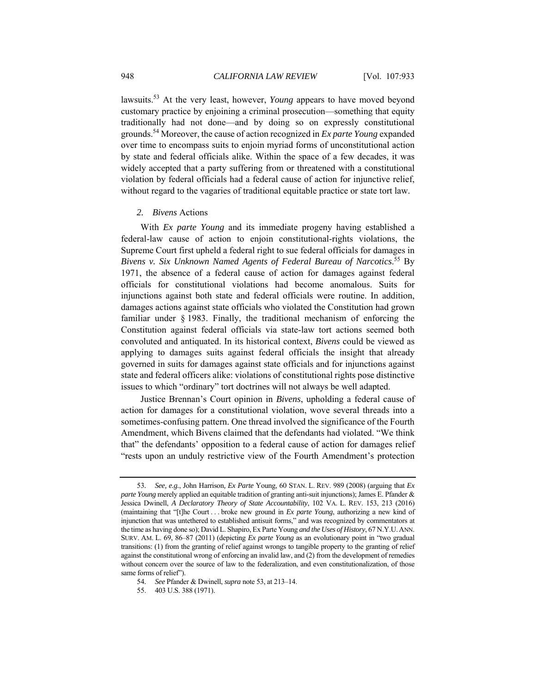lawsuits.53 At the very least, however, *Young* appears to have moved beyond customary practice by enjoining a criminal prosecution—something that equity traditionally had not done—and by doing so on expressly constitutional grounds.54 Moreover, the cause of action recognized in *Ex parte Young* expanded over time to encompass suits to enjoin myriad forms of unconstitutional action by state and federal officials alike. Within the space of a few decades, it was widely accepted that a party suffering from or threatened with a constitutional violation by federal officials had a federal cause of action for injunctive relief, without regard to the vagaries of traditional equitable practice or state tort law.

# *2. Bivens* Actions

With *Ex parte Young* and its immediate progeny having established a federal-law cause of action to enjoin constitutional-rights violations, the Supreme Court first upheld a federal right to sue federal officials for damages in *Bivens v. Six Unknown Named Agents of Federal Bureau of Narcotics*. 55 By 1971, the absence of a federal cause of action for damages against federal officials for constitutional violations had become anomalous. Suits for injunctions against both state and federal officials were routine. In addition, damages actions against state officials who violated the Constitution had grown familiar under § 1983. Finally, the traditional mechanism of enforcing the Constitution against federal officials via state-law tort actions seemed both convoluted and antiquated. In its historical context, *Bivens* could be viewed as applying to damages suits against federal officials the insight that already governed in suits for damages against state officials and for injunctions against state and federal officers alike: violations of constitutional rights pose distinctive issues to which "ordinary" tort doctrines will not always be well adapted.

Justice Brennan's Court opinion in *Bivens*, upholding a federal cause of action for damages for a constitutional violation, wove several threads into a sometimes-confusing pattern. One thread involved the significance of the Fourth Amendment, which Bivens claimed that the defendants had violated. "We think that" the defendants' opposition to a federal cause of action for damages relief "rests upon an unduly restrictive view of the Fourth Amendment's protection

<sup>53</sup>*. See, e.g.*, John Harrison*, Ex Parte* Young, 60 STAN. L. REV. 989 (2008) (arguing that *Ex parte Young* merely applied an equitable tradition of granting anti-suit injunctions); James E. Pfander & Jessica Dwinell, *A Declaratory Theory of State Accountability*, 102 VA. L. REV. 153, 213 (2016) (maintaining that "[t]he Court . . . broke new ground in *Ex parte Young*, authorizing a new kind of injunction that was untethered to established antisuit forms," and was recognized by commentators at the time as having done so); David L. Shapiro, Ex Parte Young *and the Uses of History*, 67 N.Y.U.ANN. SURV. AM. L. 69, 86–87 (2011) (depicting *Ex parte Young* as an evolutionary point in "two gradual transitions: (1) from the granting of relief against wrongs to tangible property to the granting of relief against the constitutional wrong of enforcing an invalid law, and (2) from the development of remedies without concern over the source of law to the federalization, and even constitutionalization, of those same forms of relief").

<sup>54</sup>*. See* Pfander & Dwinell, *supra* note 53, at 213–14.

 <sup>55. 403</sup> U.S. 388 (1971).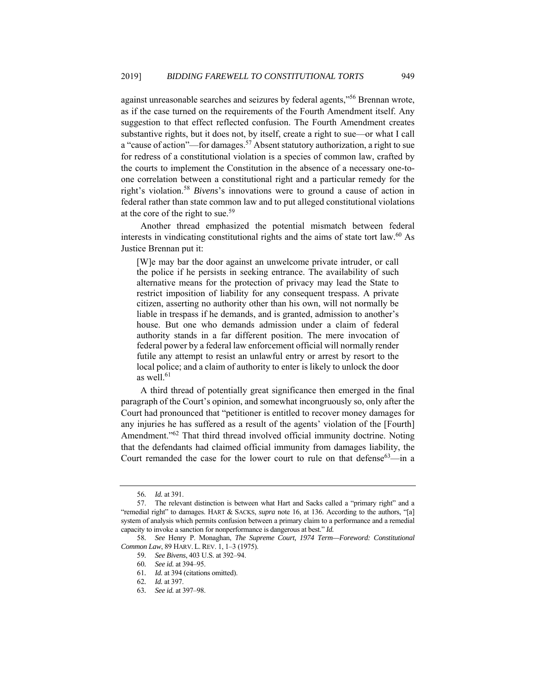against unreasonable searches and seizures by federal agents,"56 Brennan wrote, as if the case turned on the requirements of the Fourth Amendment itself. Any suggestion to that effect reflected confusion. The Fourth Amendment creates substantive rights, but it does not, by itself, create a right to sue—or what I call a "cause of action"—for damages.<sup>57</sup> Absent statutory authorization, a right to sue for redress of a constitutional violation is a species of common law, crafted by the courts to implement the Constitution in the absence of a necessary one-toone correlation between a constitutional right and a particular remedy for the right's violation.58 *Bivens*'s innovations were to ground a cause of action in federal rather than state common law and to put alleged constitutional violations at the core of the right to sue.<sup>59</sup>

Another thread emphasized the potential mismatch between federal interests in vindicating constitutional rights and the aims of state tort law.<sup>60</sup> As Justice Brennan put it:

[W]e may bar the door against an unwelcome private intruder, or call the police if he persists in seeking entrance. The availability of such alternative means for the protection of privacy may lead the State to restrict imposition of liability for any consequent trespass. A private citizen, asserting no authority other than his own, will not normally be liable in trespass if he demands, and is granted, admission to another's house. But one who demands admission under a claim of federal authority stands in a far different position. The mere invocation of federal power by a federal law enforcement official will normally render futile any attempt to resist an unlawful entry or arrest by resort to the local police; and a claim of authority to enter is likely to unlock the door as well. $61$ 

A third thread of potentially great significance then emerged in the final paragraph of the Court's opinion, and somewhat incongruously so, only after the Court had pronounced that "petitioner is entitled to recover money damages for any injuries he has suffered as a result of the agents' violation of the [Fourth] Amendment."<sup>62</sup> That third thread involved official immunity doctrine. Noting that the defendants had claimed official immunity from damages liability, the Court remanded the case for the lower court to rule on that defense  $63$ —in a

<sup>56</sup>*. Id.* at 391.

 <sup>57.</sup> The relevant distinction is between what Hart and Sacks called a "primary right" and a "remedial right" to damages. HART & SACKS, *supra* note 16, at 136. According to the authors, "[a] system of analysis which permits confusion between a primary claim to a performance and a remedial capacity to invoke a sanction for nonperformance is dangerous at best." *Id.*

<sup>58</sup>*. See* Henry P. Monaghan, *The Supreme Court, 1974 Term—Foreword: Constitutional Common Law*, 89 HARV. L. REV. 1, 1–3 (1975).

<sup>59</sup>*. See Bivens*, 403 U.S. at 392–94.

<sup>60</sup>*. See id.* at 394–95.

<sup>61</sup>*. Id.* at 394 (citations omitted).

<sup>62</sup>*. Id.* at 397.

<sup>63</sup>*. See id.* at 397–98.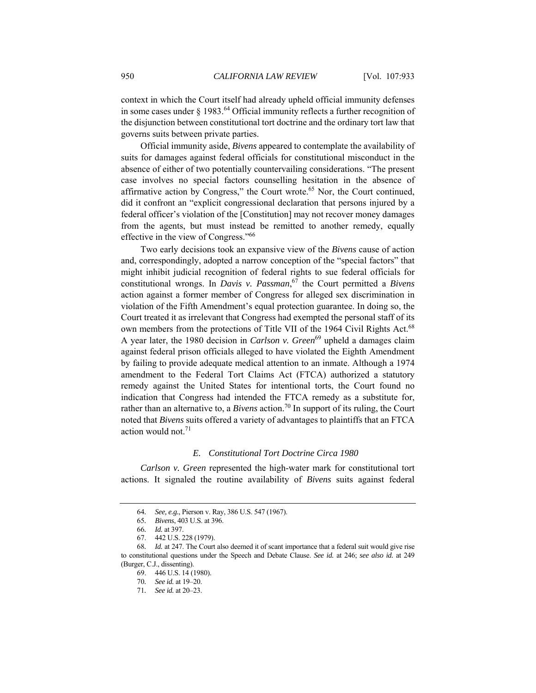context in which the Court itself had already upheld official immunity defenses in some cases under  $\S 1983$ .<sup>64</sup> Official immunity reflects a further recognition of the disjunction between constitutional tort doctrine and the ordinary tort law that governs suits between private parties.

Official immunity aside, *Bivens* appeared to contemplate the availability of suits for damages against federal officials for constitutional misconduct in the absence of either of two potentially countervailing considerations. "The present case involves no special factors counselling hesitation in the absence of affirmative action by Congress," the Court wrote.<sup>65</sup> Nor, the Court continued, did it confront an "explicit congressional declaration that persons injured by a federal officer's violation of the [Constitution] may not recover money damages from the agents, but must instead be remitted to another remedy, equally effective in the view of Congress."66

Two early decisions took an expansive view of the *Bivens* cause of action and, correspondingly, adopted a narrow conception of the "special factors" that might inhibit judicial recognition of federal rights to sue federal officials for constitutional wrongs. In *Davis v. Passman*, 67 the Court permitted a *Bivens* action against a former member of Congress for alleged sex discrimination in violation of the Fifth Amendment's equal protection guarantee. In doing so, the Court treated it as irrelevant that Congress had exempted the personal staff of its own members from the protections of Title VII of the 1964 Civil Rights Act.<sup>68</sup> A year later, the 1980 decision in *Carlson v. Green*<sup>69</sup> upheld a damages claim against federal prison officials alleged to have violated the Eighth Amendment by failing to provide adequate medical attention to an inmate. Although a 1974 amendment to the Federal Tort Claims Act (FTCA) authorized a statutory remedy against the United States for intentional torts, the Court found no indication that Congress had intended the FTCA remedy as a substitute for, rather than an alternative to, a *Bivens* action.<sup>70</sup> In support of its ruling, the Court noted that *Bivens* suits offered a variety of advantages to plaintiffs that an FTCA action would not.<sup>71</sup>

# *E. Constitutional Tort Doctrine Circa 1980*

*Carlson v. Green* represented the high-water mark for constitutional tort actions. It signaled the routine availability of *Bivens* suits against federal

<sup>64</sup>*. See, e.g.*, Pierson v. Ray, 386 U.S. 547 (1967).

<sup>65</sup>*. Bivens*, 403 U.S. at 396.

<sup>66</sup>*. Id.* at 397.

 <sup>67. 442</sup> U.S. 228 (1979).

<sup>68</sup>*. Id.* at 247. The Court also deemed it of scant importance that a federal suit would give rise to constitutional questions under the Speech and Debate Clause. *See id.* at 246; *see also id.* at 249 (Burger, C.J., dissenting).

 <sup>69. 446</sup> U.S. 14 (1980).

<sup>70</sup>*. See id.* at 19–20.

<sup>71</sup>*. See id.* at 20–23.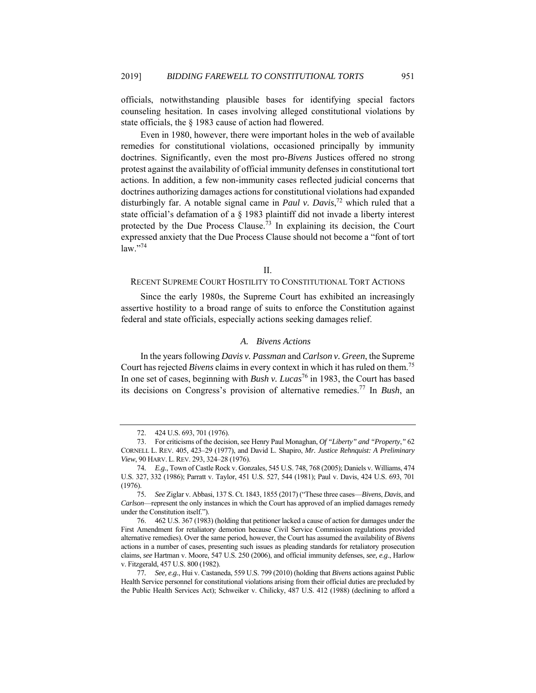officials, notwithstanding plausible bases for identifying special factors counseling hesitation. In cases involving alleged constitutional violations by state officials, the § 1983 cause of action had flowered.

Even in 1980, however, there were important holes in the web of available remedies for constitutional violations, occasioned principally by immunity doctrines. Significantly, even the most pro-*Bivens* Justices offered no strong protest against the availability of official immunity defenses in constitutional tort actions. In addition, a few non-immunity cases reflected judicial concerns that doctrines authorizing damages actions for constitutional violations had expanded disturbingly far. A notable signal came in *Paul v. Davis*, 72 which ruled that a state official's defamation of a § 1983 plaintiff did not invade a liberty interest protected by the Due Process Clause.73 In explaining its decision, the Court expressed anxiety that the Due Process Clause should not become a "font of tort law."74

# II.

# RECENT SUPREME COURT HOSTILITY TO CONSTITUTIONAL TORT ACTIONS

Since the early 1980s, the Supreme Court has exhibited an increasingly assertive hostility to a broad range of suits to enforce the Constitution against federal and state officials, especially actions seeking damages relief.

# *A. Bivens Actions*

In the years following *Davis v. Passman* and *Carlson v. Green*, the Supreme Court has rejected *Bivens* claims in every context in which it has ruled on them.75 In one set of cases, beginning with *Bush v. Lucas*<sup>76</sup> in 1983, the Court has based its decisions on Congress's provision of alternative remedies.77 In *Bush*, an

 <sup>72. 424</sup> U.S. 693, 701 (1976).

 <sup>73.</sup> For criticisms of the decision, see Henry Paul Monaghan, *Of "Liberty" and "Property*,*"* 62 CORNELL L. REV. 405, 423–29 (1977), and David L. Shapiro, *Mr. Justice Rehnquist: A Preliminary View*, 90 HARV. L.REV. 293, 324–28 (1976).

<sup>74</sup>*. E.g.*, Town of Castle Rock v. Gonzales, 545 U.S. 748, 768 (2005); Daniels v. Williams, 474 U.S. 327, 332 (1986); Parratt v. Taylor, 451 U.S. 527, 544 (1981); Paul v. Davis, 424 U.S. 693, 701 (1976).

<sup>75</sup>*. See* Ziglar v. Abbasi, 137 S. Ct. 1843, 1855 (2017) ("These three cases—*Bivens*, *Davis*, and *Carlson*—represent the only instances in which the Court has approved of an implied damages remedy under the Constitution itself.").

 <sup>76. 462</sup> U.S. 367 (1983) (holding that petitioner lacked a cause of action for damages under the First Amendment for retaliatory demotion because Civil Service Commission regulations provided alternative remedies). Over the same period, however, the Court has assumed the availability of *Bivens* actions in a number of cases, presenting such issues as pleading standards for retaliatory prosecution claims, *see* Hartman v. Moore, 547 U.S. 250 (2006), and official immunity defenses, *see, e.g*., Harlow v. Fitzgerald, 457 U.S. 800 (1982).

<sup>77</sup>*. See, e.g.*, Hui v. Castaneda, 559 U.S. 799 (2010) (holding that *Bivens* actions against Public Health Service personnel for constitutional violations arising from their official duties are precluded by the Public Health Services Act); Schweiker v. Chilicky, 487 U.S. 412 (1988) (declining to afford a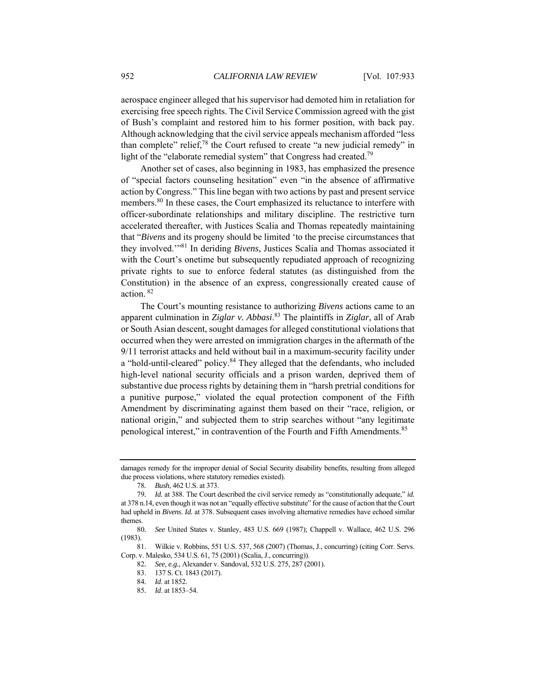aerospace engineer alleged that his supervisor had demoted him in retaliation for exercising free speech rights. The Civil Service Commission agreed with the gist of Bush's complaint and restored him to his former position, with back pay. Although acknowledging that the civil service appeals mechanism afforded "less than complete" relief, $78$  the Court refused to create "a new judicial remedy" in light of the "elaborate remedial system" that Congress had created.<sup>79</sup>

Another set of cases, also beginning in 1983, has emphasized the presence of "special factors counseling hesitation" even "in the absence of affirmative action by Congress." This line began with two actions by past and present service members.<sup>80</sup> In these cases, the Court emphasized its reluctance to interfere with officer-subordinate relationships and military discipline. The restrictive turn accelerated thereafter, with Justices Scalia and Thomas repeatedly maintaining that "*Bivens* and its progeny should be limited 'to the precise circumstances that they involved.'"81 In deriding *Bivens*, Justices Scalia and Thomas associated it with the Court's onetime but subsequently repudiated approach of recognizing private rights to sue to enforce federal statutes (as distinguished from the Constitution) in the absence of an express, congressionally created cause of action. 82

The Court's mounting resistance to authorizing *Bivens* actions came to an apparent culmination in *Ziglar v. Abbasi*. 83 The plaintiffs in *Ziglar*, all of Arab or South Asian descent, sought damages for alleged constitutional violations that occurred when they were arrested on immigration charges in the aftermath of the 9/11 terrorist attacks and held without bail in a maximum-security facility under a "hold-until-cleared" policy.<sup>84</sup> They alleged that the defendants, who included high-level national security officials and a prison warden, deprived them of substantive due process rights by detaining them in "harsh pretrial conditions for a punitive purpose," violated the equal protection component of the Fifth Amendment by discriminating against them based on their "race, religion, or national origin," and subjected them to strip searches without "any legitimate penological interest," in contravention of the Fourth and Fifth Amendments.<sup>85</sup>

 81. Wilkie v. Robbins, 551 U.S. 537, 568 (2007) (Thomas, J., concurring) (citing Corr. Servs. Corp. v. Malesko, 534 U.S. 61, 75 (2001) (Scalia, J., concurring)).

damages remedy for the improper denial of Social Security disability benefits, resulting from alleged due process violations, where statutory remedies existed).

<sup>78</sup>*. Bush*, 462 U.S. at 373.

<sup>79</sup>*. Id.* at 388. The Court described the civil service remedy as "constitutionally adequate," *id.*  at 378 n.14, even though it was not an "equally effective substitute" for the cause of action that the Court had upheld in *Bivens*. *Id.* at 378. Subsequent cases involving alternative remedies have echoed similar themes.

<sup>80</sup>*. See* United States v. Stanley, 483 U.S. 669 (1987); Chappell v. Wallace, 462 U.S. 296 (1983).

<sup>82</sup>*. See, e.g.*, Alexander v. Sandoval, 532 U.S. 275, 287 (2001).

 <sup>83. 137</sup> S. Ct. 1843 (2017).

<sup>84</sup>*. Id*. at 1852.

<sup>85</sup>*. Id*. at 1853–54.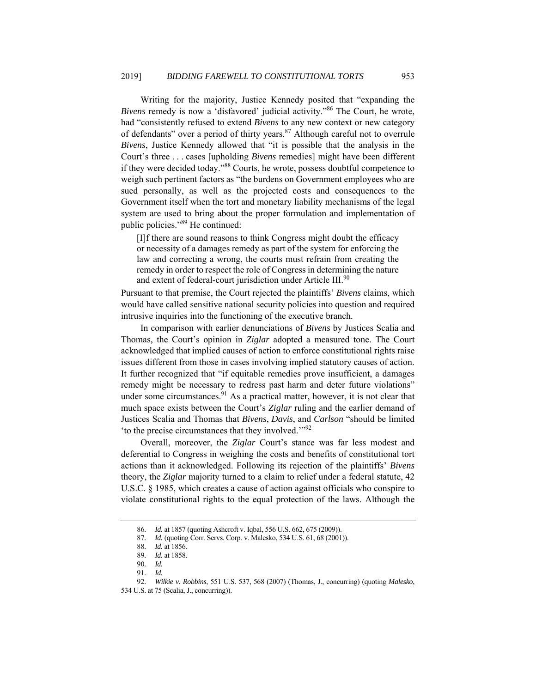Writing for the majority, Justice Kennedy posited that "expanding the *Bivens* remedy is now a 'disfavored' judicial activity."<sup>86</sup> The Court, he wrote, had "consistently refused to extend *Bivens* to any new context or new category of defendants" over a period of thirty years.<sup>87</sup> Although careful not to overrule *Bivens*, Justice Kennedy allowed that "it is possible that the analysis in the Court's three . . . cases [upholding *Bivens* remedies] might have been different if they were decided today."88 Courts, he wrote, possess doubtful competence to weigh such pertinent factors as "the burdens on Government employees who are sued personally, as well as the projected costs and consequences to the Government itself when the tort and monetary liability mechanisms of the legal system are used to bring about the proper formulation and implementation of public policies."89 He continued:

[I]f there are sound reasons to think Congress might doubt the efficacy or necessity of a damages remedy as part of the system for enforcing the law and correcting a wrong, the courts must refrain from creating the remedy in order to respect the role of Congress in determining the nature and extent of federal-court jurisdiction under Article III.<sup>90</sup>

Pursuant to that premise, the Court rejected the plaintiffs' *Bivens* claims, which would have called sensitive national security policies into question and required intrusive inquiries into the functioning of the executive branch.

In comparison with earlier denunciations of *Bivens* by Justices Scalia and Thomas, the Court's opinion in *Ziglar* adopted a measured tone. The Court acknowledged that implied causes of action to enforce constitutional rights raise issues different from those in cases involving implied statutory causes of action. It further recognized that "if equitable remedies prove insufficient, a damages remedy might be necessary to redress past harm and deter future violations" under some circumstances. $91$  As a practical matter, however, it is not clear that much space exists between the Court's *Ziglar* ruling and the earlier demand of Justices Scalia and Thomas that *Bivens*, *Davis*, and *Carlson* "should be limited 'to the precise circumstances that they involved.'"92

Overall, moreover, the *Ziglar* Court's stance was far less modest and deferential to Congress in weighing the costs and benefits of constitutional tort actions than it acknowledged. Following its rejection of the plaintiffs' *Bivens* theory, the *Ziglar* majority turned to a claim to relief under a federal statute, 42 U.S.C. § 1985, which creates a cause of action against officials who conspire to violate constitutional rights to the equal protection of the laws. Although the

<sup>86</sup>*. Id.* at 1857 (quoting Ashcroft v. Iqbal, 556 U.S. 662, 675 (2009)).

<sup>87</sup>*. Id.* (quoting Corr. Servs. Corp. v. Malesko, 534 U.S. 61, 68 (2001)).

<sup>88</sup>*. Id.* at 1856.

<sup>89</sup>*. Id.* at 1858.

<sup>90</sup>*. Id.* 

<sup>91</sup>*. Id.*

<sup>92</sup>*. Wilkie v. Robbins*, 551 U.S. 537, 568 (2007) (Thomas, J., concurring) (quoting *Malesko*,

<sup>534</sup> U.S. at 75 (Scalia, J., concurring)).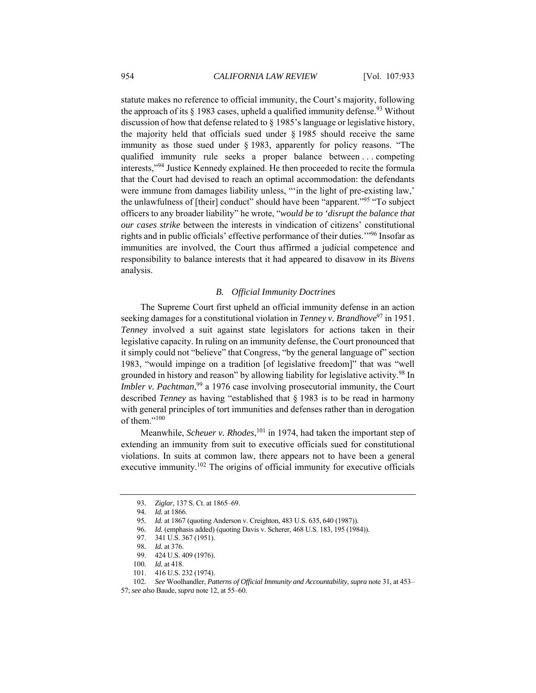statute makes no reference to official immunity, the Court's majority, following the approach of its  $\S$  1983 cases, upheld a qualified immunity defense.<sup>93</sup> Without discussion of how that defense related to § 1985's language or legislative history, the majority held that officials sued under  $\S$  1985 should receive the same immunity as those sued under § 1983, apparently for policy reasons. "The qualified immunity rule seeks a proper balance between . . . competing interests,"94 Justice Kennedy explained. He then proceeded to recite the formula that the Court had devised to reach an optimal accommodation: the defendants were immune from damages liability unless, "'in the light of pre-existing law,' the unlawfulness of [their] conduct" should have been "apparent."95 "To subject officers to any broader liability" he wrote, "*would be to 'disrupt the balance that our cases strike* between the interests in vindication of citizens' constitutional rights and in public officials' effective performance of their duties.'"96 Insofar as immunities are involved, the Court thus affirmed a judicial competence and responsibility to balance interests that it had appeared to disavow in its *Bivens* analysis.

# *B. Official Immunity Doctrines*

The Supreme Court first upheld an official immunity defense in an action seeking damages for a constitutional violation in *Tenney v. Brandhove*<sup>97</sup> in 1951. *Tenney* involved a suit against state legislators for actions taken in their legislative capacity. In ruling on an immunity defense, the Court pronounced that it simply could not "believe" that Congress, "by the general language of" section 1983, "would impinge on a tradition [of legislative freedom]" that was "well grounded in history and reason" by allowing liability for legislative activity.<sup>98</sup> In *Imbler v. Pachtman*,<sup>99</sup> a 1976 case involving prosecutorial immunity, the Court described *Tenney* as having "established that § 1983 is to be read in harmony with general principles of tort immunities and defenses rather than in derogation of them."<sup>100</sup>

Meanwhile, *Scheuer v. Rhodes*, 101 in 1974, had taken the important step of extending an immunity from suit to executive officials sued for constitutional violations. In suits at common law, there appears not to have been a general executive immunity.<sup>102</sup> The origins of official immunity for executive officials

<sup>93</sup>*. Ziglar*, 137 S. Ct. at 1865–69.

<sup>94</sup>*. Id.* at 1866.

<sup>95</sup>*. Id.* at 1867 (quoting Anderson v. Creighton, 483 U.S. 635, 640 (1987)).

<sup>96</sup>*. Id.* (emphasis added) (quoting Davis v. Scherer, 468 U.S. 183, 195 (1984)).

 <sup>97. 341</sup> U.S. 367 (1951).

<sup>98</sup>*. Id.* at 376.

 <sup>99. 424</sup> U.S. 409 (1976).

<sup>100</sup>*. Id.* at 418.

 <sup>101. 416</sup> U.S. 232 (1974).

<sup>102</sup>*. See* Woolhandler, *Patterns of Official Immunity and Accountability*, *supra* note 31, at 453–

<sup>57;</sup> *see also* Baude, *supra* note 12, at 55–60.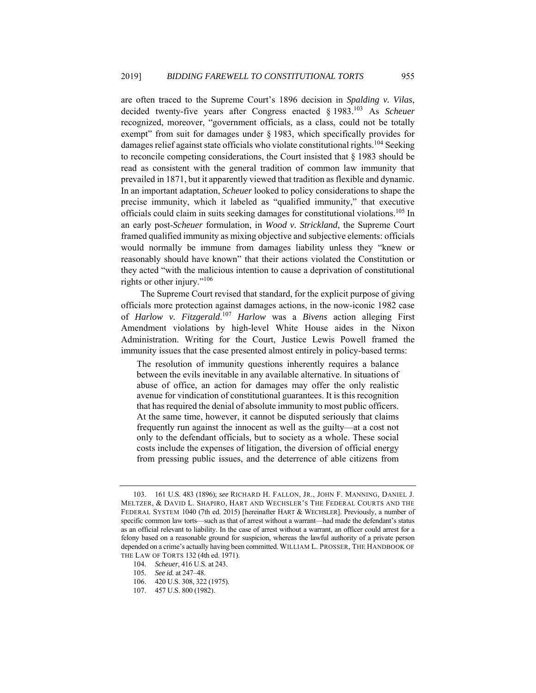are often traced to the Supreme Court's 1896 decision in *Spalding v. Vilas*, decided twenty-five years after Congress enacted § 1983.103 As *Scheuer* recognized, moreover, "government officials, as a class, could not be totally exempt" from suit for damages under § 1983, which specifically provides for damages relief against state officials who violate constitutional rights.<sup>104</sup> Seeking to reconcile competing considerations, the Court insisted that § 1983 should be read as consistent with the general tradition of common law immunity that prevailed in 1871, but it apparently viewed that tradition as flexible and dynamic. In an important adaptation, *Scheuer* looked to policy considerations to shape the precise immunity, which it labeled as "qualified immunity," that executive officials could claim in suits seeking damages for constitutional violations.105 In an early post-*Scheuer* formulation, in *Wood v. Strickland*, the Supreme Court framed qualified immunity as mixing objective and subjective elements: officials would normally be immune from damages liability unless they "knew or reasonably should have known" that their actions violated the Constitution or they acted "with the malicious intention to cause a deprivation of constitutional rights or other injury."106

The Supreme Court revised that standard, for the explicit purpose of giving officials more protection against damages actions, in the now-iconic 1982 case of *Harlow v. Fitzgerald*. <sup>107</sup> *Harlow* was a *Bivens* action alleging First Amendment violations by high-level White House aides in the Nixon Administration. Writing for the Court, Justice Lewis Powell framed the immunity issues that the case presented almost entirely in policy-based terms:

The resolution of immunity questions inherently requires a balance between the evils inevitable in any available alternative. In situations of abuse of office, an action for damages may offer the only realistic avenue for vindication of constitutional guarantees. It is this recognition that has required the denial of absolute immunity to most public officers. At the same time, however, it cannot be disputed seriously that claims frequently run against the innocent as well as the guilty—at a cost not only to the defendant officials, but to society as a whole. These social costs include the expenses of litigation, the diversion of official energy from pressing public issues, and the deterrence of able citizens from

 <sup>103. 161</sup> U.S. 483 (1896); *see* RICHARD H. FALLON, JR., JOHN F. MANNING, DANIEL J. MELTZER, & DAVID L. SHAPIRO, HART AND WECHSLER'S THE FEDERAL COURTS AND THE FEDERAL SYSTEM 1040 (7th ed. 2015) [hereinafter HART & WECHSLER]. Previously, a number of specific common law torts—such as that of arrest without a warrant—had made the defendant's status as an official relevant to liability. In the case of arrest without a warrant, an officer could arrest for a felony based on a reasonable ground for suspicion, whereas the lawful authority of a private person depended on a crime's actually having been committed. WILLIAM L. PROSSER, THE HANDBOOK OF THE LAW OF TORTS 132 (4th ed. 1971).

<sup>104</sup>*. Scheuer*, 416 U.S. at 243.

<sup>105</sup>*. See id.* at 247–48.

 <sup>106. 420</sup> U.S. 308, 322 (1975).

 <sup>107. 457</sup> U.S. 800 (1982).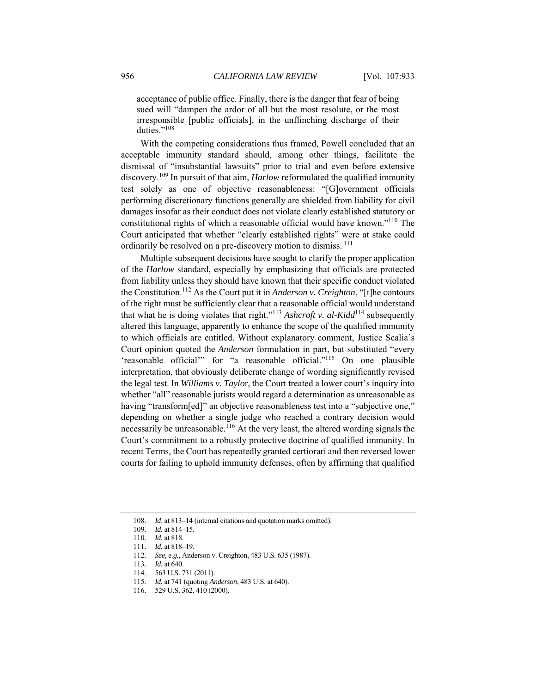acceptance of public office. Finally, there is the danger that fear of being sued will "dampen the ardor of all but the most resolute, or the most irresponsible [public officials], in the unflinching discharge of their duties."<sup>108</sup>

With the competing considerations thus framed, Powell concluded that an acceptable immunity standard should, among other things, facilitate the dismissal of "insubstantial lawsuits" prior to trial and even before extensive discovery.109 In pursuit of that aim, *Harlow* reformulated the qualified immunity test solely as one of objective reasonableness: "[G]overnment officials performing discretionary functions generally are shielded from liability for civil damages insofar as their conduct does not violate clearly established statutory or constitutional rights of which a reasonable official would have known."110 The Court anticipated that whether "clearly established rights" were at stake could ordinarily be resolved on a pre-discovery motion to dismiss. 111

Multiple subsequent decisions have sought to clarify the proper application of the *Harlow* standard, especially by emphasizing that officials are protected from liability unless they should have known that their specific conduct violated the Constitution.112 As the Court put it in *Anderson v. Creighton*, "[t]he contours of the right must be sufficiently clear that a reasonable official would understand that what he is doing violates that right."113 *Ashcroft v. al-Kidd*114 subsequently altered this language, apparently to enhance the scope of the qualified immunity to which officials are entitled. Without explanatory comment, Justice Scalia's Court opinion quoted the *Anderson* formulation in part, but substituted "every 'reasonable official'" for "a reasonable official."115 On one plausible interpretation, that obviously deliberate change of wording significantly revised the legal test. In *Williams v. Taylo*r, the Court treated a lower court's inquiry into whether "all" reasonable jurists would regard a determination as unreasonable as having "transform[ed]" an objective reasonableness test into a "subjective one," depending on whether a single judge who reached a contrary decision would necessarily be unreasonable.116 At the very least, the altered wording signals the Court's commitment to a robustly protective doctrine of qualified immunity. In recent Terms, the Court has repeatedly granted certiorari and then reversed lower courts for failing to uphold immunity defenses, often by affirming that qualified

<sup>108</sup>*. Id*. at 813–14 (internal citations and quotation marks omitted).

<sup>109</sup>*. Id.* at 814–15.

<sup>110</sup>*. Id.* at 818.

<sup>111</sup>*. Id.* at 818–19.

<sup>112</sup>*. See, e.g.*, Anderson v. Creighton, 483 U.S. 635 (1987).

<sup>113</sup>*. Id.* at 640.

 <sup>114. 563</sup> U.S. 731 (2011).

<sup>115</sup>*. Id.* at 741 (quoting *Anderson*, 483 U.S. at 640).

 <sup>116. 529</sup> U.S. 362, 410 (2000).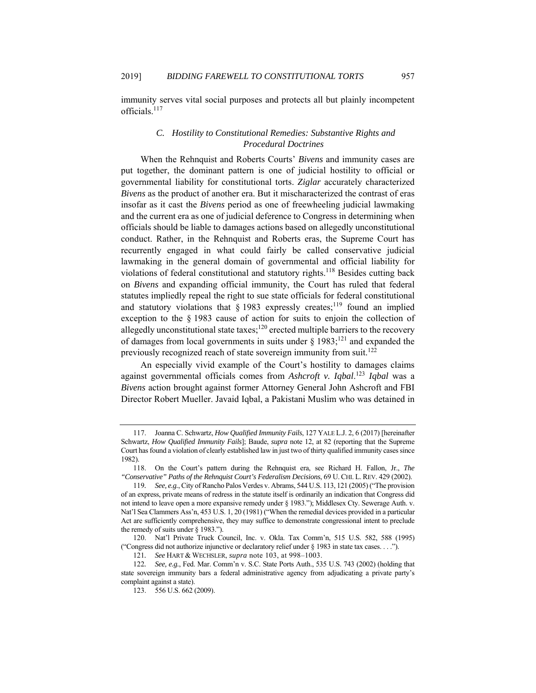immunity serves vital social purposes and protects all but plainly incompetent officials.<sup>117</sup>

# *C. Hostility to Constitutional Remedies: Substantive Rights and Procedural Doctrines*

When the Rehnquist and Roberts Courts' *Bivens* and immunity cases are put together, the dominant pattern is one of judicial hostility to official or governmental liability for constitutional torts. *Ziglar* accurately characterized *Bivens* as the product of another era. But it mischaracterized the contrast of eras insofar as it cast the *Bivens* period as one of freewheeling judicial lawmaking and the current era as one of judicial deference to Congress in determining when officials should be liable to damages actions based on allegedly unconstitutional conduct. Rather, in the Rehnquist and Roberts eras, the Supreme Court has recurrently engaged in what could fairly be called conservative judicial lawmaking in the general domain of governmental and official liability for violations of federal constitutional and statutory rights.<sup>118</sup> Besides cutting back on *Bivens* and expanding official immunity, the Court has ruled that federal statutes impliedly repeal the right to sue state officials for federal constitutional and statutory violations that  $\S$  1983 expressly creates;<sup>119</sup> found an implied exception to the § 1983 cause of action for suits to enjoin the collection of allegedly unconstitutional state taxes;<sup>120</sup> erected multiple barriers to the recovery of damages from local governments in suits under  $\S 1983$ ;<sup>121</sup> and expanded the previously recognized reach of state sovereign immunity from suit.<sup>122</sup>

An especially vivid example of the Court's hostility to damages claims against governmental officials comes from *Ashcroft v. Iqbal*. <sup>123</sup> *Iqbal* was a *Bivens* action brought against former Attorney General John Ashcroft and FBI Director Robert Mueller. Javaid Iqbal, a Pakistani Muslim who was detained in

 <sup>117.</sup> Joanna C. Schwartz, *How Qualified Immunity Fails*, 127 YALE L.J. 2, 6 (2017) [hereinafter Schwartz, *How Qualified Immunity Fails*]; Baude, *supra* note 12, at 82 (reporting that the Supreme Court has found a violation of clearly established law in just two of thirty qualified immunity cases since 1982).

 <sup>118.</sup> On the Court's pattern during the Rehnquist era, see Richard H. Fallon, Jr., *The "Conservative" Paths of the Rehnquist Court's Federalism Decisions*, 69 U. CHI. L. REV. 429 (2002).

<sup>119</sup>*. See, e.g.*, City of Rancho Palos Verdes v. Abrams, 544 U.S. 113, 121 (2005) ("The provision of an express, private means of redress in the statute itself is ordinarily an indication that Congress did not intend to leave open a more expansive remedy under § 1983."); Middlesex Cty. Sewerage Auth. v. Nat'l Sea Clammers Ass'n, 453 U.S. 1, 20 (1981) ("When the remedial devices provided in a particular Act are sufficiently comprehensive, they may suffice to demonstrate congressional intent to preclude the remedy of suits under  $\S$  1983.").

 <sup>120.</sup> Nat'l Private Truck Council, Inc. v. Okla. Tax Comm'n, 515 U.S. 582, 588 (1995) ("Congress did not authorize injunctive or declaratory relief under § 1983 in state tax cases. . . .").

<sup>121</sup>*. See* HART & WECHSLER, *supra* note 103, at 998–1003.

<sup>122</sup>*. See, e.g.*, Fed. Mar. Comm'n v. S.C. State Ports Auth., 535 U.S. 743 (2002) (holding that state sovereign immunity bars a federal administrative agency from adjudicating a private party's complaint against a state).

 <sup>123. 556</sup> U.S. 662 (2009).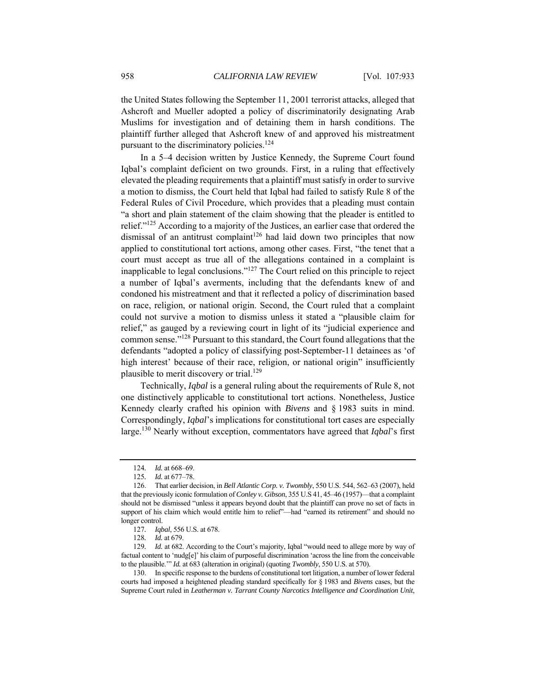the United States following the September 11, 2001 terrorist attacks, alleged that Ashcroft and Mueller adopted a policy of discriminatorily designating Arab Muslims for investigation and of detaining them in harsh conditions. The plaintiff further alleged that Ashcroft knew of and approved his mistreatment pursuant to the discriminatory policies.<sup>124</sup>

In a 5–4 decision written by Justice Kennedy, the Supreme Court found Iqbal's complaint deficient on two grounds. First, in a ruling that effectively elevated the pleading requirements that a plaintiff must satisfy in order to survive a motion to dismiss, the Court held that Iqbal had failed to satisfy Rule 8 of the Federal Rules of Civil Procedure, which provides that a pleading must contain "a short and plain statement of the claim showing that the pleader is entitled to relief."125 According to a majority of the Justices, an earlier case that ordered the dismissal of an antitrust complaint<sup>126</sup> had laid down two principles that now applied to constitutional tort actions, among other cases. First, "the tenet that a court must accept as true all of the allegations contained in a complaint is inapplicable to legal conclusions."127 The Court relied on this principle to reject a number of Iqbal's averments, including that the defendants knew of and condoned his mistreatment and that it reflected a policy of discrimination based on race, religion, or national origin. Second, the Court ruled that a complaint could not survive a motion to dismiss unless it stated a "plausible claim for relief," as gauged by a reviewing court in light of its "judicial experience and common sense."128 Pursuant to this standard, the Court found allegations that the defendants "adopted a policy of classifying post-September-11 detainees as 'of high interest' because of their race, religion, or national origin" insufficiently plausible to merit discovery or trial.<sup>129</sup>

Technically, *Iqbal* is a general ruling about the requirements of Rule 8, not one distinctively applicable to constitutional tort actions. Nonetheless, Justice Kennedy clearly crafted his opinion with *Bivens* and § 1983 suits in mind. Correspondingly, *Iqbal*'s implications for constitutional tort cases are especially large.130 Nearly without exception, commentators have agreed that *Iqbal*'s first

<sup>124</sup>*. Id.* at 668–69.

<sup>125</sup>*. Id.* at 677–78.

 <sup>126.</sup> That earlier decision, in *Bell Atlantic Corp. v. Twombly*, 550 U.S. 544, 562–63 (2007), held that the previously iconic formulation of *Conley v. Gibson*, 355 U.S 41, 45–46 (1957)—that a complaint should not be dismissed "unless it appears beyond doubt that the plaintiff can prove no set of facts in support of his claim which would entitle him to relief"—had "earned its retirement" and should no longer control.

<sup>127</sup>*. Iqbal*, 556 U.S. at 678.

<sup>128</sup>*. Id.* at 679.

<sup>129.</sup> *Id.* at 682. According to the Court's majority, Iqbal "would need to allege more by way of factual content to 'nudg[e]' his claim of purposeful discrimination 'across the line from the conceivable to the plausible.'" *Id.* at 683 (alteration in original) (quoting *Twombly*, 550 U.S. at 570).

 <sup>130.</sup> In specific response to the burdens of constitutional tort litigation, a number of lower federal courts had imposed a heightened pleading standard specifically for § 1983 and *Bivens* cases, but the Supreme Court ruled in *Leatherman v. Tarrant County Narcotics Intelligence and Coordination Unit*,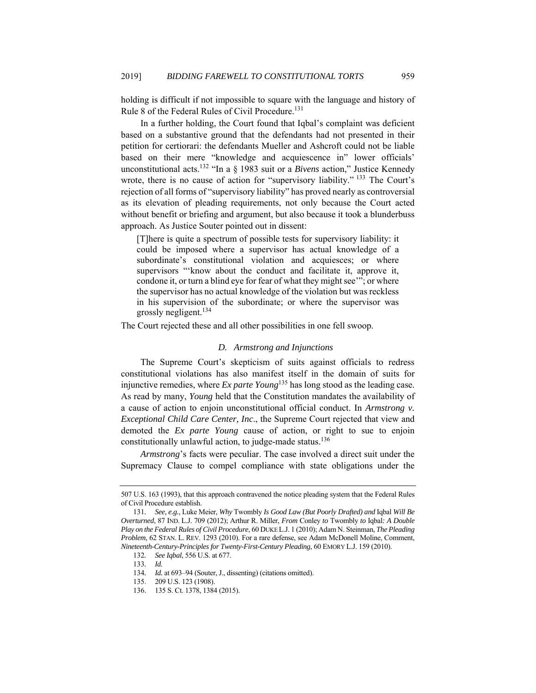holding is difficult if not impossible to square with the language and history of Rule 8 of the Federal Rules of Civil Procedure.<sup>131</sup>

In a further holding, the Court found that Iqbal's complaint was deficient based on a substantive ground that the defendants had not presented in their petition for certiorari: the defendants Mueller and Ashcroft could not be liable based on their mere "knowledge and acquiescence in" lower officials' unconstitutional acts.132 "In a § 1983 suit or a *Bivens* action," Justice Kennedy wrote, there is no cause of action for "supervisory liability." <sup>133</sup> The Court's rejection of all forms of "supervisory liability" has proved nearly as controversial as its elevation of pleading requirements, not only because the Court acted without benefit or briefing and argument, but also because it took a blunderbuss approach. As Justice Souter pointed out in dissent:

[T]here is quite a spectrum of possible tests for supervisory liability: it could be imposed where a supervisor has actual knowledge of a subordinate's constitutional violation and acquiesces; or where supervisors "'know about the conduct and facilitate it, approve it, condone it, or turn a blind eye for fear of what they might see'"; or where the supervisor has no actual knowledge of the violation but was reckless in his supervision of the subordinate; or where the supervisor was grossly negligent.134

The Court rejected these and all other possibilities in one fell swoop.

# *D. Armstrong and Injunctions*

The Supreme Court's skepticism of suits against officials to redress constitutional violations has also manifest itself in the domain of suits for injunctive remedies, where *Ex parte Young*135 has long stood as the leading case. As read by many, *Young* held that the Constitution mandates the availability of a cause of action to enjoin unconstitutional official conduct. In *Armstrong v. Exceptional Child Care Center, Inc*., the Supreme Court rejected that view and demoted the *Ex parte Young* cause of action, or right to sue to enjoin constitutionally unlawful action, to judge-made status.<sup>136</sup>

*Armstrong*'s facts were peculiar. The case involved a direct suit under the Supremacy Clause to compel compliance with state obligations under the

<sup>507</sup> U.S. 163 (1993), that this approach contravened the notice pleading system that the Federal Rules of Civil Procedure establish.

<sup>131</sup>*. See, e.g.*, Luke Meier, *Why* Twombly *Is Good Law (But Poorly Drafted) and* Iqbal *Will Be Overturned*, 87 IND. L.J. 709 (2012); Arthur R. Miller, *From* Conley *to* Twombly *to* Iqbal*: A Double Play on the Federal Rules of Civil Procedure*, 60 DUKE L.J. 1 (2010); Adam N. Steinman, *The Pleading Problem*, 62 STAN. L. REV. 1293 (2010). For a rare defense, see Adam McDonell Moline, Comment, *Nineteenth-Century-Principles for Twenty-First-Century Pleading*, 60 EMORY L.J. 159 (2010).

<sup>132</sup>*. See Iqbal*, 556 U.S. at 677.

<sup>133</sup>*. Id.*

<sup>134</sup>*. Id.* at 693–94 (Souter, J., dissenting) (citations omitted).

 <sup>135. 209</sup> U.S. 123 (1908).

 <sup>136. 135</sup> S. Ct. 1378, 1384 (2015).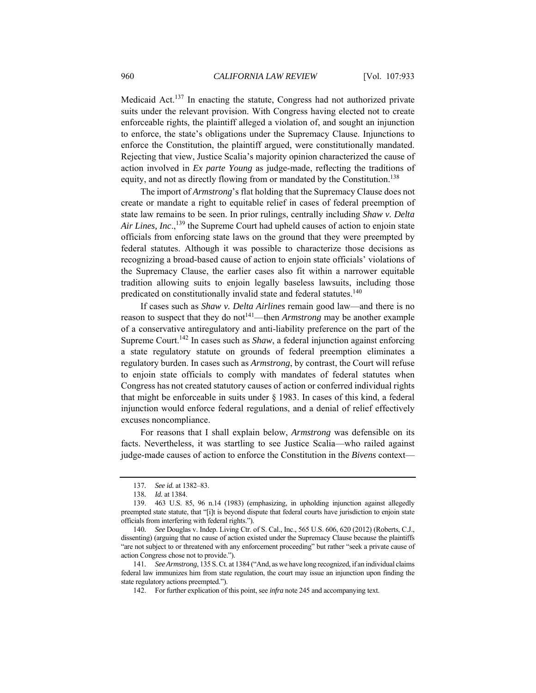Medicaid Act.137 In enacting the statute, Congress had not authorized private suits under the relevant provision. With Congress having elected not to create enforceable rights, the plaintiff alleged a violation of, and sought an injunction to enforce, the state's obligations under the Supremacy Clause. Injunctions to enforce the Constitution, the plaintiff argued, were constitutionally mandated. Rejecting that view, Justice Scalia's majority opinion characterized the cause of action involved in *Ex parte Young* as judge-made, reflecting the traditions of equity, and not as directly flowing from or mandated by the Constitution.<sup>138</sup>

The import of *Armstrong*'s flat holding that the Supremacy Clause does not create or mandate a right to equitable relief in cases of federal preemption of state law remains to be seen. In prior rulings, centrally including *Shaw v. Delta*  Air Lines, Inc.,<sup>139</sup> the Supreme Court had upheld causes of action to enjoin state officials from enforcing state laws on the ground that they were preempted by federal statutes. Although it was possible to characterize those decisions as recognizing a broad-based cause of action to enjoin state officials' violations of the Supremacy Clause, the earlier cases also fit within a narrower equitable tradition allowing suits to enjoin legally baseless lawsuits, including those predicated on constitutionally invalid state and federal statutes.<sup>140</sup>

If cases such as *Shaw v. Delta Airlines* remain good law—and there is no reason to suspect that they do not<sup>141</sup>—then *Armstrong* may be another example of a conservative antiregulatory and anti-liability preference on the part of the Supreme Court.142 In cases such as *Shaw*, a federal injunction against enforcing a state regulatory statute on grounds of federal preemption eliminates a regulatory burden. In cases such as *Armstrong*, by contrast, the Court will refuse to enjoin state officials to comply with mandates of federal statutes when Congress has not created statutory causes of action or conferred individual rights that might be enforceable in suits under § 1983. In cases of this kind, a federal injunction would enforce federal regulations, and a denial of relief effectively excuses noncompliance.

For reasons that I shall explain below, *Armstrong* was defensible on its facts. Nevertheless, it was startling to see Justice Scalia—who railed against judge-made causes of action to enforce the Constitution in the *Bivens* context—

<sup>137</sup>*. See id.* at 1382–83.

<sup>138</sup>*. Id.* at 1384.

 <sup>139. 463</sup> U.S. 85, 96 n.14 (1983) (emphasizing, in upholding injunction against allegedly preempted state statute, that "[i]t is beyond dispute that federal courts have jurisdiction to enjoin state officials from interfering with federal rights.").

<sup>140</sup>*. See* Douglas v. Indep. Living Ctr. of S. Cal., Inc., 565 U.S. 606, 620 (2012) (Roberts, C.J., dissenting) (arguing that no cause of action existed under the Supremacy Clause because the plaintiffs "are not subject to or threatened with any enforcement proceeding" but rather "seek a private cause of action Congress chose not to provide.").

<sup>141</sup>*. See Armstrong*, 135 S. Ct. at 1384 ("And, as we have long recognized, if an individual claims federal law immunizes him from state regulation, the court may issue an injunction upon finding the state regulatory actions preempted.").

 <sup>142.</sup> For further explication of this point, see *infra* note 245 and accompanying text.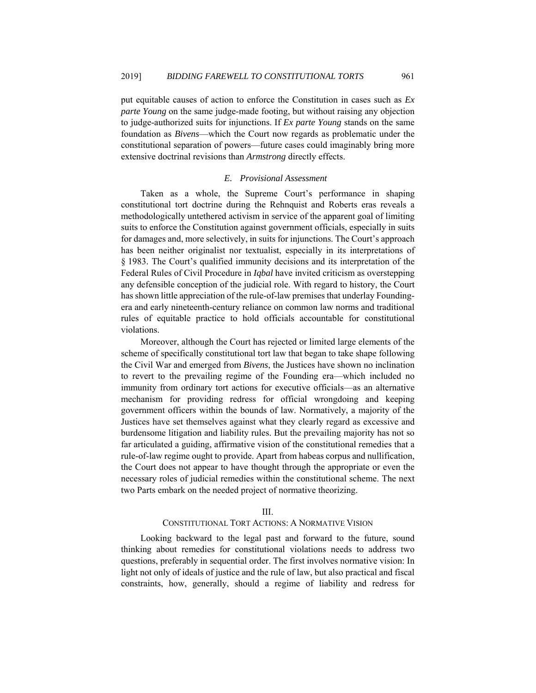put equitable causes of action to enforce the Constitution in cases such as *Ex parte Young* on the same judge-made footing, but without raising any objection to judge-authorized suits for injunctions. If *Ex parte Young* stands on the same foundation as *Bivens*—which the Court now regards as problematic under the constitutional separation of powers—future cases could imaginably bring more extensive doctrinal revisions than *Armstrong* directly effects.

## *E. Provisional Assessment*

Taken as a whole, the Supreme Court's performance in shaping constitutional tort doctrine during the Rehnquist and Roberts eras reveals a methodologically untethered activism in service of the apparent goal of limiting suits to enforce the Constitution against government officials, especially in suits for damages and, more selectively, in suits for injunctions. The Court's approach has been neither originalist nor textualist, especially in its interpretations of § 1983. The Court's qualified immunity decisions and its interpretation of the Federal Rules of Civil Procedure in *Iqbal* have invited criticism as overstepping any defensible conception of the judicial role. With regard to history, the Court has shown little appreciation of the rule-of-law premises that underlay Foundingera and early nineteenth-century reliance on common law norms and traditional rules of equitable practice to hold officials accountable for constitutional violations.

Moreover, although the Court has rejected or limited large elements of the scheme of specifically constitutional tort law that began to take shape following the Civil War and emerged from *Bivens*, the Justices have shown no inclination to revert to the prevailing regime of the Founding era—which included no immunity from ordinary tort actions for executive officials—as an alternative mechanism for providing redress for official wrongdoing and keeping government officers within the bounds of law. Normatively, a majority of the Justices have set themselves against what they clearly regard as excessive and burdensome litigation and liability rules. But the prevailing majority has not so far articulated a guiding, affirmative vision of the constitutional remedies that a rule-of-law regime ought to provide. Apart from habeas corpus and nullification, the Court does not appear to have thought through the appropriate or even the necessary roles of judicial remedies within the constitutional scheme. The next two Parts embark on the needed project of normative theorizing.

#### III.

# CONSTITUTIONAL TORT ACTIONS: A NORMATIVE VISION

Looking backward to the legal past and forward to the future, sound thinking about remedies for constitutional violations needs to address two questions, preferably in sequential order. The first involves normative vision: In light not only of ideals of justice and the rule of law, but also practical and fiscal constraints, how, generally, should a regime of liability and redress for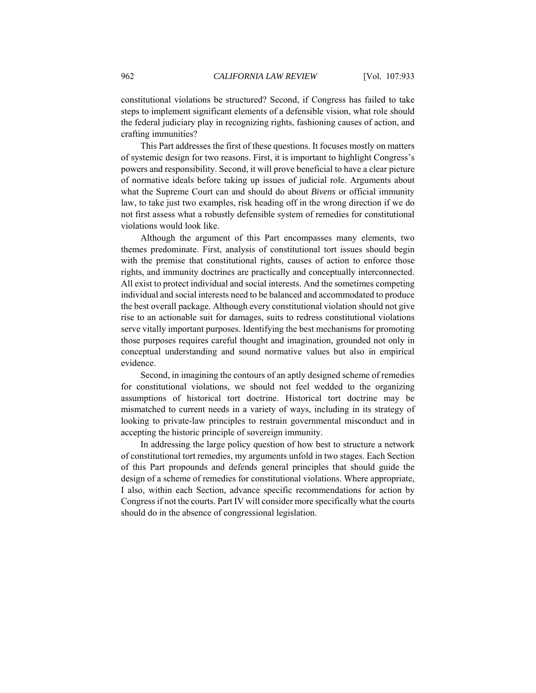constitutional violations be structured? Second, if Congress has failed to take steps to implement significant elements of a defensible vision, what role should the federal judiciary play in recognizing rights, fashioning causes of action, and crafting immunities?

This Part addresses the first of these questions. It focuses mostly on matters of systemic design for two reasons. First, it is important to highlight Congress's powers and responsibility. Second, it will prove beneficial to have a clear picture of normative ideals before taking up issues of judicial role. Arguments about what the Supreme Court can and should do about *Bivens* or official immunity law, to take just two examples, risk heading off in the wrong direction if we do not first assess what a robustly defensible system of remedies for constitutional violations would look like.

Although the argument of this Part encompasses many elements, two themes predominate. First, analysis of constitutional tort issues should begin with the premise that constitutional rights, causes of action to enforce those rights, and immunity doctrines are practically and conceptually interconnected. All exist to protect individual and social interests. And the sometimes competing individual and social interests need to be balanced and accommodated to produce the best overall package. Although every constitutional violation should not give rise to an actionable suit for damages, suits to redress constitutional violations serve vitally important purposes. Identifying the best mechanisms for promoting those purposes requires careful thought and imagination, grounded not only in conceptual understanding and sound normative values but also in empirical evidence.

Second, in imagining the contours of an aptly designed scheme of remedies for constitutional violations, we should not feel wedded to the organizing assumptions of historical tort doctrine. Historical tort doctrine may be mismatched to current needs in a variety of ways, including in its strategy of looking to private-law principles to restrain governmental misconduct and in accepting the historic principle of sovereign immunity.

In addressing the large policy question of how best to structure a network of constitutional tort remedies, my arguments unfold in two stages. Each Section of this Part propounds and defends general principles that should guide the design of a scheme of remedies for constitutional violations. Where appropriate, I also, within each Section, advance specific recommendations for action by Congress if not the courts. Part IV will consider more specifically what the courts should do in the absence of congressional legislation.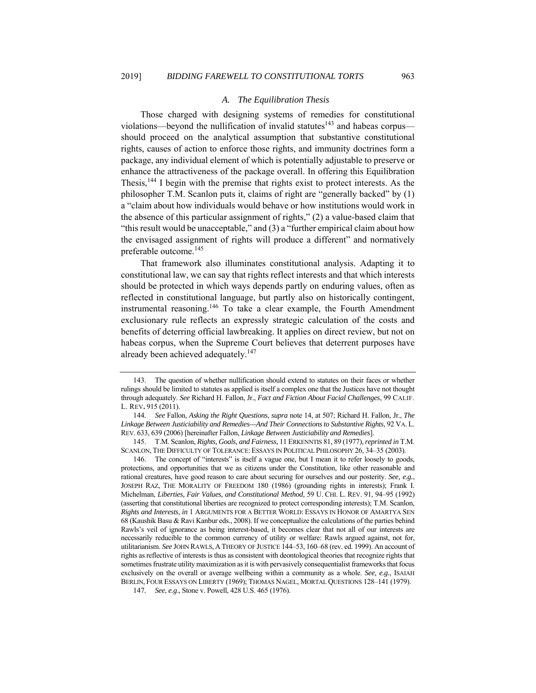#### *A. The Equilibration Thesis*

Those charged with designing systems of remedies for constitutional violations—beyond the nullification of invalid statutes<sup>143</sup> and habeas corpus should proceed on the analytical assumption that substantive constitutional rights, causes of action to enforce those rights, and immunity doctrines form a package, any individual element of which is potentially adjustable to preserve or enhance the attractiveness of the package overall. In offering this Equilibration Thesis,<sup>144</sup> I begin with the premise that rights exist to protect interests. As the philosopher T.M. Scanlon puts it, claims of right are "generally backed" by (1) a "claim about how individuals would behave or how institutions would work in the absence of this particular assignment of rights," (2) a value-based claim that "this result would be unacceptable," and (3) a "further empirical claim about how the envisaged assignment of rights will produce a different" and normatively preferable outcome.<sup>145</sup>

That framework also illuminates constitutional analysis. Adapting it to constitutional law, we can say that rights reflect interests and that which interests should be protected in which ways depends partly on enduring values, often as reflected in constitutional language, but partly also on historically contingent, instrumental reasoning.146 To take a clear example, the Fourth Amendment exclusionary rule reflects an expressly strategic calculation of the costs and benefits of deterring official lawbreaking. It applies on direct review, but not on habeas corpus, when the Supreme Court believes that deterrent purposes have already been achieved adequately.<sup>147</sup>

 145. T.M. Scanlon, *Rights, Goals, and Fairness*, 11 ERKENNTIS 81, 89 (1977), *reprinted in* T.M. SCANLON, THE DIFFICULTY OF TOLERANCE: ESSAYS IN POLITICAL PHILOSOPHY 26, 34–35 (2003).

 146. The concept of "interests" is itself a vague one, but I mean it to refer loosely to goods, protections, and opportunities that we as citizens under the Constitution, like other reasonable and rational creatures, have good reason to care about securing for ourselves and our posterity. *See, e.g.*, JOSEPH RAZ, THE MORALITY OF FREEDOM 180 (1986) (grounding rights in interests); Frank I. Michelman, *Liberties, Fair Values, and Constitutional Method*, 59 U. CHI. L. REV. 91, 94–95 (1992) (asserting that constitutional liberties are recognized to protect corresponding interests); T.M. Scanlon, *Rights and Interests*, *in* 1 ARGUMENTS FOR A BETTER WORLD: ESSAYS IN HONOR OF AMARTYA SEN 68 (Kaushik Basu & Ravi Kanbur eds., 2008). If we conceptualize the calculations of the parties behind Rawls's veil of ignorance as being interest-based, it becomes clear that not all of our interests are necessarily reducible to the common currency of utility or welfare: Rawls argued against, not for, utilitarianism. *See* JOHN RAWLS, A THEORY OF JUSTICE 144–53, 160–68 (rev. ed. 1999). An account of rights as reflective of interests is thus as consistent with deontological theories that recognize rights that sometimes frustrate utility maximization as it is with pervasively consequentialist frameworks that focus exclusively on the overall or average wellbeing within a community as a whole. *See, e.g.*, ISAIAH BERLIN, FOUR ESSAYS ON LIBERTY (1969); THOMAS NAGEL, MORTAL QUESTIONS 128–141 (1979).

147*. See*, *e.g*., Stone v. Powell, 428 U.S. 465 (1976).

 <sup>143.</sup> The question of whether nullification should extend to statutes on their faces or whether rulings should be limited to statutes as applied is itself a complex one that the Justices have not thought through adequately. *See* Richard H. Fallon, Jr., *Fact and Fiction About Facial Challenges*, 99 CALIF. L. REV**.** 915 (2011).

<sup>144</sup>*. See* Fallon, *Asking the Right Questions*, *supra* note 14, at 507; Richard H. Fallon, Jr., *The Linkage Between Justiciability and Remedies—And Their Connections to Substantive Rights*, 92 VA. L. REV. 633, 639 (2006) [hereinafter Fallon, *Linkage Between Justiciability and Remedies*].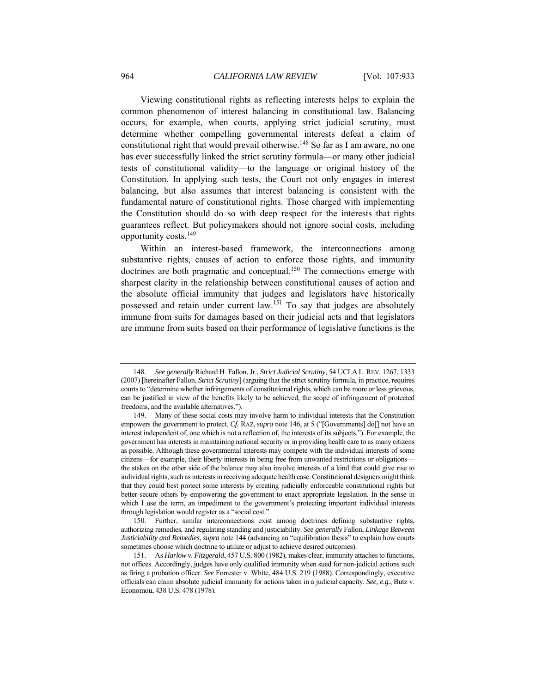Viewing constitutional rights as reflecting interests helps to explain the common phenomenon of interest balancing in constitutional law. Balancing occurs, for example, when courts, applying strict judicial scrutiny, must determine whether compelling governmental interests defeat a claim of constitutional right that would prevail otherwise.<sup>148</sup> So far as I am aware, no one has ever successfully linked the strict scrutiny formula—or many other judicial tests of constitutional validity—to the language or original history of the Constitution. In applying such tests, the Court not only engages in interest balancing, but also assumes that interest balancing is consistent with the fundamental nature of constitutional rights. Those charged with implementing the Constitution should do so with deep respect for the interests that rights guarantees reflect. But policymakers should not ignore social costs, including opportunity costs.149

Within an interest-based framework, the interconnections among substantive rights, causes of action to enforce those rights, and immunity doctrines are both pragmatic and conceptual.<sup>150</sup> The connections emerge with sharpest clarity in the relationship between constitutional causes of action and the absolute official immunity that judges and legislators have historically possessed and retain under current law.151 To say that judges are absolutely immune from suits for damages based on their judicial acts and that legislators are immune from suits based on their performance of legislative functions is the

 150. Further, similar interconnections exist among doctrines defining substantive rights, authorizing remedies, and regulating standing and justiciability. *See generally* Fallon, *Linkage Between Justiciability and Remedies*, *supra* note 144 (advancing an "equilibration thesis" to explain how courts sometimes choose which doctrine to utilize or adjust to achieve desired outcomes).

<sup>148</sup>*. See generally* Richard H. Fallon, Jr., *Strict Judicial Scrutiny*, 54 UCLA L.REV. 1267, 1333 (2007) [hereinafter Fallon, *Strict Scrutiny*] (arguing that the strict scrutiny formula, in practice, requires courts to "determine whether infringements of constitutional rights, which can be more or less grievous, can be justified in view of the benefits likely to be achieved, the scope of infringement of protected freedoms, and the available alternatives.").

 <sup>149.</sup> Many of these social costs may involve harm to individual interests that the Constitution empowers the government to protect. *Cf.* RAZ, *supra* note 146, at 5 ("[Governments] do[] not have an interest independent of, one which is not a reflection of, the interests of its subjects."). For example, the government has interests in maintaining national security or in providing health care to as many citizens as possible. Although these governmental interests may compete with the individual interests of some citizens—for example, their liberty interests in being free from unwanted restrictions or obligations the stakes on the other side of the balance may also involve interests of a kind that could give rise to individual rights, such as interests in receiving adequate health case. Constitutional designers might think that they could best protect some interests by creating judicially enforceable constitutional rights but better secure others by empowering the government to enact appropriate legislation. In the sense in which I use the term, an impediment to the government's protecting important individual interests through legislation would register as a "social cost."

 <sup>151.</sup> As *Harlow v. Fitzgerald*, 457 U.S. 800 (1982), makes clear, immunity attaches to functions, not offices. Accordingly, judges have only qualified immunity when sued for non-judicial actions such as firing a probation officer. *See* Forrester v. White, 484 U.S. 219 (1988). Correspondingly, executive officials can claim absolute judicial immunity for actions taken in a judicial capacity. *See, e.g.*, Butz v. Economou, 438 U.S. 478 (1978).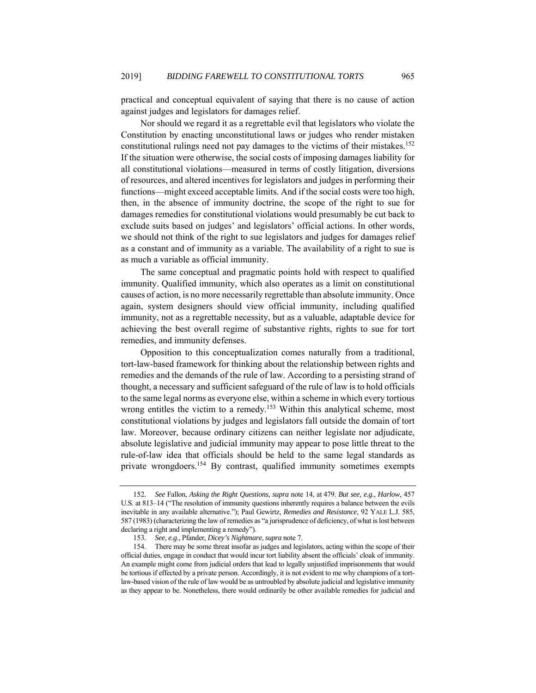practical and conceptual equivalent of saying that there is no cause of action against judges and legislators for damages relief.

Nor should we regard it as a regrettable evil that legislators who violate the Constitution by enacting unconstitutional laws or judges who render mistaken constitutional rulings need not pay damages to the victims of their mistakes.152 If the situation were otherwise, the social costs of imposing damages liability for all constitutional violations—measured in terms of costly litigation, diversions of resources, and altered incentives for legislators and judges in performing their functions—might exceed acceptable limits. And if the social costs were too high, then, in the absence of immunity doctrine, the scope of the right to sue for damages remedies for constitutional violations would presumably be cut back to exclude suits based on judges' and legislators' official actions. In other words, we should not think of the right to sue legislators and judges for damages relief as a constant and of immunity as a variable. The availability of a right to sue is as much a variable as official immunity.

The same conceptual and pragmatic points hold with respect to qualified immunity. Qualified immunity, which also operates as a limit on constitutional causes of action, is no more necessarily regrettable than absolute immunity. Once again, system designers should view official immunity, including qualified immunity, not as a regrettable necessity, but as a valuable, adaptable device for achieving the best overall regime of substantive rights, rights to sue for tort remedies, and immunity defenses.

Opposition to this conceptualization comes naturally from a traditional, tort-law-based framework for thinking about the relationship between rights and remedies and the demands of the rule of law. According to a persisting strand of thought, a necessary and sufficient safeguard of the rule of law is to hold officials to the same legal norms as everyone else, within a scheme in which every tortious wrong entitles the victim to a remedy.<sup>153</sup> Within this analytical scheme, most constitutional violations by judges and legislators fall outside the domain of tort law. Moreover, because ordinary citizens can neither legislate nor adjudicate, absolute legislative and judicial immunity may appear to pose little threat to the rule-of-law idea that officials should be held to the same legal standards as private wrongdoers.<sup>154</sup> By contrast, qualified immunity sometimes exempts

<sup>152</sup>*. See* Fallon, *Asking the Right Questions*, *supra* note 14, at 479. *But see, e.g.*, *Harlow*, 457 U.S. at 813–14 ("The resolution of immunity questions inherently requires a balance between the evils inevitable in any available alternative."); Paul Gewirtz, *Remedies and Resistance*, 92 YALE L.J. 585, 587 (1983) (characterizing the law of remedies as "a jurisprudence of deficiency, of what is lost between declaring a right and implementing a remedy").

<sup>153</sup>*. See*, *e.g*., Pfander, *Dicey's Nightmare*, *supra* note 7.

 <sup>154.</sup> There may be some threat insofar as judges and legislators, acting within the scope of their official duties, engage in conduct that would incur tort liability absent the officials' cloak of immunity. An example might come from judicial orders that lead to legally unjustified imprisonments that would be tortious if effected by a private person. Accordingly, it is not evident to me why champions of a tortlaw-based vision of the rule of law would be as untroubled by absolute judicial and legislative immunity as they appear to be. Nonetheless, there would ordinarily be other available remedies for judicial and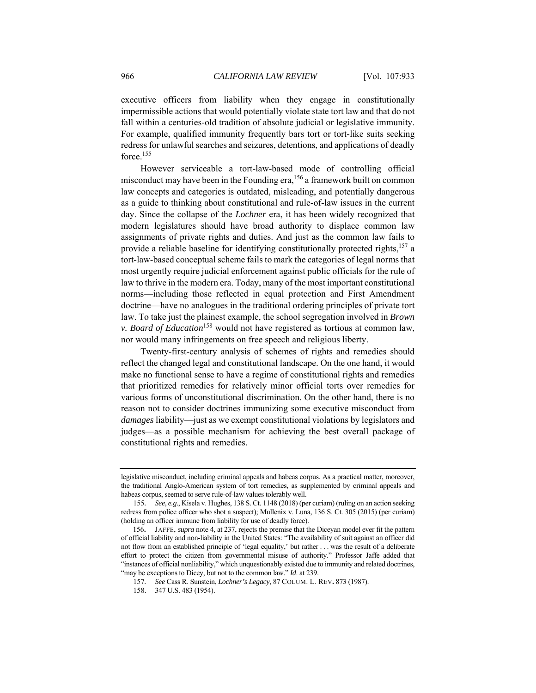executive officers from liability when they engage in constitutionally impermissible actions that would potentially violate state tort law and that do not fall within a centuries-old tradition of absolute judicial or legislative immunity. For example, qualified immunity frequently bars tort or tort-like suits seeking redress for unlawful searches and seizures, detentions, and applications of deadly force.<sup>155</sup>

However serviceable a tort-law-based mode of controlling official misconduct may have been in the Founding era,<sup>156</sup> a framework built on common law concepts and categories is outdated, misleading, and potentially dangerous as a guide to thinking about constitutional and rule-of-law issues in the current day. Since the collapse of the *Lochner* era, it has been widely recognized that modern legislatures should have broad authority to displace common law assignments of private rights and duties. And just as the common law fails to provide a reliable baseline for identifying constitutionally protected rights, $157$  a tort-law-based conceptual scheme fails to mark the categories of legal norms that most urgently require judicial enforcement against public officials for the rule of law to thrive in the modern era. Today, many of the most important constitutional norms—including those reflected in equal protection and First Amendment doctrine—have no analogues in the traditional ordering principles of private tort law. To take just the plainest example, the school segregation involved in *Brown v. Board of Education*<sup>158</sup> would not have registered as tortious at common law, nor would many infringements on free speech and religious liberty.

Twenty-first-century analysis of schemes of rights and remedies should reflect the changed legal and constitutional landscape. On the one hand, it would make no functional sense to have a regime of constitutional rights and remedies that prioritized remedies for relatively minor official torts over remedies for various forms of unconstitutional discrimination. On the other hand, there is no reason not to consider doctrines immunizing some executive misconduct from *damages* liability—just as we exempt constitutional violations by legislators and judges—as a possible mechanism for achieving the best overall package of constitutional rights and remedies.

legislative misconduct, including criminal appeals and habeas corpus. As a practical matter, moreover, the traditional Anglo-American system of tort remedies, as supplemented by criminal appeals and habeas corpus, seemed to serve rule-of-law values tolerably well.

<sup>155</sup>*. See*, *e.g*., Kisela v. Hughes, 138 S. Ct. 1148 (2018) (per curiam) (ruling on an action seeking redress from police officer who shot a suspect); Mullenix v. Luna, 136 S. Ct. 305 (2015) (per curiam) (holding an officer immune from liability for use of deadly force).

<sup>156</sup>**.** JAFFE, *supra* note 4, at 237, rejects the premise that the Diceyan model ever fit the pattern of official liability and non-liability in the United States: "The availability of suit against an officer did not flow from an established principle of 'legal equality,' but rather . . . was the result of a deliberate effort to protect the citizen from governmental misuse of authority." Professor Jaffe added that "instances of official nonliability," which unquestionably existed due to immunity and related doctrines, "may be exceptions to Dicey, but not to the common law." *Id.* at 239.

<sup>157</sup>*. See* Cass R. Sunstein, *Lochner's Legacy*, 87 COLUM. L. REV**.** 873 (1987).

 <sup>158. 347</sup> U.S. 483 (1954).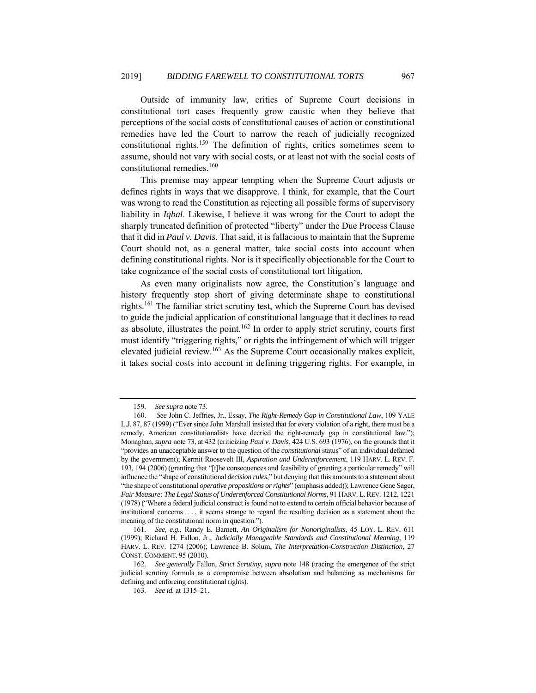Outside of immunity law, critics of Supreme Court decisions in constitutional tort cases frequently grow caustic when they believe that perceptions of the social costs of constitutional causes of action or constitutional remedies have led the Court to narrow the reach of judicially recognized constitutional rights.159 The definition of rights, critics sometimes seem to assume, should not vary with social costs, or at least not with the social costs of constitutional remedies.<sup>160</sup>

This premise may appear tempting when the Supreme Court adjusts or defines rights in ways that we disapprove. I think, for example, that the Court was wrong to read the Constitution as rejecting all possible forms of supervisory liability in *Iqbal*. Likewise, I believe it was wrong for the Court to adopt the sharply truncated definition of protected "liberty" under the Due Process Clause that it did in *Paul v. Davis*. That said, it is fallacious to maintain that the Supreme Court should not, as a general matter, take social costs into account when defining constitutional rights. Nor is it specifically objectionable for the Court to take cognizance of the social costs of constitutional tort litigation.

As even many originalists now agree, the Constitution's language and history frequently stop short of giving determinate shape to constitutional rights.161 The familiar strict scrutiny test, which the Supreme Court has devised to guide the judicial application of constitutional language that it declines to read as absolute, illustrates the point.<sup>162</sup> In order to apply strict scrutiny, courts first must identify "triggering rights," or rights the infringement of which will trigger elevated judicial review.163 As the Supreme Court occasionally makes explicit, it takes social costs into account in defining triggering rights. For example, in

<sup>159</sup>*. See supra* note 73.

 <sup>160.</sup> *See* John C. Jeffries, Jr., Essay, *The Right-Remedy Gap in Constitutional Law*, 109 YALE L.J. 87, 87 (1999) ("Ever since John Marshall insisted that for every violation of a right, there must be a remedy, American constitutionalists have decried the right-remedy gap in constitutional law."); Monaghan, *supra* note 73, at 432 (criticizing *Paul v. Davis*, 424 U.S. 693 (1976), on the grounds that it "provides an unacceptable answer to the question of the *constitutional* status" of an individual defamed by the government); Kermit Roosevelt III, *Aspiration and Underenforcement*, 119 HARV. L. REV. F. 193, 194 (2006) (granting that "[t]he consequences and feasibility of granting a particular remedy" will influence the "shape of constitutional *decision rules*," but denying that this amounts to a statement about "the shape of constitutional *operative propositions or rights*" (emphasis added)); Lawrence Gene Sager, *Fair Measure: The Legal Status of Underenforced Constitutional Norms*, 91 HARV.L.REV. 1212, 1221 (1978) ("Where a federal judicial construct is found not to extend to certain official behavior because of institutional concerns . . . , it seems strange to regard the resulting decision as a statement about the meaning of the constitutional norm in question.").

<sup>161</sup>*. See, e.g.*, Randy E. Barnett, *An Originalism for Nonoriginalists*, 45 LOY. L. REV. 611 (1999); Richard H. Fallon, Jr., *Judicially Manageable Standards and Constitutional Meaning*, 119 HARV. L. REV. 1274 (2006); Lawrence B. Solum, *The Interpretation-Construction Distinction*, 27 CONST.COMMENT. 95 (2010).

<sup>162</sup>*. See generally* Fallon, *Strict Scrutiny*, *supra* note 148 (tracing the emergence of the strict judicial scrutiny formula as a compromise between absolutism and balancing as mechanisms for defining and enforcing constitutional rights).

<sup>163</sup>*. See id.* at 1315–21.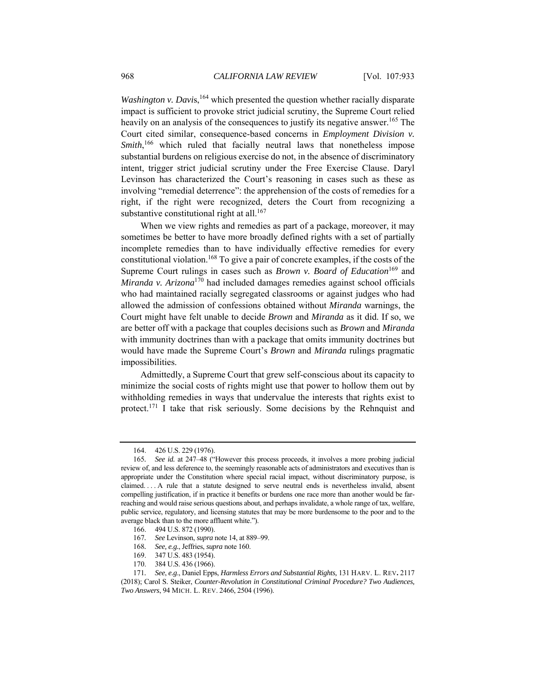*Washington v. Davis*,<sup>164</sup> which presented the question whether racially disparate impact is sufficient to provoke strict judicial scrutiny, the Supreme Court relied heavily on an analysis of the consequences to justify its negative answer.<sup>165</sup> The Court cited similar, consequence-based concerns in *Employment Division v.*  Smith,<sup>166</sup> which ruled that facially neutral laws that nonetheless impose substantial burdens on religious exercise do not, in the absence of discriminatory intent, trigger strict judicial scrutiny under the Free Exercise Clause. Daryl Levinson has characterized the Court's reasoning in cases such as these as involving "remedial deterrence": the apprehension of the costs of remedies for a right, if the right were recognized, deters the Court from recognizing a substantive constitutional right at all. $167$ 

When we view rights and remedies as part of a package, moreover, it may sometimes be better to have more broadly defined rights with a set of partially incomplete remedies than to have individually effective remedies for every constitutional violation.<sup>168</sup> To give a pair of concrete examples, if the costs of the Supreme Court rulings in cases such as *Brown v. Board of Education*<sup>169</sup> and *Miranda v. Arizona*170 had included damages remedies against school officials who had maintained racially segregated classrooms or against judges who had allowed the admission of confessions obtained without *Miranda* warnings, the Court might have felt unable to decide *Brown* and *Miranda* as it did. If so, we are better off with a package that couples decisions such as *Brown* and *Miranda* with immunity doctrines than with a package that omits immunity doctrines but would have made the Supreme Court's *Brown* and *Miranda* rulings pragmatic impossibilities.

Admittedly, a Supreme Court that grew self-conscious about its capacity to minimize the social costs of rights might use that power to hollow them out by withholding remedies in ways that undervalue the interests that rights exist to protect.171 I take that risk seriously. Some decisions by the Rehnquist and

170. 384 U.S. 436 (1966).

 <sup>164. 426</sup> U.S. 229 (1976).

<sup>165</sup>*. See id.* at 247–48 ("However this process proceeds, it involves a more probing judicial review of, and less deference to, the seemingly reasonable acts of administrators and executives than is appropriate under the Constitution where special racial impact, without discriminatory purpose, is claimed. . . . A rule that a statute designed to serve neutral ends is nevertheless invalid, absent compelling justification, if in practice it benefits or burdens one race more than another would be farreaching and would raise serious questions about, and perhaps invalidate, a whole range of tax, welfare, public service, regulatory, and licensing statutes that may be more burdensome to the poor and to the average black than to the more affluent white.").

 <sup>166. 494</sup> U.S. 872 (1990).

<sup>167</sup>*. See* Levinson, *supra* note 14, at 889–99.

<sup>168</sup>*. See, e.g.*, Jeffries, *supra* note 160.

 <sup>169. 347</sup> U.S. 483 (1954).

<sup>171</sup>*. See*, *e.g*., Daniel Epps, *Harmless Errors and Substantial Rights,* 131 HARV. L. REV**.** 2117

<sup>(2018);</sup> Carol S. Steiker, *Counter-Revolution in Constitutional Criminal Procedure? Two Audiences, Two Answers*, 94 MICH. L. REV. 2466, 2504 (1996).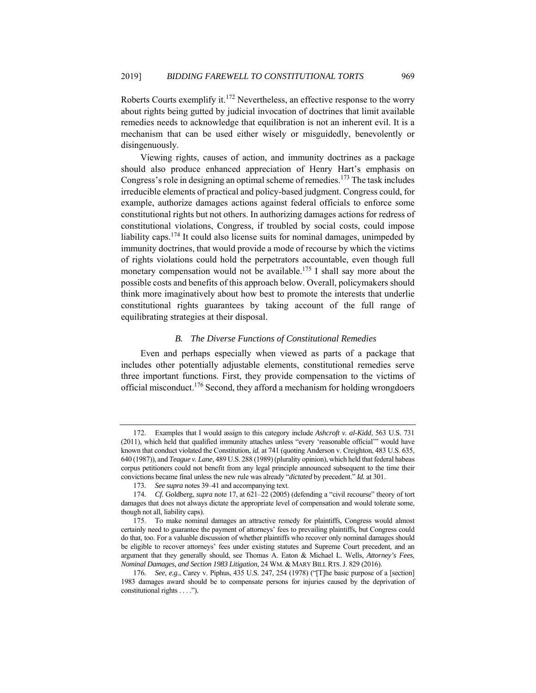Roberts Courts exemplify it.<sup>172</sup> Nevertheless, an effective response to the worry about rights being gutted by judicial invocation of doctrines that limit available remedies needs to acknowledge that equilibration is not an inherent evil. It is a mechanism that can be used either wisely or misguidedly, benevolently or disingenuously.

Viewing rights, causes of action, and immunity doctrines as a package should also produce enhanced appreciation of Henry Hart's emphasis on Congress's role in designing an optimal scheme of remedies.173 The task includes irreducible elements of practical and policy-based judgment. Congress could, for example, authorize damages actions against federal officials to enforce some constitutional rights but not others. In authorizing damages actions for redress of constitutional violations, Congress, if troubled by social costs, could impose liability caps.<sup>174</sup> It could also license suits for nominal damages, unimpeded by immunity doctrines, that would provide a mode of recourse by which the victims of rights violations could hold the perpetrators accountable, even though full monetary compensation would not be available.<sup>175</sup> I shall say more about the possible costs and benefits of this approach below. Overall, policymakers should think more imaginatively about how best to promote the interests that underlie constitutional rights guarantees by taking account of the full range of equilibrating strategies at their disposal.

# *B. The Diverse Functions of Constitutional Remedies*

Even and perhaps especially when viewed as parts of a package that includes other potentially adjustable elements, constitutional remedies serve three important functions. First, they provide compensation to the victims of official misconduct.176 Second, they afford a mechanism for holding wrongdoers

 <sup>172.</sup> Examples that I would assign to this category include *Ashcroft v. al-Kidd*, 563 U.S. 731 (2011), which held that qualified immunity attaches unless "every 'reasonable official'" would have known that conduct violated the Constitution, *id.* at 741 (quoting Anderson v. Creighton, 483 U.S. 635, 640 (1987)), and *Teague v. Lane,* 489 U.S. 288 (1989) (plurality opinion), which held that federal habeas corpus petitioners could not benefit from any legal principle announced subsequent to the time their convictions became final unless the new rule was already "*dictated* by precedent." *Id.* at 301.

<sup>173</sup>*. See supra* notes 39–41 and accompanying text.

<sup>174</sup>*. Cf.* Goldberg, *supra* note 17, at 621–22 (2005) (defending a "civil recourse" theory of tort damages that does not always dictate the appropriate level of compensation and would tolerate some, though not all, liability caps).

 <sup>175.</sup> To make nominal damages an attractive remedy for plaintiffs, Congress would almost certainly need to guarantee the payment of attorneys' fees to prevailing plaintiffs, but Congress could do that, too. For a valuable discussion of whether plaintiffs who recover only nominal damages should be eligible to recover attorneys' fees under existing statutes and Supreme Court precedent, and an argument that they generally should, see Thomas A. Eaton & Michael L. Wells, *Attorney's Fees, Nominal Damages, and Section 1983 Litigation*, 24 WM. & MARY BILL RTS.J. 829 (2016).

<sup>176</sup>*. See, e.g*., Carey v. Piphus, 435 U.S. 247, 254 (1978) ("[T]he basic purpose of a [section] 1983 damages award should be to compensate persons for injuries caused by the deprivation of constitutional rights . . . .").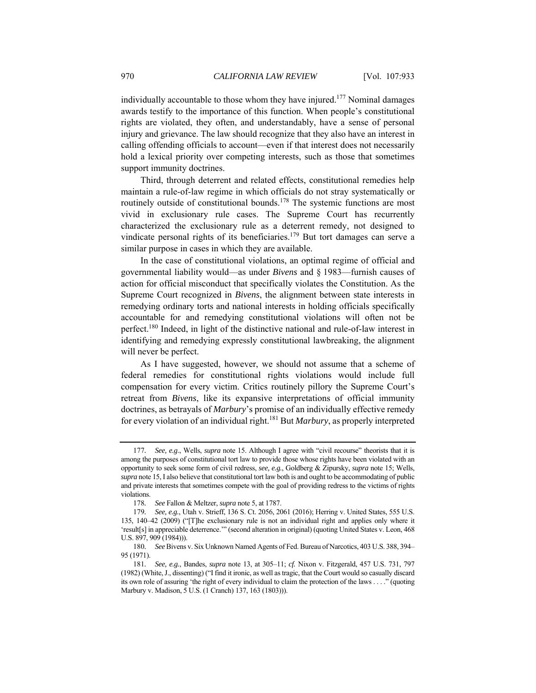individually accountable to those whom they have injured.<sup>177</sup> Nominal damages awards testify to the importance of this function. When people's constitutional rights are violated, they often, and understandably, have a sense of personal injury and grievance. The law should recognize that they also have an interest in calling offending officials to account—even if that interest does not necessarily hold a lexical priority over competing interests, such as those that sometimes support immunity doctrines.

Third, through deterrent and related effects, constitutional remedies help maintain a rule-of-law regime in which officials do not stray systematically or routinely outside of constitutional bounds.<sup>178</sup> The systemic functions are most vivid in exclusionary rule cases. The Supreme Court has recurrently characterized the exclusionary rule as a deterrent remedy, not designed to vindicate personal rights of its beneficiaries.<sup>179</sup> But tort damages can serve a similar purpose in cases in which they are available.

In the case of constitutional violations, an optimal regime of official and governmental liability would—as under *Bivens* and § 1983—furnish causes of action for official misconduct that specifically violates the Constitution. As the Supreme Court recognized in *Bivens*, the alignment between state interests in remedying ordinary torts and national interests in holding officials specifically accountable for and remedying constitutional violations will often not be perfect.180 Indeed, in light of the distinctive national and rule-of-law interest in identifying and remedying expressly constitutional lawbreaking, the alignment will never be perfect.

As I have suggested, however, we should not assume that a scheme of federal remedies for constitutional rights violations would include full compensation for every victim. Critics routinely pillory the Supreme Court's retreat from *Bivens*, like its expansive interpretations of official immunity doctrines, as betrayals of *Marbury*'s promise of an individually effective remedy for every violation of an individual right.181 But *Marbury*, as properly interpreted

<sup>177</sup>*. See, e.g*., Wells, *supra* note 15. Although I agree with "civil recourse" theorists that it is among the purposes of constitutional tort law to provide those whose rights have been violated with an opportunity to seek some form of civil redress, *see, e.g.*, Goldberg & Zipursky, *supra* note 15; Wells, *supra* note 15, I also believe that constitutional tort law both is and ought to be accommodating of public and private interests that sometimes compete with the goal of providing redress to the victims of rights violations.

<sup>178</sup>*. See* Fallon & Meltzer, *supra* note 5, at 1787.

<sup>179</sup>*. See, e.g.*, Utah v. Strieff, 136 S. Ct. 2056, 2061 (2016); Herring v. United States, 555 U.S. 135, 140–42 (2009) ("[T]he exclusionary rule is not an individual right and applies only where it 'result[s] in appreciable deterrence.'" (second alteration in original) (quoting United States v. Leon, 468 U.S. 897, 909 (1984))).

<sup>180</sup>*. See* Bivens v. Six Unknown Named Agents of Fed. Bureau of Narcotics, 403 U.S. 388, 394– 95 (1971).

<sup>181</sup>*. See, e.g.*, Bandes, *supra* note 13, at 305–11; *cf.* Nixon v. Fitzgerald, 457 U.S. 731, 797 (1982) (White, J., dissenting) ("I find it ironic, as well as tragic, that the Court would so casually discard its own role of assuring 'the right of every individual to claim the protection of the laws . . . ." (quoting Marbury v. Madison, 5 U.S. (1 Cranch) 137, 163 (1803))).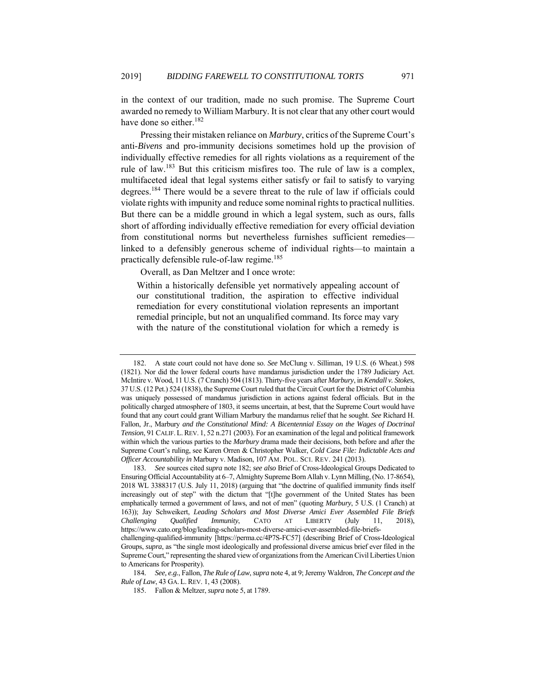in the context of our tradition, made no such promise. The Supreme Court awarded no remedy to William Marbury. It is not clear that any other court would have done so either.<sup>182</sup>

Pressing their mistaken reliance on *Marbury*, critics of the Supreme Court's anti-*Bivens* and pro-immunity decisions sometimes hold up the provision of individually effective remedies for all rights violations as a requirement of the rule of law.183 But this criticism misfires too. The rule of law is a complex, multifaceted ideal that legal systems either satisfy or fail to satisfy to varying degrees.184 There would be a severe threat to the rule of law if officials could violate rights with impunity and reduce some nominal rights to practical nullities. But there can be a middle ground in which a legal system, such as ours, falls short of affording individually effective remediation for every official deviation from constitutional norms but nevertheless furnishes sufficient remedies linked to a defensibly generous scheme of individual rights—to maintain a practically defensible rule-of-law regime.<sup>185</sup>

Overall, as Dan Meltzer and I once wrote:

Within a historically defensible yet normatively appealing account of our constitutional tradition, the aspiration to effective individual remediation for every constitutional violation represents an important remedial principle, but not an unqualified command. Its force may vary with the nature of the constitutional violation for which a remedy is

 <sup>182.</sup> A state court could not have done so. *See* McClung v. Silliman, 19 U.S. (6 Wheat.) 598 (1821). Nor did the lower federal courts have mandamus jurisdiction under the 1789 Judiciary Act. McIntire v. Wood, 11 U.S. (7 Cranch) 504 (1813). Thirty-five years after *Marbury*, in *Kendall v. Stokes*, 37 U.S. (12 Pet.) 524 (1838), the Supreme Court ruled that the Circuit Court for the District of Columbia was uniquely possessed of mandamus jurisdiction in actions against federal officials. But in the politically charged atmosphere of 1803, it seems uncertain, at best, that the Supreme Court would have found that any court could grant William Marbury the mandamus relief that he sought. *See* Richard H. Fallon, Jr., Marbury *and the Constitutional Mind: A Bicentennial Essay on the Wages of Doctrinal Tension*, 91 CALIF. L.REV. 1, 52 n.271 (2003). For an examination of the legal and political framework within which the various parties to the *Marbury* drama made their decisions, both before and after the Supreme Court's ruling, see Karen Orren & Christopher Walker, *Cold Case File: Indictable Acts and Officer Accountability in* Marbury v. Madison, 107 AM. POL. SCI. REV. 241 (2013).

<sup>183</sup>*. See* sources cited *supra* note 182; *see also* Brief of Cross-Ideological Groups Dedicated to Ensuring Official Accountability at 6–7, Almighty Supreme Born Allah v. Lynn Milling, (No. 17-8654), 2018 WL 3388317 (U.S. July 11, 2018) (arguing that "the doctrine of qualified immunity finds itself increasingly out of step" with the dictum that "[t]he government of the United States has been emphatically termed a government of laws, and not of men" (quoting *Marbury*, 5 U.S. (1 Cranch) at 163)); Jay Schweikert, *Leading Scholars and Most Diverse Amici Ever Assembled File Briefs Challenging Qualified Immunity*, CATO AT LIBERTY (July 11, 2018), https://www.cato.org/blog/leading-scholars-most-diverse-amici-ever-assembled-file-briefschallenging-qualified-immunity [https://perma.cc/4P7S-FC57] (describing Brief of Cross-Ideological

Groups, *supra*, as "the single most ideologically and professional diverse amicus brief ever filed in the Supreme Court," representing the shared view of organizations from the American Civil Liberties Union to Americans for Prosperity).

<sup>184</sup>*. See, e.g.*, Fallon, *The Rule of Law*, *supra* note 4, at 9; Jeremy Waldron, *The Concept and the Rule of Law*, 43 GA. L. REV. 1, 43 (2008).

 <sup>185.</sup> Fallon & Meltzer, *supra* note 5, at 1789.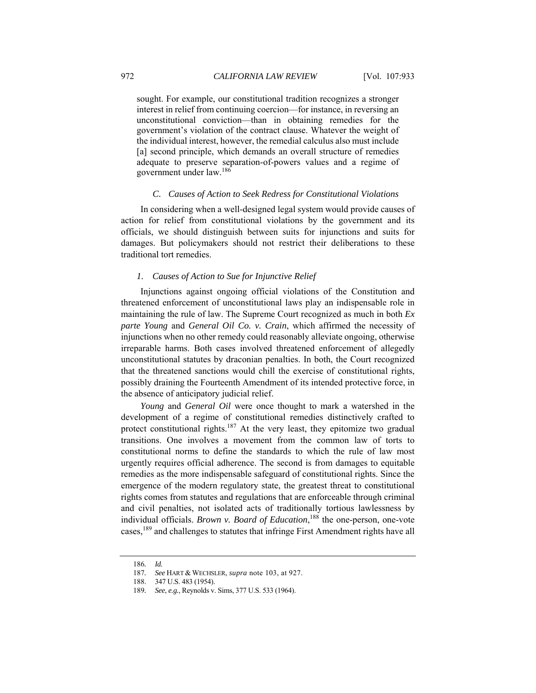sought. For example, our constitutional tradition recognizes a stronger interest in relief from continuing coercion—for instance, in reversing an unconstitutional conviction—than in obtaining remedies for the government's violation of the contract clause. Whatever the weight of the individual interest, however, the remedial calculus also must include [a] second principle, which demands an overall structure of remedies adequate to preserve separation-of-powers values and a regime of government under law.186

#### *C. Causes of Action to Seek Redress for Constitutional Violations*

In considering when a well-designed legal system would provide causes of action for relief from constitutional violations by the government and its officials, we should distinguish between suits for injunctions and suits for damages. But policymakers should not restrict their deliberations to these traditional tort remedies.

# *1. Causes of Action to Sue for Injunctive Relief*

Injunctions against ongoing official violations of the Constitution and threatened enforcement of unconstitutional laws play an indispensable role in maintaining the rule of law. The Supreme Court recognized as much in both *Ex parte Young* and *General Oil Co. v. Crain*, which affirmed the necessity of injunctions when no other remedy could reasonably alleviate ongoing, otherwise irreparable harms. Both cases involved threatened enforcement of allegedly unconstitutional statutes by draconian penalties. In both, the Court recognized that the threatened sanctions would chill the exercise of constitutional rights, possibly draining the Fourteenth Amendment of its intended protective force, in the absence of anticipatory judicial relief.

*Young* and *General Oil* were once thought to mark a watershed in the development of a regime of constitutional remedies distinctively crafted to protect constitutional rights.<sup>187</sup> At the very least, they epitomize two gradual transitions. One involves a movement from the common law of torts to constitutional norms to define the standards to which the rule of law most urgently requires official adherence. The second is from damages to equitable remedies as the more indispensable safeguard of constitutional rights. Since the emergence of the modern regulatory state, the greatest threat to constitutional rights comes from statutes and regulations that are enforceable through criminal and civil penalties, not isolated acts of traditionally tortious lawlessness by individual officials. *Brown v. Board of Education*, 188 the one-person, one-vote cases,189 and challenges to statutes that infringe First Amendment rights have all

<sup>186</sup>*. Id.* 

<sup>187</sup>*. See* HART & WECHSLER, *supra* note 103, at 927.

 <sup>188. 347</sup> U.S. 483 (1954).

<sup>189</sup>*. See*, *e.g.*, Reynolds v. Sims, 377 U.S. 533 (1964).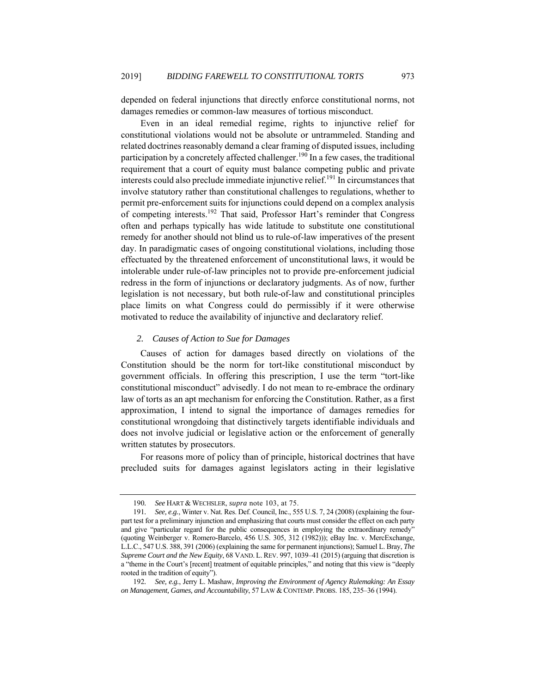depended on federal injunctions that directly enforce constitutional norms, not damages remedies or common-law measures of tortious misconduct.

Even in an ideal remedial regime, rights to injunctive relief for constitutional violations would not be absolute or untrammeled. Standing and related doctrines reasonably demand a clear framing of disputed issues, including participation by a concretely affected challenger.<sup>190</sup> In a few cases, the traditional requirement that a court of equity must balance competing public and private interests could also preclude immediate injunctive relief.191 In circumstances that involve statutory rather than constitutional challenges to regulations, whether to permit pre-enforcement suits for injunctions could depend on a complex analysis of competing interests.192 That said, Professor Hart's reminder that Congress often and perhaps typically has wide latitude to substitute one constitutional remedy for another should not blind us to rule-of-law imperatives of the present day. In paradigmatic cases of ongoing constitutional violations, including those effectuated by the threatened enforcement of unconstitutional laws, it would be intolerable under rule-of-law principles not to provide pre-enforcement judicial redress in the form of injunctions or declaratory judgments. As of now, further legislation is not necessary, but both rule-of-law and constitutional principles place limits on what Congress could do permissibly if it were otherwise motivated to reduce the availability of injunctive and declaratory relief.

# *2. Causes of Action to Sue for Damages*

Causes of action for damages based directly on violations of the Constitution should be the norm for tort-like constitutional misconduct by government officials. In offering this prescription, I use the term "tort-like constitutional misconduct" advisedly. I do not mean to re-embrace the ordinary law of torts as an apt mechanism for enforcing the Constitution. Rather, as a first approximation, I intend to signal the importance of damages remedies for constitutional wrongdoing that distinctively targets identifiable individuals and does not involve judicial or legislative action or the enforcement of generally written statutes by prosecutors.

For reasons more of policy than of principle, historical doctrines that have precluded suits for damages against legislators acting in their legislative

<sup>190</sup>*. See* HART & WECHSLER, *supra* note 103, at 75.

<sup>191</sup>*. See, e.g.*, Winter v. Nat. Res. Def. Council, Inc., 555 U.S. 7, 24 (2008) (explaining the fourpart test for a preliminary injunction and emphasizing that courts must consider the effect on each party and give "particular regard for the public consequences in employing the extraordinary remedy" (quoting Weinberger v. Romero-Barcelo, 456 U.S. 305, 312 (1982))); eBay Inc. v. MercExchange, L.L.C., 547 U.S. 388, 391 (2006) (explaining the same for permanent injunctions); Samuel L. Bray, *The Supreme Court and the New Equity*, 68 VAND. L. REV. 997, 1039–41 (2015) (arguing that discretion is a "theme in the Court's [recent] treatment of equitable principles," and noting that this view is "deeply rooted in the tradition of equity").

<sup>192</sup>*. See, e.g.*, Jerry L. Mashaw, *Improving the Environment of Agency Rulemaking: An Essay on Management, Games, and Accountability*, 57 LAW & CONTEMP. PROBS. 185, 235–36 (1994).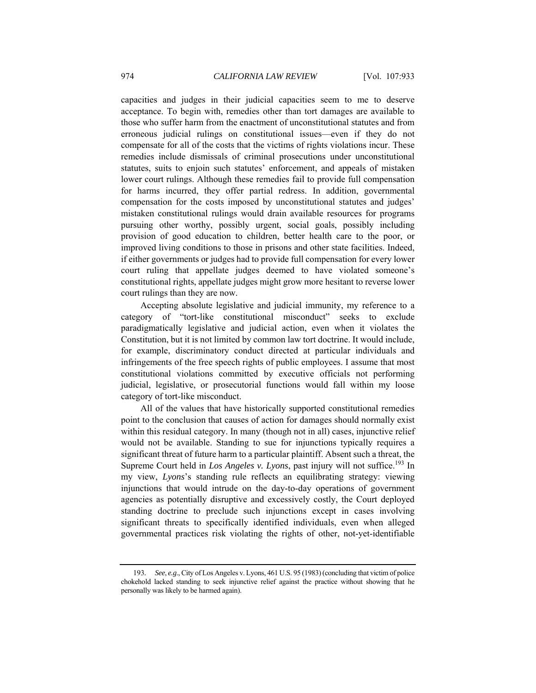capacities and judges in their judicial capacities seem to me to deserve acceptance. To begin with, remedies other than tort damages are available to those who suffer harm from the enactment of unconstitutional statutes and from erroneous judicial rulings on constitutional issues—even if they do not compensate for all of the costs that the victims of rights violations incur. These remedies include dismissals of criminal prosecutions under unconstitutional statutes, suits to enjoin such statutes' enforcement, and appeals of mistaken lower court rulings. Although these remedies fail to provide full compensation for harms incurred, they offer partial redress. In addition, governmental compensation for the costs imposed by unconstitutional statutes and judges' mistaken constitutional rulings would drain available resources for programs pursuing other worthy, possibly urgent, social goals, possibly including provision of good education to children, better health care to the poor, or improved living conditions to those in prisons and other state facilities. Indeed, if either governments or judges had to provide full compensation for every lower court ruling that appellate judges deemed to have violated someone's constitutional rights, appellate judges might grow more hesitant to reverse lower court rulings than they are now.

Accepting absolute legislative and judicial immunity, my reference to a category of "tort-like constitutional misconduct" seeks to exclude paradigmatically legislative and judicial action, even when it violates the Constitution, but it is not limited by common law tort doctrine. It would include, for example, discriminatory conduct directed at particular individuals and infringements of the free speech rights of public employees. I assume that most constitutional violations committed by executive officials not performing judicial, legislative, or prosecutorial functions would fall within my loose category of tort-like misconduct.

All of the values that have historically supported constitutional remedies point to the conclusion that causes of action for damages should normally exist within this residual category. In many (though not in all) cases, injunctive relief would not be available. Standing to sue for injunctions typically requires a significant threat of future harm to a particular plaintiff. Absent such a threat, the Supreme Court held in *Los Angeles v. Lyons*, past injury will not suffice.<sup>193</sup> In my view, *Lyons*'s standing rule reflects an equilibrating strategy: viewing injunctions that would intrude on the day-to-day operations of government agencies as potentially disruptive and excessively costly, the Court deployed standing doctrine to preclude such injunctions except in cases involving significant threats to specifically identified individuals, even when alleged governmental practices risk violating the rights of other, not-yet-identifiable

<sup>193</sup>*. See*, *e.g*., City of Los Angeles v. Lyons, 461 U.S. 95 (1983) (concluding that victim of police chokehold lacked standing to seek injunctive relief against the practice without showing that he personally was likely to be harmed again).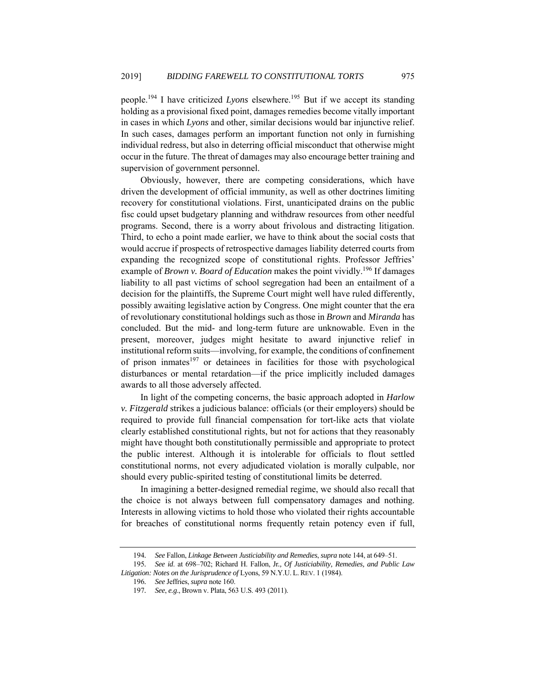people.<sup>194</sup> I have criticized *Lyons* elsewhere.<sup>195</sup> But if we accept its standing holding as a provisional fixed point, damages remedies become vitally important in cases in which *Lyons* and other, similar decisions would bar injunctive relief. In such cases, damages perform an important function not only in furnishing individual redress, but also in deterring official misconduct that otherwise might occur in the future. The threat of damages may also encourage better training and supervision of government personnel.

Obviously, however, there are competing considerations, which have driven the development of official immunity, as well as other doctrines limiting recovery for constitutional violations. First, unanticipated drains on the public fisc could upset budgetary planning and withdraw resources from other needful programs. Second, there is a worry about frivolous and distracting litigation. Third, to echo a point made earlier, we have to think about the social costs that would accrue if prospects of retrospective damages liability deterred courts from expanding the recognized scope of constitutional rights. Professor Jeffries' example of *Brown v. Board of Education* makes the point vividly.<sup>196</sup> If damages liability to all past victims of school segregation had been an entailment of a decision for the plaintiffs, the Supreme Court might well have ruled differently, possibly awaiting legislative action by Congress. One might counter that the era of revolutionary constitutional holdings such as those in *Brown* and *Miranda* has concluded. But the mid- and long-term future are unknowable. Even in the present, moreover, judges might hesitate to award injunctive relief in institutional reform suits—involving, for example, the conditions of confinement of prison inmates $197$  or detainees in facilities for those with psychological disturbances or mental retardation—if the price implicitly included damages awards to all those adversely affected.

In light of the competing concerns, the basic approach adopted in *Harlow v. Fitzgerald* strikes a judicious balance: officials (or their employers) should be required to provide full financial compensation for tort-like acts that violate clearly established constitutional rights, but not for actions that they reasonably might have thought both constitutionally permissible and appropriate to protect the public interest. Although it is intolerable for officials to flout settled constitutional norms, not every adjudicated violation is morally culpable, nor should every public-spirited testing of constitutional limits be deterred.

In imagining a better-designed remedial regime, we should also recall that the choice is not always between full compensatory damages and nothing. Interests in allowing victims to hold those who violated their rights accountable for breaches of constitutional norms frequently retain potency even if full,

<sup>194</sup>*. See* Fallon, *Linkage Between Justiciability and Remedies*, *supra* note 144, at 649–51.

<sup>195</sup>*. See id*. at 698–702; Richard H. Fallon, Jr*., Of Justiciability, Remedies, and Public Law Litigation: Notes on the Jurisprudence of* Lyons, 59 N.Y.U. L.REV. 1 (1984).

<sup>196</sup>*. See* Jeffries, *supra* note 160.

<sup>197</sup>*. See*, *e.g*., Brown v. Plata, 563 U.S. 493 (2011).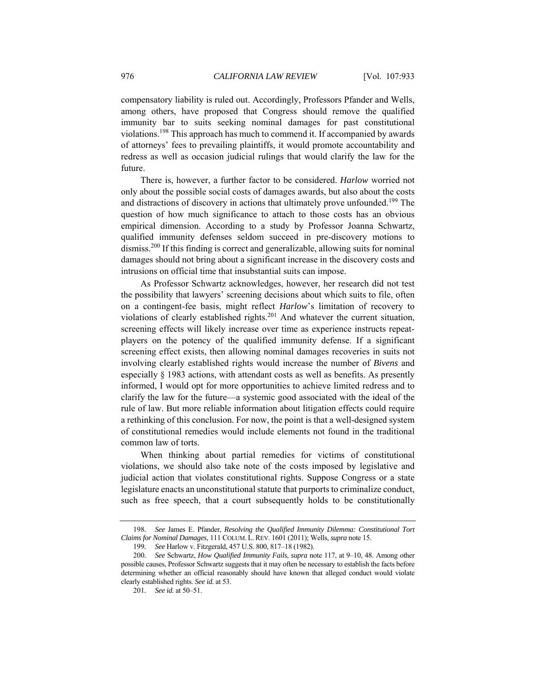compensatory liability is ruled out. Accordingly, Professors Pfander and Wells, among others, have proposed that Congress should remove the qualified immunity bar to suits seeking nominal damages for past constitutional violations.198 This approach has much to commend it. If accompanied by awards of attorneys' fees to prevailing plaintiffs, it would promote accountability and redress as well as occasion judicial rulings that would clarify the law for the future.

There is, however, a further factor to be considered. *Harlow* worried not only about the possible social costs of damages awards, but also about the costs and distractions of discovery in actions that ultimately prove unfounded.<sup>199</sup> The question of how much significance to attach to those costs has an obvious empirical dimension. According to a study by Professor Joanna Schwartz, qualified immunity defenses seldom succeed in pre-discovery motions to dismiss.200 If this finding is correct and generalizable, allowing suits for nominal damages should not bring about a significant increase in the discovery costs and intrusions on official time that insubstantial suits can impose.

As Professor Schwartz acknowledges, however, her research did not test the possibility that lawyers' screening decisions about which suits to file, often on a contingent-fee basis, might reflect *Harlow*'s limitation of recovery to violations of clearly established rights.<sup>201</sup> And whatever the current situation, screening effects will likely increase over time as experience instructs repeatplayers on the potency of the qualified immunity defense. If a significant screening effect exists, then allowing nominal damages recoveries in suits not involving clearly established rights would increase the number of *Bivens* and especially § 1983 actions, with attendant costs as well as benefits. As presently informed, I would opt for more opportunities to achieve limited redress and to clarify the law for the future—a systemic good associated with the ideal of the rule of law. But more reliable information about litigation effects could require a rethinking of this conclusion. For now, the point is that a well-designed system of constitutional remedies would include elements not found in the traditional common law of torts.

When thinking about partial remedies for victims of constitutional violations, we should also take note of the costs imposed by legislative and judicial action that violates constitutional rights. Suppose Congress or a state legislature enacts an unconstitutional statute that purports to criminalize conduct, such as free speech, that a court subsequently holds to be constitutionally

<sup>198</sup>*. See* James E. Pfander, *Resolving the Qualified Immunity Dilemma: Constitutional Tort Claims for Nominal Damages*, 111 COLUM. L. REV. 1601 (2011); Wells, *supra* note 15.

<sup>199</sup>*. See* Harlow v. Fitzgerald, 457 U.S. 800, 817–18 (1982).

<sup>200</sup>*. See* Schwartz, *How Qualified Immunity Fails*, *supra* note 117, at 9–10, 48. Among other possible causes, Professor Schwartz suggests that it may often be necessary to establish the facts before determining whether an official reasonably should have known that alleged conduct would violate clearly established rights. *See id.* at 53.

<sup>201</sup>*. See id.* at 50–51.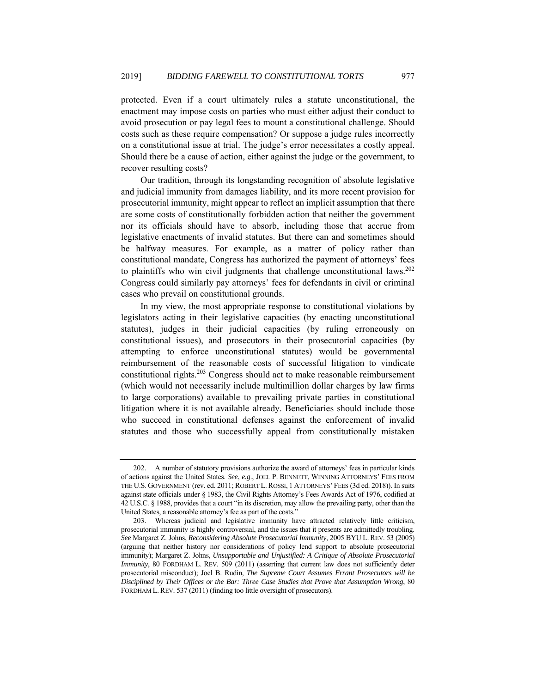protected. Even if a court ultimately rules a statute unconstitutional, the enactment may impose costs on parties who must either adjust their conduct to avoid prosecution or pay legal fees to mount a constitutional challenge. Should costs such as these require compensation? Or suppose a judge rules incorrectly on a constitutional issue at trial. The judge's error necessitates a costly appeal. Should there be a cause of action, either against the judge or the government, to recover resulting costs?

Our tradition, through its longstanding recognition of absolute legislative and judicial immunity from damages liability, and its more recent provision for prosecutorial immunity, might appear to reflect an implicit assumption that there are some costs of constitutionally forbidden action that neither the government nor its officials should have to absorb, including those that accrue from legislative enactments of invalid statutes. But there can and sometimes should be halfway measures. For example, as a matter of policy rather than constitutional mandate, Congress has authorized the payment of attorneys' fees to plaintiffs who win civil judgments that challenge unconstitutional laws.<sup>202</sup> Congress could similarly pay attorneys' fees for defendants in civil or criminal cases who prevail on constitutional grounds.

In my view, the most appropriate response to constitutional violations by legislators acting in their legislative capacities (by enacting unconstitutional statutes), judges in their judicial capacities (by ruling erroneously on constitutional issues), and prosecutors in their prosecutorial capacities (by attempting to enforce unconstitutional statutes) would be governmental reimbursement of the reasonable costs of successful litigation to vindicate constitutional rights.203 Congress should act to make reasonable reimbursement (which would not necessarily include multimillion dollar charges by law firms to large corporations) available to prevailing private parties in constitutional litigation where it is not available already. Beneficiaries should include those who succeed in constitutional defenses against the enforcement of invalid statutes and those who successfully appeal from constitutionally mistaken

 <sup>202.</sup> A number of statutory provisions authorize the award of attorneys' fees in particular kinds of actions against the United States. *See*, *e.g*., JOEL P. BENNETT, WINNING ATTORNEYS' FEES FROM THE U.S. GOVERNMENT (rev. ed. 2011; ROBERT L.ROSSI, 1 ATTORNEYS' FEES (3d ed. 2018)). In suits against state officials under § 1983, the Civil Rights Attorney's Fees Awards Act of 1976, codified at 42 U.S.C. § 1988, provides that a court "in its discretion, may allow the prevailing party, other than the United States, a reasonable attorney's fee as part of the costs."

 <sup>203.</sup> Whereas judicial and legislative immunity have attracted relatively little criticism, prosecutorial immunity is highly controversial, and the issues that it presents are admittedly troubling. *See* Margaret Z. Johns, *Reconsidering Absolute Prosecutorial Immunity*, 2005 BYU L. REV. 53 (2005) (arguing that neither history nor considerations of policy lend support to absolute prosecutorial immunity); Margaret Z. Johns, *Unsupportable and Unjustified: A Critique of Absolute Prosecutorial Immunity*, 80 FORDHAM L. REV. 509 (2011) (asserting that current law does not sufficiently deter prosecutorial misconduct); Joel B. Rudin, *The Supreme Court Assumes Errant Prosecutors will be Disciplined by Their Offices or the Bar: Three Case Studies that Prove that Assumption Wrong*, 80 FORDHAM L. REV. 537 (2011) (finding too little oversight of prosecutors).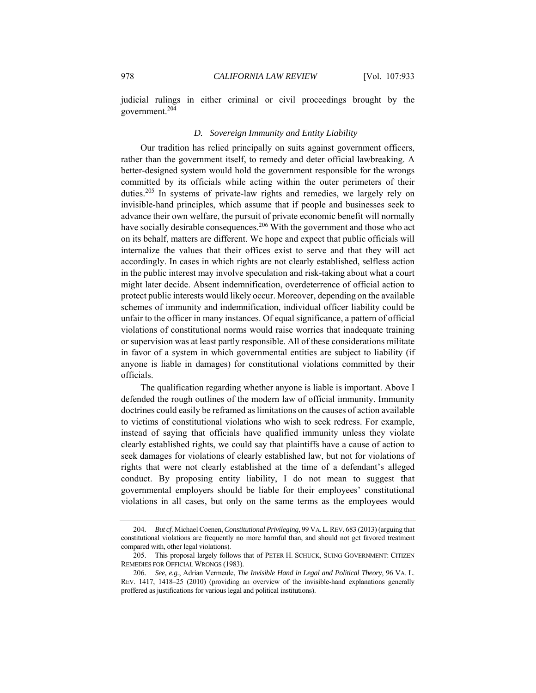judicial rulings in either criminal or civil proceedings brought by the government.204

#### *D. Sovereign Immunity and Entity Liability*

Our tradition has relied principally on suits against government officers, rather than the government itself, to remedy and deter official lawbreaking. A better-designed system would hold the government responsible for the wrongs committed by its officials while acting within the outer perimeters of their duties.205 In systems of private-law rights and remedies, we largely rely on invisible-hand principles, which assume that if people and businesses seek to advance their own welfare, the pursuit of private economic benefit will normally have socially desirable consequences.<sup>206</sup> With the government and those who act on its behalf, matters are different. We hope and expect that public officials will internalize the values that their offices exist to serve and that they will act accordingly. In cases in which rights are not clearly established, selfless action in the public interest may involve speculation and risk-taking about what a court might later decide. Absent indemnification, overdeterrence of official action to protect public interests would likely occur. Moreover, depending on the available schemes of immunity and indemnification, individual officer liability could be unfair to the officer in many instances. Of equal significance, a pattern of official violations of constitutional norms would raise worries that inadequate training or supervision was at least partly responsible. All of these considerations militate in favor of a system in which governmental entities are subject to liability (if anyone is liable in damages) for constitutional violations committed by their officials.

The qualification regarding whether anyone is liable is important. Above I defended the rough outlines of the modern law of official immunity. Immunity doctrines could easily be reframed as limitations on the causes of action available to victims of constitutional violations who wish to seek redress. For example, instead of saying that officials have qualified immunity unless they violate clearly established rights, we could say that plaintiffs have a cause of action to seek damages for violations of clearly established law, but not for violations of rights that were not clearly established at the time of a defendant's alleged conduct. By proposing entity liability, I do not mean to suggest that governmental employers should be liable for their employees' constitutional violations in all cases, but only on the same terms as the employees would

<sup>204</sup>*. But cf*. Michael Coenen, *Constitutional Privileging*, 99 VA.L.REV. 683 (2013) (arguing that constitutional violations are frequently no more harmful than, and should not get favored treatment compared with, other legal violations).

 <sup>205.</sup> This proposal largely follows that of PETER H. SCHUCK, SUING GOVERNMENT: CITIZEN REMEDIES FOR OFFICIAL WRONGS (1983).

<sup>206</sup>*. See, e.g.*, Adrian Vermeule, *The Invisible Hand in Legal and Political Theory*, 96 VA. L. REV. 1417, 1418–25 (2010) (providing an overview of the invisible-hand explanations generally proffered as justifications for various legal and political institutions).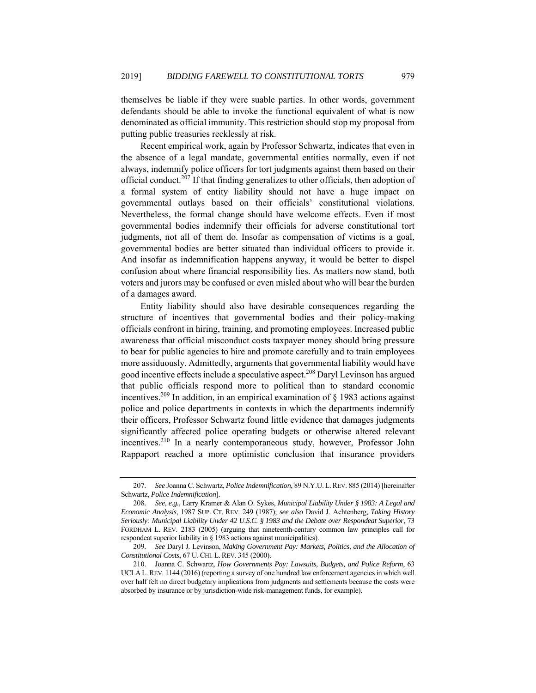themselves be liable if they were suable parties. In other words, government defendants should be able to invoke the functional equivalent of what is now denominated as official immunity. This restriction should stop my proposal from putting public treasuries recklessly at risk.

Recent empirical work, again by Professor Schwartz, indicates that even in the absence of a legal mandate, governmental entities normally, even if not always, indemnify police officers for tort judgments against them based on their official conduct.207 If that finding generalizes to other officials, then adoption of a formal system of entity liability should not have a huge impact on governmental outlays based on their officials' constitutional violations. Nevertheless, the formal change should have welcome effects. Even if most governmental bodies indemnify their officials for adverse constitutional tort judgments, not all of them do. Insofar as compensation of victims is a goal, governmental bodies are better situated than individual officers to provide it. And insofar as indemnification happens anyway, it would be better to dispel confusion about where financial responsibility lies. As matters now stand, both voters and jurors may be confused or even misled about who will bear the burden of a damages award.

Entity liability should also have desirable consequences regarding the structure of incentives that governmental bodies and their policy-making officials confront in hiring, training, and promoting employees. Increased public awareness that official misconduct costs taxpayer money should bring pressure to bear for public agencies to hire and promote carefully and to train employees more assiduously. Admittedly, arguments that governmental liability would have good incentive effects include a speculative aspect.208 Daryl Levinson has argued that public officials respond more to political than to standard economic incentives.<sup>209</sup> In addition, in an empirical examination of  $\S$  1983 actions against police and police departments in contexts in which the departments indemnify their officers, Professor Schwartz found little evidence that damages judgments significantly affected police operating budgets or otherwise altered relevant incentives.210 In a nearly contemporaneous study, however, Professor John Rappaport reached a more optimistic conclusion that insurance providers

<sup>207</sup>*. See* Joanna C. Schwartz, *Police Indemnification*, 89 N.Y.U.L.REV. 885 (2014) [hereinafter Schwartz, *Police Indemnification*].

<sup>208</sup>*. See, e.g.*, Larry Kramer & Alan O. Sykes, *Municipal Liability Under § 1983: A Legal and Economic Analysis*, 1987 SUP. CT. REV. 249 (1987); *see also* David J. Achtenberg, *Taking History Seriously: Municipal Liability Under 42 U.S.C. § 1983 and the Debate over Respondeat Superior*, 73 FORDHAM L. REV. 2183 (2005) (arguing that nineteenth-century common law principles call for respondeat superior liability in § 1983 actions against municipalities).

<sup>209</sup>*. See* Daryl J. Levinson, *Making Government Pay: Markets, Politics, and the Allocation of Constitutional Costs*, 67 U.CHI. L. REV. 345 (2000).

 <sup>210.</sup> Joanna C. Schwartz, *How Governments Pay: Lawsuits, Budgets, and Police Reform*, 63 UCLA L.REV. 1144 (2016) (reporting a survey of one hundred law enforcement agencies in which well over half felt no direct budgetary implications from judgments and settlements because the costs were absorbed by insurance or by jurisdiction-wide risk-management funds, for example).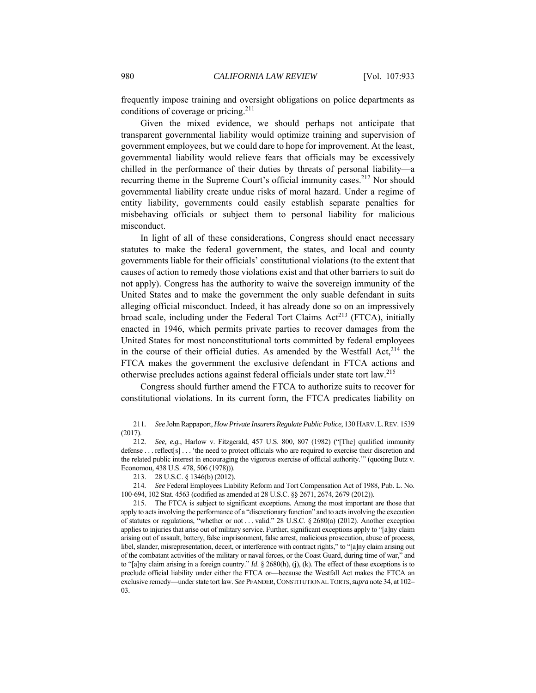frequently impose training and oversight obligations on police departments as conditions of coverage or pricing.<sup>211</sup>

Given the mixed evidence, we should perhaps not anticipate that transparent governmental liability would optimize training and supervision of government employees, but we could dare to hope for improvement. At the least, governmental liability would relieve fears that officials may be excessively chilled in the performance of their duties by threats of personal liability—a recurring theme in the Supreme Court's official immunity cases.<sup>212</sup> Nor should governmental liability create undue risks of moral hazard. Under a regime of entity liability, governments could easily establish separate penalties for misbehaving officials or subject them to personal liability for malicious misconduct.

In light of all of these considerations, Congress should enact necessary statutes to make the federal government, the states, and local and county governments liable for their officials' constitutional violations (to the extent that causes of action to remedy those violations exist and that other barriers to suit do not apply). Congress has the authority to waive the sovereign immunity of the United States and to make the government the only suable defendant in suits alleging official misconduct. Indeed, it has already done so on an impressively broad scale, including under the Federal Tort Claims  $Act^{213}$  (FTCA), initially enacted in 1946, which permits private parties to recover damages from the United States for most nonconstitutional torts committed by federal employees in the course of their official duties. As amended by the Westfall Act, $214$  the FTCA makes the government the exclusive defendant in FTCA actions and otherwise precludes actions against federal officials under state tort law.215

Congress should further amend the FTCA to authorize suits to recover for constitutional violations. In its current form, the FTCA predicates liability on

214*. See* Federal Employees Liability Reform and Tort Compensation Act of 1988, Pub. L. No. 100-694, 102 Stat. 4563 (codified as amended at 28 U.S.C. §§ 2671, 2674, 2679 (2012)).

<sup>211</sup>*. See* John Rappaport, *How Private Insurers Regulate Public Police*, 130 HARV.L.REV. 1539 (2017).

<sup>212</sup>*. See, e.g.*, Harlow v. Fitzgerald, 457 U.S. 800, 807 (1982) ("[The] qualified immunity defense . . . reflect[s] . . . 'the need to protect officials who are required to exercise their discretion and the related public interest in encouraging the vigorous exercise of official authority.'" (quoting Butz v. Economou, 438 U.S. 478, 506 (1978))).

 <sup>213. 28</sup> U.S.C. § 1346(b) (2012).

 <sup>215.</sup> The FTCA is subject to significant exceptions. Among the most important are those that apply to acts involving the performance of a "discretionary function" and to acts involving the execution of statutes or regulations, "whether or not . . . valid." 28 U.S.C. § 2680(a) (2012). Another exception applies to injuries that arise out of military service. Further, significant exceptions apply to "[a]ny claim arising out of assault, battery, false imprisonment, false arrest, malicious prosecution, abuse of process, libel, slander, misrepresentation, deceit, or interference with contract rights," to "[a]ny claim arising out of the combatant activities of the military or naval forces, or the Coast Guard, during time of war," and to "[a]ny claim arising in a foreign country." *Id*. § 2680(h), (j), (k). The effect of these exceptions is to preclude official liability under either the FTCA or—because the Westfall Act makes the FTCA an exclusive remedy—under state tort law. *See* PFANDER,CONSTITUTIONAL TORTS,*supra* note 34, at 102– 03.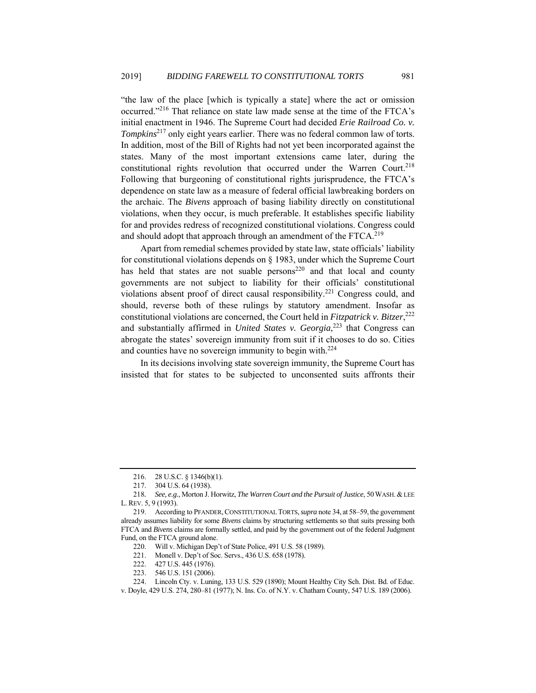"the law of the place [which is typically a state] where the act or omission occurred."216 That reliance on state law made sense at the time of the FTCA's initial enactment in 1946. The Supreme Court had decided *Erie Railroad Co. v. Tompkins*217 only eight years earlier. There was no federal common law of torts. In addition, most of the Bill of Rights had not yet been incorporated against the states. Many of the most important extensions came later, during the constitutional rights revolution that occurred under the Warren Court.<sup>218</sup> Following that burgeoning of constitutional rights jurisprudence, the FTCA's dependence on state law as a measure of federal official lawbreaking borders on the archaic. The *Bivens* approach of basing liability directly on constitutional violations, when they occur, is much preferable. It establishes specific liability for and provides redress of recognized constitutional violations. Congress could and should adopt that approach through an amendment of the FTCA.<sup>219</sup>

Apart from remedial schemes provided by state law, state officials' liability for constitutional violations depends on § 1983, under which the Supreme Court has held that states are not suable persons<sup>220</sup> and that local and county governments are not subject to liability for their officials' constitutional violations absent proof of direct causal responsibility.<sup>221</sup> Congress could, and should, reverse both of these rulings by statutory amendment. Insofar as constitutional violations are concerned, the Court held in *Fitzpatrick v. Bitzer*, 222 and substantially affirmed in *United States v. Georgia*, 223 that Congress can abrogate the states' sovereign immunity from suit if it chooses to do so. Cities and counties have no sovereign immunity to begin with.<sup>224</sup>

In its decisions involving state sovereign immunity, the Supreme Court has insisted that for states to be subjected to unconsented suits affronts their

 <sup>216. 28</sup> U.S.C. § 1346(b)(1).

 <sup>217. 304</sup> U.S. 64 (1938).

<sup>218</sup>*. See, e.g.*, Morton J. Horwitz, *The Warren Court and the Pursuit of Justice*, 50WASH.& LEE L.REV. 5, 9 (1993).

 <sup>219.</sup> According to PFANDER,CONSTITUTIONAL TORTS,*supra* note 34, at 58–59, the government already assumes liability for some *Bivens* claims by structuring settlements so that suits pressing both FTCA and *Bivens* claims are formally settled, and paid by the government out of the federal Judgment Fund, on the FTCA ground alone.

 <sup>220.</sup> Will v. Michigan Dep't of State Police, 491 U.S. 58 (1989).

 <sup>221.</sup> Monell v. Dep't of Soc. Servs., 436 U.S. 658 (1978).

<sup>222. 427</sup> U.S. 445 (1976).<br>223. 546 U.S. 151 (2006). 546 U.S. 151 (2006).

 <sup>224.</sup> Lincoln Cty. v. Luning, 133 U.S. 529 (1890); Mount Healthy City Sch. Dist. Bd. of Educ. v. Doyle, 429 U.S. 274, 280–81 (1977); N. Ins. Co. of N.Y. v. Chatham County, 547 U.S. 189 (2006).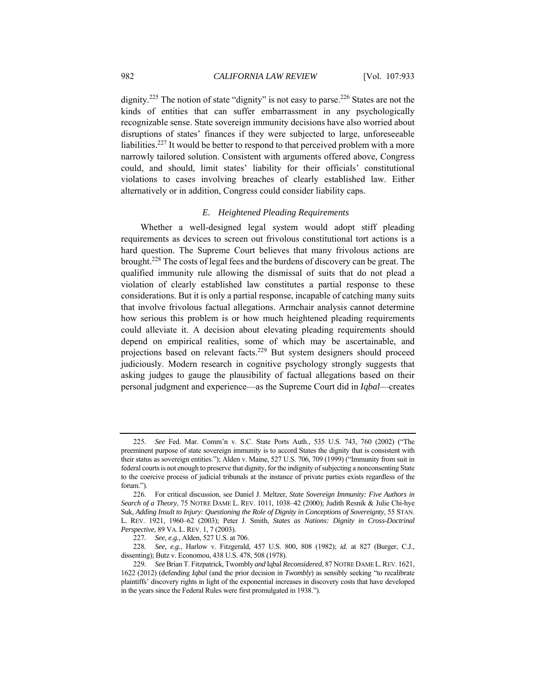dignity.<sup>225</sup> The notion of state "dignity" is not easy to parse.<sup>226</sup> States are not the kinds of entities that can suffer embarrassment in any psychologically recognizable sense. State sovereign immunity decisions have also worried about disruptions of states' finances if they were subjected to large, unforeseeable liabilities.227 It would be better to respond to that perceived problem with a more narrowly tailored solution. Consistent with arguments offered above, Congress could, and should, limit states' liability for their officials' constitutional violations to cases involving breaches of clearly established law. Either alternatively or in addition, Congress could consider liability caps.

# *E. Heightened Pleading Requirements*

Whether a well-designed legal system would adopt stiff pleading requirements as devices to screen out frivolous constitutional tort actions is a hard question. The Supreme Court believes that many frivolous actions are brought.228 The costs of legal fees and the burdens of discovery can be great. The qualified immunity rule allowing the dismissal of suits that do not plead a violation of clearly established law constitutes a partial response to these considerations. But it is only a partial response, incapable of catching many suits that involve frivolous factual allegations. Armchair analysis cannot determine how serious this problem is or how much heightened pleading requirements could alleviate it. A decision about elevating pleading requirements should depend on empirical realities, some of which may be ascertainable, and projections based on relevant facts.229 But system designers should proceed judiciously. Modern research in cognitive psychology strongly suggests that asking judges to gauge the plausibility of factual allegations based on their personal judgment and experience—as the Supreme Court did in *Iqbal*—creates

<sup>225</sup>*. See* Fed. Mar. Comm'n v. S.C. State Ports Auth., 535 U.S. 743, 760 (2002) ("The preeminent purpose of state sovereign immunity is to accord States the dignity that is consistent with their status as sovereign entities."); Alden v. Maine, 527 U.S. 706, 709 (1999) ("Immunity from suit in federal courts is not enough to preserve that dignity, for the indignity of subjecting a nonconsenting State to the coercive process of judicial tribunals at the instance of private parties exists regardless of the forum.").

 <sup>226.</sup> For critical discussion, see Daniel J. Meltzer, *State Sovereign Immunity: Five Authors in Search of a Theory*, 75 NOTRE DAME L. REV. 1011, 1038–42 (2000); Judith Resnik & Julie Chi-hye Suk, *Adding Insult to Injury: Questioning the Role of Dignity in Conceptions of Sovereignty*, 55 STAN. L. REV. 1921, 1960–62 (2003); Peter J. Smith, *States as Nations: Dignity in Cross-Doctrinal Perspective*, 89 VA. L. REV. 1, 7 (2003).

<sup>227</sup>*. See, e.g.*, Alden, 527 U.S. at 706.

<sup>228</sup>*. See, e.g.*, Harlow v. Fitzgerald, 457 U.S. 800, 808 (1982); *id.* at 827 (Burger, C.J., dissenting); Butz v. Economou, 438 U.S. 478, 508 (1978).

<sup>229</sup>*. See* Brian T. Fitzpatrick, Twombly *and* Iqbal *Reconsidered*, 87 NOTRE DAME L.REV. 1621, 1622 (2012) (defending *Iqbal* (and the prior decision in *Twombly*) as sensibly seeking "to recalibrate plaintiffs' discovery rights in light of the exponential increases in discovery costs that have developed in the years since the Federal Rules were first promulgated in 1938.").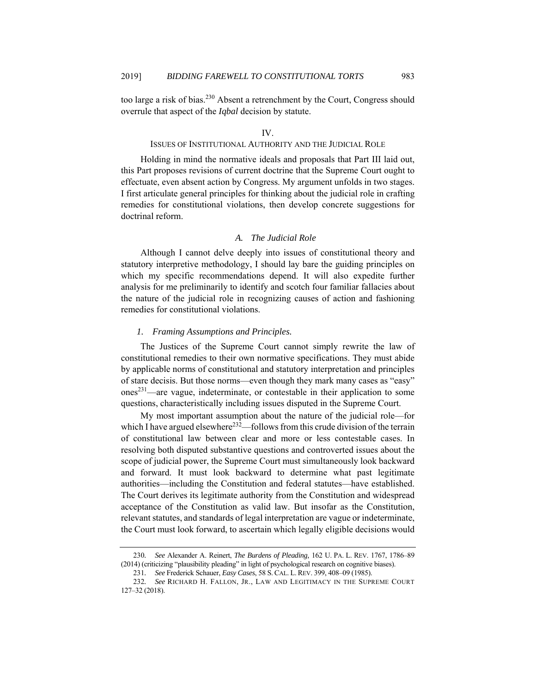too large a risk of bias.<sup>230</sup> Absent a retrenchment by the Court, Congress should overrule that aspect of the *Iqbal* decision by statute.

## IV.

# ISSUES OF INSTITUTIONAL AUTHORITY AND THE JUDICIAL ROLE

Holding in mind the normative ideals and proposals that Part III laid out, this Part proposes revisions of current doctrine that the Supreme Court ought to effectuate, even absent action by Congress. My argument unfolds in two stages. I first articulate general principles for thinking about the judicial role in crafting remedies for constitutional violations, then develop concrete suggestions for doctrinal reform.

## *A. The Judicial Role*

Although I cannot delve deeply into issues of constitutional theory and statutory interpretive methodology, I should lay bare the guiding principles on which my specific recommendations depend. It will also expedite further analysis for me preliminarily to identify and scotch four familiar fallacies about the nature of the judicial role in recognizing causes of action and fashioning remedies for constitutional violations.

# *1. Framing Assumptions and Principles.*

The Justices of the Supreme Court cannot simply rewrite the law of constitutional remedies to their own normative specifications. They must abide by applicable norms of constitutional and statutory interpretation and principles of stare decisis. But those norms—even though they mark many cases as "easy"  $ones<sup>231</sup>$ —are vague, indeterminate, or contestable in their application to some questions, characteristically including issues disputed in the Supreme Court.

My most important assumption about the nature of the judicial role—for which I have argued elsewhere<sup>232</sup>—follows from this crude division of the terrain of constitutional law between clear and more or less contestable cases. In resolving both disputed substantive questions and controverted issues about the scope of judicial power, the Supreme Court must simultaneously look backward and forward. It must look backward to determine what past legitimate authorities—including the Constitution and federal statutes—have established. The Court derives its legitimate authority from the Constitution and widespread acceptance of the Constitution as valid law. But insofar as the Constitution, relevant statutes, and standards of legal interpretation are vague or indeterminate, the Court must look forward, to ascertain which legally eligible decisions would

<sup>230</sup>*. See* Alexander A. Reinert, *The Burdens of Pleading,* 162 U. PA. L. REV. 1767, 1786–89 (2014) (criticizing "plausibility pleading" in light of psychological research on cognitive biases).

<sup>231</sup>*. See* Frederick Schauer, *Easy Cases*, 58 S.CAL. L.REV. 399, 408–09 (1985).

<sup>232</sup>*. See* RICHARD H. FALLON, JR., LAW AND LEGITIMACY IN THE SUPREME COURT 127–32 (2018).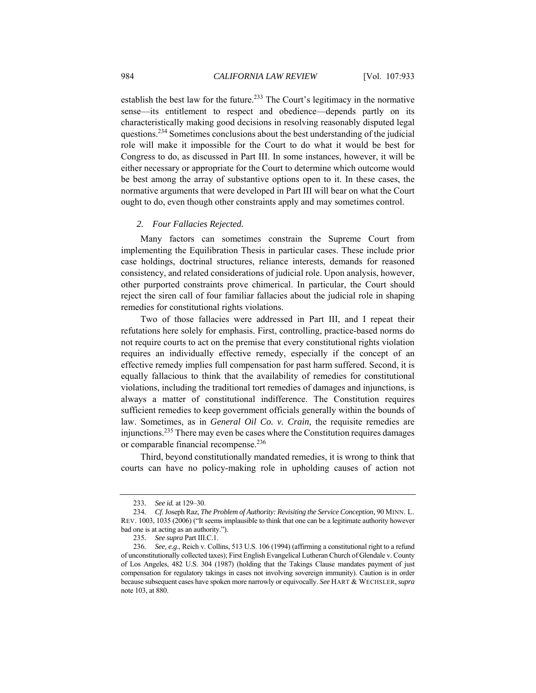establish the best law for the future.<sup>233</sup> The Court's legitimacy in the normative sense—its entitlement to respect and obedience—depends partly on its characteristically making good decisions in resolving reasonably disputed legal questions.<sup>234</sup> Sometimes conclusions about the best understanding of the judicial role will make it impossible for the Court to do what it would be best for Congress to do, as discussed in Part III. In some instances, however, it will be either necessary or appropriate for the Court to determine which outcome would be best among the array of substantive options open to it. In these cases, the normative arguments that were developed in Part III will bear on what the Court ought to do, even though other constraints apply and may sometimes control.

## *2. Four Fallacies Rejected.*

Many factors can sometimes constrain the Supreme Court from implementing the Equilibration Thesis in particular cases. These include prior case holdings, doctrinal structures, reliance interests, demands for reasoned consistency, and related considerations of judicial role. Upon analysis, however, other purported constraints prove chimerical. In particular, the Court should reject the siren call of four familiar fallacies about the judicial role in shaping remedies for constitutional rights violations.

Two of those fallacies were addressed in Part III, and I repeat their refutations here solely for emphasis. First, controlling, practice-based norms do not require courts to act on the premise that every constitutional rights violation requires an individually effective remedy, especially if the concept of an effective remedy implies full compensation for past harm suffered. Second, it is equally fallacious to think that the availability of remedies for constitutional violations, including the traditional tort remedies of damages and injunctions, is always a matter of constitutional indifference. The Constitution requires sufficient remedies to keep government officials generally within the bounds of law. Sometimes, as in *General Oil Co. v. Crain*, the requisite remedies are injunctions.<sup>235</sup> There may even be cases where the Constitution requires damages or comparable financial recompense.<sup>236</sup>

Third, beyond constitutionally mandated remedies, it is wrong to think that courts can have no policy-making role in upholding causes of action not

<sup>233</sup>*. See id.* at 129–30.

<sup>234</sup>*. Cf.* Joseph Raz, *The Problem of Authority: Revisiting the Service Conception*, 90 MINN. L. REV. 1003, 1035 (2006) ("It seems implausible to think that one can be a legitimate authority however bad one is at acting as an authority.").

<sup>235</sup>*. See supra* Part III.C.1.

<sup>236</sup>*. See, e.g*., Reich v. Collins, 513 U.S. 106 (1994) (affirming a constitutional right to a refund of unconstitutionally collected taxes); First English Evangelical Lutheran Church of Glendale v. County of Los Angeles, 482 U.S. 304 (1987) (holding that the Takings Clause mandates payment of just compensation for regulatory takings in cases not involving sovereign immunity). Caution is in order because subsequent cases have spoken more narrowly or equivocally. *See* HART & WECHSLER, *supra* note 103, at 880.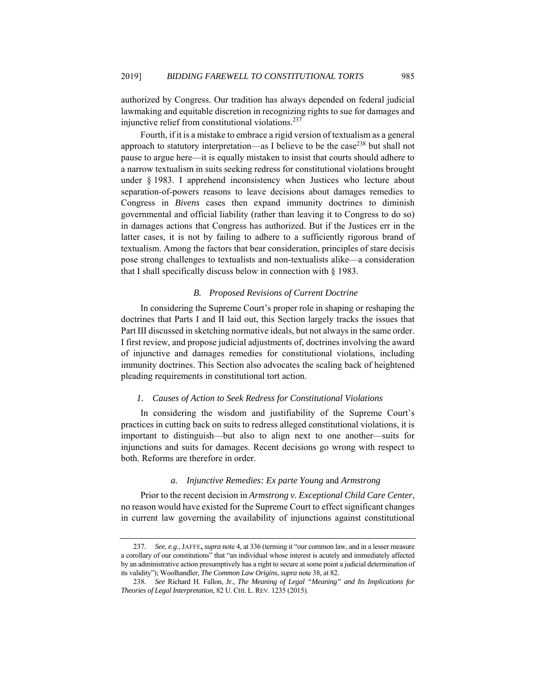authorized by Congress. Our tradition has always depended on federal judicial lawmaking and equitable discretion in recognizing rights to sue for damages and injunctive relief from constitutional violations.<sup>237</sup>

Fourth, if it is a mistake to embrace a rigid version of textualism as a general approach to statutory interpretation—as I believe to be the case<sup>238</sup> but shall not pause to argue here—it is equally mistaken to insist that courts should adhere to a narrow textualism in suits seeking redress for constitutional violations brought under § 1983. I apprehend inconsistency when Justices who lecture about separation-of-powers reasons to leave decisions about damages remedies to Congress in *Bivens* cases then expand immunity doctrines to diminish governmental and official liability (rather than leaving it to Congress to do so) in damages actions that Congress has authorized. But if the Justices err in the latter cases, it is not by failing to adhere to a sufficiently rigorous brand of textualism. Among the factors that bear consideration, principles of stare decisis pose strong challenges to textualists and non-textualists alike—a consideration that I shall specifically discuss below in connection with § 1983.

# *B. Proposed Revisions of Current Doctrine*

In considering the Supreme Court's proper role in shaping or reshaping the doctrines that Parts I and II laid out, this Section largely tracks the issues that Part III discussed in sketching normative ideals, but not always in the same order. I first review, and propose judicial adjustments of, doctrines involving the award of injunctive and damages remedies for constitutional violations, including immunity doctrines. This Section also advocates the scaling back of heightened pleading requirements in constitutional tort action.

# *1. Causes of Action to Seek Redress for Constitutional Violations*

In considering the wisdom and justifiability of the Supreme Court's practices in cutting back on suits to redress alleged constitutional violations, it is important to distinguish—but also to align next to one another—suits for injunctions and suits for damages. Recent decisions go wrong with respect to both. Reforms are therefore in order.

# *a. Injunctive Remedies: Ex parte Young* and *Armstrong*

Prior to the recent decision in *Armstrong v. Exceptional Child Care Center*, no reason would have existed for the Supreme Court to effect significant changes in current law governing the availability of injunctions against constitutional

<sup>237</sup>*. See*, *e.g*., JAFFE**,** *supra* note 4, at 336 (terming it "our common law, and in a lesser measure a corollary of our constitutions" that "an individual whose interest is acutely and immediately affected by an administrative action presumptively has a right to secure at some point a judicial determination of its validity"); Woolhandler, *The Common Law Origins*, *supra* note 38, at 82.

<sup>238</sup>*. See* Richard H. Fallon, Jr., *The Meaning of Legal "Meaning" and Its Implications for Theories of Legal Interpretation*, 82 U.CHI. L. REV. 1235 (2015).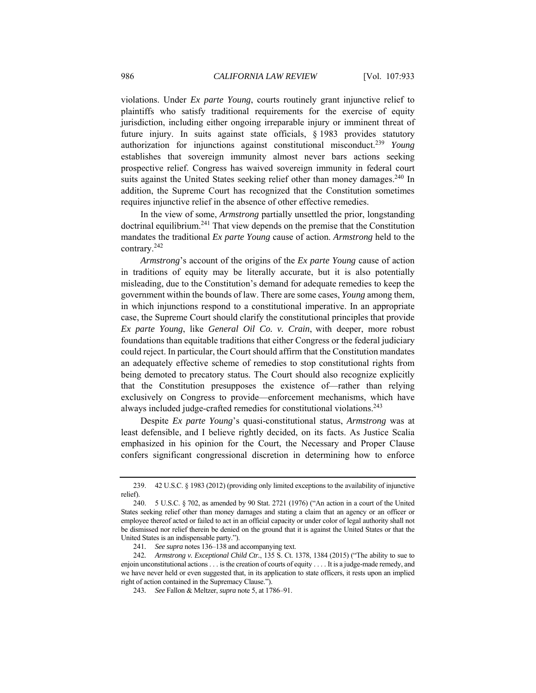violations. Under *Ex parte Young*, courts routinely grant injunctive relief to plaintiffs who satisfy traditional requirements for the exercise of equity jurisdiction, including either ongoing irreparable injury or imminent threat of future injury. In suits against state officials, § 1983 provides statutory authorization for injunctions against constitutional misconduct. <sup>239</sup> *Young* establishes that sovereign immunity almost never bars actions seeking prospective relief. Congress has waived sovereign immunity in federal court suits against the United States seeking relief other than money damages.<sup>240</sup> In addition, the Supreme Court has recognized that the Constitution sometimes requires injunctive relief in the absence of other effective remedies.

In the view of some, *Armstrong* partially unsettled the prior, longstanding doctrinal equilibrium.<sup>241</sup> That view depends on the premise that the Constitution mandates the traditional *Ex parte Young* cause of action. *Armstrong* held to the contrary.<sup>242</sup>

*Armstrong*'s account of the origins of the *Ex parte Young* cause of action in traditions of equity may be literally accurate, but it is also potentially misleading, due to the Constitution's demand for adequate remedies to keep the government within the bounds of law. There are some cases, *Young* among them, in which injunctions respond to a constitutional imperative. In an appropriate case, the Supreme Court should clarify the constitutional principles that provide *Ex parte Young*, like *General Oil Co. v. Crain*, with deeper, more robust foundations than equitable traditions that either Congress or the federal judiciary could reject. In particular, the Court should affirm that the Constitution mandates an adequately effective scheme of remedies to stop constitutional rights from being demoted to precatory status. The Court should also recognize explicitly that the Constitution presupposes the existence of—rather than relying exclusively on Congress to provide—enforcement mechanisms, which have always included judge-crafted remedies for constitutional violations.243

Despite *Ex parte Young*'s quasi-constitutional status, *Armstrong* was at least defensible, and I believe rightly decided, on its facts. As Justice Scalia emphasized in his opinion for the Court, the Necessary and Proper Clause confers significant congressional discretion in determining how to enforce

 <sup>239. 42</sup> U.S.C. § 1983 (2012) (providing only limited exceptions to the availability of injunctive relief).

 <sup>240. 5</sup> U.S.C. § 702, as amended by 90 Stat. 2721 (1976) ("An action in a court of the United States seeking relief other than money damages and stating a claim that an agency or an officer or employee thereof acted or failed to act in an official capacity or under color of legal authority shall not be dismissed nor relief therein be denied on the ground that it is against the United States or that the United States is an indispensable party.").

<sup>241</sup>*. See supra* notes 136–138 and accompanying text.

<sup>242</sup>*. Armstrong v. Exceptional Child Ctr.*, 135 S. Ct. 1378, 1384 (2015) ("The ability to sue to enjoin unconstitutional actions . . . is the creation of courts of equity . . . . It is a judge-made remedy, and we have never held or even suggested that, in its application to state officers, it rests upon an implied right of action contained in the Supremacy Clause.").

<sup>243</sup>*. See* Fallon & Meltzer, *supra* note 5, at 1786–91.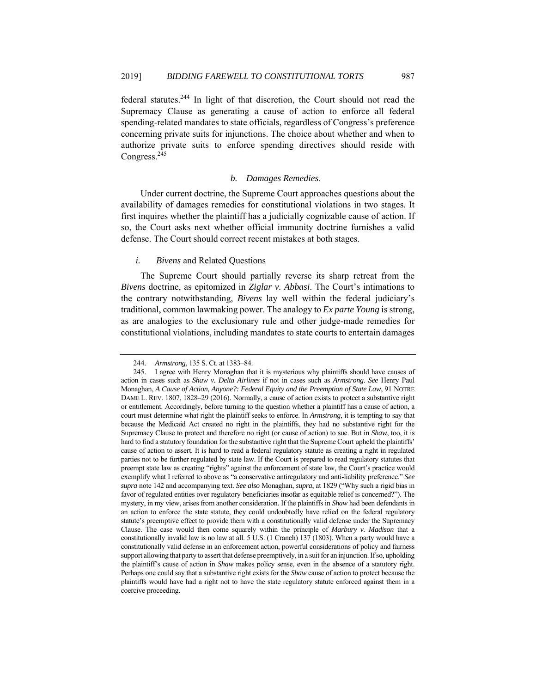federal statutes.244 In light of that discretion, the Court should not read the Supremacy Clause as generating a cause of action to enforce all federal spending-related mandates to state officials, regardless of Congress's preference concerning private suits for injunctions. The choice about whether and when to authorize private suits to enforce spending directives should reside with Congress.245

# *b. Damages Remedies*.

Under current doctrine, the Supreme Court approaches questions about the availability of damages remedies for constitutional violations in two stages. It first inquires whether the plaintiff has a judicially cognizable cause of action. If so, the Court asks next whether official immunity doctrine furnishes a valid defense. The Court should correct recent mistakes at both stages.

# *i. Bivens* and Related Questions

The Supreme Court should partially reverse its sharp retreat from the *Bivens* doctrine, as epitomized in *Ziglar v. Abbasi*. The Court's intimations to the contrary notwithstanding, *Bivens* lay well within the federal judiciary's traditional, common lawmaking power. The analogy to *Ex parte Young* is strong, as are analogies to the exclusionary rule and other judge-made remedies for constitutional violations, including mandates to state courts to entertain damages

<sup>244</sup>*. Armstrong*, 135 S. Ct. at 1383–84.

 <sup>245.</sup> I agree with Henry Monaghan that it is mysterious why plaintiffs should have causes of action in cases such as *Shaw v. Delta Airlines* if not in cases such as *Armstrong*. *See* Henry Paul Monaghan, *A Cause of Action, Anyone?: Federal Equity and the Preemption of State Law*, 91 NOTRE DAME L. REV. 1807, 1828–29 (2016). Normally, a cause of action exists to protect a substantive right or entitlement. Accordingly, before turning to the question whether a plaintiff has a cause of action, a court must determine what right the plaintiff seeks to enforce. In *Armstrong*, it is tempting to say that because the Medicaid Act created no right in the plaintiffs, they had no substantive right for the Supremacy Clause to protect and therefore no right (or cause of action) to sue. But in *Shaw*, too, it is hard to find a statutory foundation for the substantive right that the Supreme Court upheld the plaintiffs' cause of action to assert. It is hard to read a federal regulatory statute as creating a right in regulated parties not to be further regulated by state law. If the Court is prepared to read regulatory statutes that preempt state law as creating "rights" against the enforcement of state law, the Court's practice would exemplify what I referred to above as "a conservative antiregulatory and anti-liability preference." *See supra* note 142 and accompanying text. *See also* Monaghan, *supra*, at 1829 ("Why such a rigid bias in favor of regulated entities over regulatory beneficiaries insofar as equitable relief is concerned?"). The mystery, in my view, arises from another consideration. If the plaintiffs in *Shaw* had been defendants in an action to enforce the state statute, they could undoubtedly have relied on the federal regulatory statute's preemptive effect to provide them with a constitutionally valid defense under the Supremacy Clause. The case would then come squarely within the principle of *Marbury v. Madison* that a constitutionally invalid law is no law at all. 5 U.S. (1 Cranch) 137 (1803). When a party would have a constitutionally valid defense in an enforcement action, powerful considerations of policy and fairness support allowing that party to assert that defense preemptively, in a suit for an injunction. If so, upholding the plaintiff's cause of action in *Shaw* makes policy sense, even in the absence of a statutory right. Perhaps one could say that a substantive right exists for the *Shaw* cause of action to protect because the plaintiffs would have had a right not to have the state regulatory statute enforced against them in a coercive proceeding.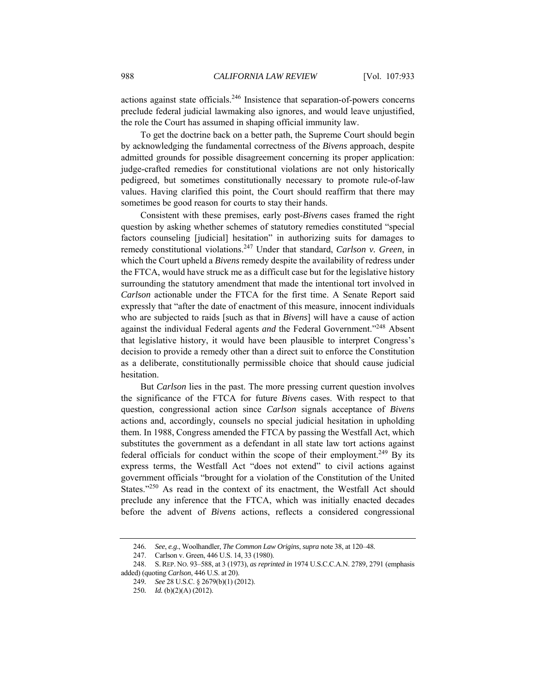actions against state officials.246 Insistence that separation-of-powers concerns preclude federal judicial lawmaking also ignores, and would leave unjustified, the role the Court has assumed in shaping official immunity law.

To get the doctrine back on a better path, the Supreme Court should begin by acknowledging the fundamental correctness of the *Bivens* approach, despite admitted grounds for possible disagreement concerning its proper application: judge-crafted remedies for constitutional violations are not only historically pedigreed, but sometimes constitutionally necessary to promote rule-of-law values. Having clarified this point, the Court should reaffirm that there may sometimes be good reason for courts to stay their hands.

Consistent with these premises, early post-*Bivens* cases framed the right question by asking whether schemes of statutory remedies constituted "special factors counseling [judicial] hesitation" in authorizing suits for damages to remedy constitutional violations.247 Under that standard, *Carlson v. Green*, in which the Court upheld a *Bivens* remedy despite the availability of redress under the FTCA, would have struck me as a difficult case but for the legislative history surrounding the statutory amendment that made the intentional tort involved in *Carlson* actionable under the FTCA for the first time. A Senate Report said expressly that "after the date of enactment of this measure, innocent individuals who are subjected to raids [such as that in *Bivens*] will have a cause of action against the individual Federal agents *and* the Federal Government."248 Absent that legislative history, it would have been plausible to interpret Congress's decision to provide a remedy other than a direct suit to enforce the Constitution as a deliberate, constitutionally permissible choice that should cause judicial hesitation.

But *Carlson* lies in the past. The more pressing current question involves the significance of the FTCA for future *Bivens* cases. With respect to that question, congressional action since *Carlson* signals acceptance of *Bivens* actions and, accordingly, counsels no special judicial hesitation in upholding them. In 1988, Congress amended the FTCA by passing the Westfall Act, which substitutes the government as a defendant in all state law tort actions against federal officials for conduct within the scope of their employment.<sup>249</sup> By its express terms, the Westfall Act "does not extend" to civil actions against government officials "brought for a violation of the Constitution of the United States."<sup>250</sup> As read in the context of its enactment, the Westfall Act should preclude any inference that the FTCA, which was initially enacted decades before the advent of *Bivens* actions, reflects a considered congressional

<sup>246</sup>*. See*, *e.g*., Woolhandler, *The Common Law Origins*, *supra* note 38, at 120–48.

 <sup>247.</sup> Carlson v. Green, 446 U.S. 14, 33 (1980).

 <sup>248.</sup> S. REP. NO. 93–588, at 3 (1973), *as reprinted in* 1974 U.S.C.C.A.N. 2789, 2791 (emphasis added) (quoting *Carlson*, 446 U.S. at 20).

<sup>249</sup>*. See* 28 U.S.C. § 2679(b)(1) (2012).

<sup>250</sup>*. Id.* (b)(2)(A) (2012).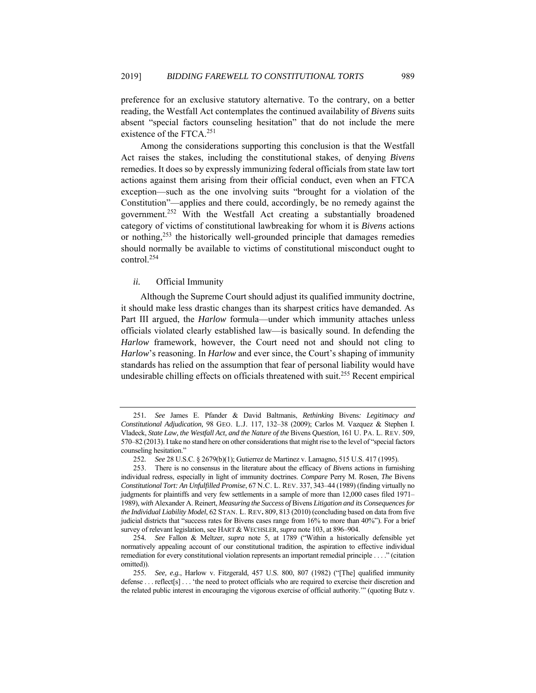preference for an exclusive statutory alternative. To the contrary, on a better reading, the Westfall Act contemplates the continued availability of *Bivens* suits absent "special factors counseling hesitation" that do not include the mere existence of the FTCA.251

Among the considerations supporting this conclusion is that the Westfall Act raises the stakes, including the constitutional stakes, of denying *Bivens* remedies. It does so by expressly immunizing federal officials from state law tort actions against them arising from their official conduct, even when an FTCA exception—such as the one involving suits "brought for a violation of the Constitution"—applies and there could, accordingly, be no remedy against the government.252 With the Westfall Act creating a substantially broadened category of victims of constitutional lawbreaking for whom it is *Bivens* actions or nothing, $^{253}$  the historically well-grounded principle that damages remedies should normally be available to victims of constitutional misconduct ought to control.254

# *ii.* Official Immunity

Although the Supreme Court should adjust its qualified immunity doctrine, it should make less drastic changes than its sharpest critics have demanded. As Part III argued, the *Harlow* formula—under which immunity attaches unless officials violated clearly established law—is basically sound. In defending the *Harlow* framework, however, the Court need not and should not cling to *Harlow*'s reasoning. In *Harlow* and ever since, the Court's shaping of immunity standards has relied on the assumption that fear of personal liability would have undesirable chilling effects on officials threatened with suit.<sup>255</sup> Recent empirical

<sup>251</sup>*. See* James E. Pfander & David Baltmanis, *Rethinking* Bivens*: Legitimacy and Constitutional Adjudication,* 98 GEO. L.J. 117, 132–38 (2009); Carlos M. Vazquez & Stephen I. Vladeck, *State Law, the Westfall Act, and the Nature of the* Bivens *Question*, 161 U. PA. L. REV. 509, 570–82 (2013). I take no stand here on other considerations that might rise to the level of "special factors counseling hesitation."

<sup>252</sup>*. See* 28 U.S.C. § 2679(b)(1); Gutierrez de Martinez v. Lamagno, 515 U.S. 417 (1995).

 <sup>253.</sup> There is no consensus in the literature about the efficacy of *Bivens* actions in furnishing individual redress, especially in light of immunity doctrines. *Compare* Perry M. Rosen, *The* Bivens *Constitutional Tort: An Unfulfilled Promise*, 67 N.C. L. REV. 337, 343–44 (1989) (finding virtually no judgments for plaintiffs and very few settlements in a sample of more than 12,000 cases filed 1971– 1989), *with* Alexander A. Reinert, *Measuring the Success of* Bivens *Litigation and its Consequences for the Individual Liability Model*, 62 STAN. L. REV**.** 809, 813 (2010) (concluding based on data from five judicial districts that "success rates for Bivens cases range from 16% to more than 40%"). For a brief survey of relevant legislation, see HART & WECHSLER, *supra* note 103, at 896–904.

<sup>254</sup>*. See* Fallon & Meltzer, *supra* note 5, at 1789 ("Within a historically defensible yet normatively appealing account of our constitutional tradition, the aspiration to effective individual remediation for every constitutional violation represents an important remedial principle . . . ." (citation omitted)).

<sup>255</sup>*. See, e.g.*, Harlow v. Fitzgerald, 457 U.S. 800, 807 (1982) ("[The] qualified immunity defense . . . reflect<sup>[s]</sup> . . . 'the need to protect officials who are required to exercise their discretion and the related public interest in encouraging the vigorous exercise of official authority.'" (quoting Butz v.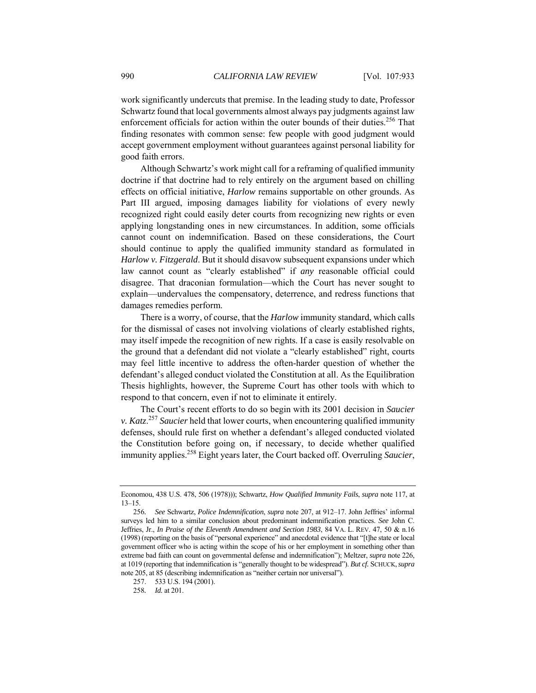work significantly undercuts that premise. In the leading study to date, Professor Schwartz found that local governments almost always pay judgments against law enforcement officials for action within the outer bounds of their duties.256 That finding resonates with common sense: few people with good judgment would accept government employment without guarantees against personal liability for good faith errors.

Although Schwartz's work might call for a reframing of qualified immunity doctrine if that doctrine had to rely entirely on the argument based on chilling effects on official initiative, *Harlow* remains supportable on other grounds. As Part III argued, imposing damages liability for violations of every newly recognized right could easily deter courts from recognizing new rights or even applying longstanding ones in new circumstances. In addition, some officials cannot count on indemnification. Based on these considerations, the Court should continue to apply the qualified immunity standard as formulated in *Harlow v. Fitzgerald*. But it should disavow subsequent expansions under which law cannot count as "clearly established" if *any* reasonable official could disagree. That draconian formulation—which the Court has never sought to explain—undervalues the compensatory, deterrence, and redress functions that damages remedies perform.

There is a worry, of course, that the *Harlow* immunity standard, which calls for the dismissal of cases not involving violations of clearly established rights, may itself impede the recognition of new rights. If a case is easily resolvable on the ground that a defendant did not violate a "clearly established" right, courts may feel little incentive to address the often-harder question of whether the defendant's alleged conduct violated the Constitution at all. As the Equilibration Thesis highlights, however, the Supreme Court has other tools with which to respond to that concern, even if not to eliminate it entirely.

The Court's recent efforts to do so begin with its 2001 decision in *Saucier v. Katz*. <sup>257</sup> *Saucier* held that lower courts, when encountering qualified immunity defenses, should rule first on whether a defendant's alleged conducted violated the Constitution before going on, if necessary, to decide whether qualified immunity applies.258 Eight years later, the Court backed off. Overruling *Saucier*,

Economou, 438 U.S. 478, 506 (1978))); Schwartz, *How Qualified Immunity Fails*, *supra* note 117, at 13–15.

<sup>256</sup>*. See* Schwartz, *Police Indemnification*, *supra* note 207, at 912–17. John Jeffries' informal surveys led him to a similar conclusion about predominant indemnification practices. *See* John C. Jeffries, Jr., *In Praise of the Eleventh Amendment and Section 1983*, 84 VA. L. REV. 47, 50 & n.16 (1998) (reporting on the basis of "personal experience" and anecdotal evidence that "[t]he state or local government officer who is acting within the scope of his or her employment in something other than extreme bad faith can count on governmental defense and indemnification"); Meltzer, *supra* note 226, at 1019 (reporting that indemnification is "generally thought to be widespread"). *But cf.* SCHUCK,*supra* note 205, at 85 (describing indemnification as "neither certain nor universal").

 <sup>257. 533</sup> U.S. 194 (2001).

<sup>258</sup>*. Id.* at 201.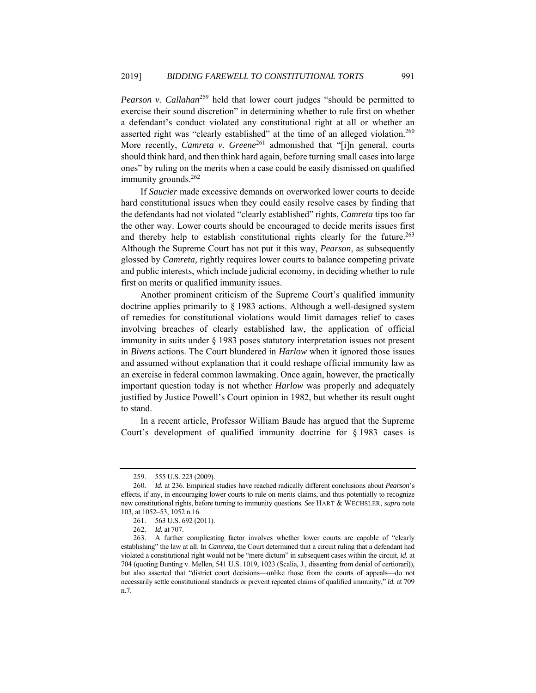*Pearson v. Callahan*<sup>259</sup> held that lower court judges "should be permitted to exercise their sound discretion" in determining whether to rule first on whether a defendant's conduct violated any constitutional right at all or whether an asserted right was "clearly established" at the time of an alleged violation.<sup>260</sup> More recently, *Camreta v. Greene*<sup>261</sup> admonished that "[i]n general, courts should think hard, and then think hard again, before turning small cases into large ones" by ruling on the merits when a case could be easily dismissed on qualified immunity grounds.<sup>262</sup>

If *Saucier* made excessive demands on overworked lower courts to decide hard constitutional issues when they could easily resolve cases by finding that the defendants had not violated "clearly established" rights, *Camreta* tips too far the other way. Lower courts should be encouraged to decide merits issues first and thereby help to establish constitutional rights clearly for the future.<sup>263</sup> Although the Supreme Court has not put it this way, *Pearson*, as subsequently glossed by *Camreta,* rightly requires lower courts to balance competing private and public interests, which include judicial economy, in deciding whether to rule first on merits or qualified immunity issues.

Another prominent criticism of the Supreme Court's qualified immunity doctrine applies primarily to § 1983 actions. Although a well-designed system of remedies for constitutional violations would limit damages relief to cases involving breaches of clearly established law, the application of official immunity in suits under § 1983 poses statutory interpretation issues not present in *Bivens* actions. The Court blundered in *Harlow* when it ignored those issues and assumed without explanation that it could reshape official immunity law as an exercise in federal common lawmaking. Once again, however, the practically important question today is not whether *Harlow* was properly and adequately justified by Justice Powell's Court opinion in 1982, but whether its result ought to stand.

In a recent article, Professor William Baude has argued that the Supreme Court's development of qualified immunity doctrine for § 1983 cases is

 <sup>259. 555</sup> U.S. 223 (2009).

<sup>260</sup>*. Id.* at 236. Empirical studies have reached radically different conclusions about *Pearson*'s effects, if any, in encouraging lower courts to rule on merits claims, and thus potentially to recognize new constitutional rights, before turning to immunity questions. *See* HART & WECHSLER, *supra* note 103, at 1052–53, 1052 n.16.

 <sup>261. 563</sup> U.S. 692 (2011).

<sup>262</sup>*. Id.* at 707.

 <sup>263.</sup> A further complicating factor involves whether lower courts are capable of "clearly establishing" the law at all. In *Camreta*, the Court determined that a circuit ruling that a defendant had violated a constitutional right would not be "mere dictum" in subsequent cases within the circuit, *id.* at 704 (quoting Bunting v. Mellen, 541 U.S. 1019, 1023 (Scalia, J., dissenting from denial of certiorari)), but also asserted that "district court decisions—unlike those from the courts of appeals—do not necessarily settle constitutional standards or prevent repeated claims of qualified immunity," *id.* at 709 n.7.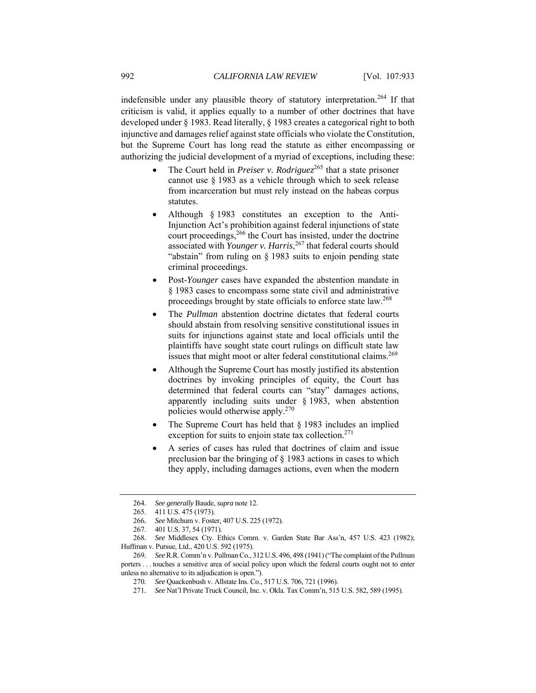indefensible under any plausible theory of statutory interpretation.264 If that criticism is valid, it applies equally to a number of other doctrines that have developed under § 1983. Read literally, § 1983 creates a categorical right to both injunctive and damages relief against state officials who violate the Constitution, but the Supreme Court has long read the statute as either encompassing or authorizing the judicial development of a myriad of exceptions, including these:

- The Court held in *Preiser v. Rodriguez*<sup>265</sup> that a state prisoner cannot use § 1983 as a vehicle through which to seek release from incarceration but must rely instead on the habeas corpus statutes.
- Although § 1983 constitutes an exception to the Anti-Injunction Act's prohibition against federal injunctions of state court proceedings,<sup>266</sup> the Court has insisted, under the doctrine associated with *Younger v. Harris*, 267 that federal courts should "abstain" from ruling on § 1983 suits to enjoin pending state criminal proceedings.
- Post-*Younger* cases have expanded the abstention mandate in § 1983 cases to encompass some state civil and administrative proceedings brought by state officials to enforce state law.<sup>268</sup>
- The *Pullman* abstention doctrine dictates that federal courts should abstain from resolving sensitive constitutional issues in suits for injunctions against state and local officials until the plaintiffs have sought state court rulings on difficult state law issues that might moot or alter federal constitutional claims.<sup>269</sup>
- Although the Supreme Court has mostly justified its abstention doctrines by invoking principles of equity, the Court has determined that federal courts can "stay" damages actions, apparently including suits under § 1983, when abstention policies would otherwise apply.270
- The Supreme Court has held that § 1983 includes an implied exception for suits to enjoin state tax collection.<sup>271</sup>
- A series of cases has ruled that doctrines of claim and issue preclusion bar the bringing of § 1983 actions in cases to which they apply, including damages actions, even when the modern

<sup>264</sup>*. See generally* Baude, *supra* note 12.

 <sup>265. 411</sup> U.S. 475 (1973).

<sup>266</sup>*. See* Mitchum v. Foster, 407 U.S. 225 (1972).

 <sup>267. 401</sup> U.S. 37, 54 (1971).

<sup>268</sup>*. See* Middlesex Cty. Ethics Comm. v. Garden State Bar Ass'n, 457 U.S. 423 (1982); Huffman v. Pursue, Ltd., 420 U.S. 592 (1975).

<sup>269</sup>*. See* R.R. Comm'n v. Pullman Co., 312 U.S. 496, 498 (1941) ("The complaint of the Pullman porters . . . touches a sensitive area of social policy upon which the federal courts ought not to enter unless no alternative to its adjudication is open.").

<sup>270</sup>*. See* Quackenbush v. Allstate Ins. Co., 517 U.S. 706, 721 (1996).

<sup>271</sup>*. See* Nat'l Private Truck Council, Inc. v. Okla. Tax Comm'n, 515 U.S. 582, 589 (1995).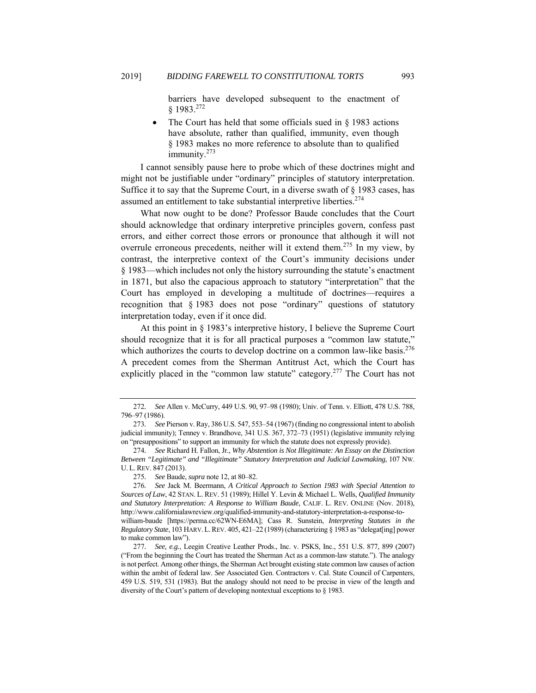barriers have developed subsequent to the enactment of § 1983.272

 The Court has held that some officials sued in § 1983 actions have absolute, rather than qualified, immunity, even though § 1983 makes no more reference to absolute than to qualified immunity.<sup>273</sup>

I cannot sensibly pause here to probe which of these doctrines might and might not be justifiable under "ordinary" principles of statutory interpretation. Suffice it to say that the Supreme Court, in a diverse swath of § 1983 cases, has assumed an entitlement to take substantial interpretive liberties.<sup>274</sup>

What now ought to be done? Professor Baude concludes that the Court should acknowledge that ordinary interpretive principles govern, confess past errors, and either correct those errors or pronounce that although it will not overrule erroneous precedents, neither will it extend them.275 In my view, by contrast, the interpretive context of the Court's immunity decisions under § 1983—which includes not only the history surrounding the statute's enactment in 1871, but also the capacious approach to statutory "interpretation" that the Court has employed in developing a multitude of doctrines—requires a recognition that § 1983 does not pose "ordinary" questions of statutory interpretation today, even if it once did.

At this point in § 1983's interpretive history, I believe the Supreme Court should recognize that it is for all practical purposes a "common law statute," which authorizes the courts to develop doctrine on a common law-like basis.<sup>276</sup> A precedent comes from the Sherman Antitrust Act, which the Court has explicitly placed in the "common law statute" category.<sup>277</sup> The Court has not

<sup>272</sup>*. See* Allen v. McCurry, 449 U.S. 90, 97–98 (1980); Univ. of Tenn. v. Elliott, 478 U.S. 788, 796–97 (1986).

<sup>273</sup>*. See* Pierson v. Ray, 386 U.S. 547, 553–54 (1967) (finding no congressional intent to abolish judicial immunity); Tenney v. Brandhove, 341 U.S. 367, 372–73 (1951) (legislative immunity relying on "presuppositions" to support an immunity for which the statute does not expressly provide).

<sup>274</sup>*. See* Richard H. Fallon, Jr., *Why Abstention is Not Illegitimate: An Essay on the Distinction Between "Legitimate" and "Illegitimate" Statutory Interpretation and Judicial Lawmaking*, 107 NW. U. L.REV. 847 (2013).

<sup>275</sup>*. See* Baude, *supra* note 12, at 80–82.

<sup>276</sup>*. See* Jack M. Beermann, *A Critical Approach to Section 1983 with Special Attention to Sources of Law*, 42 STAN. L. REV. 51 (1989); Hillel Y. Levin & Michael L. Wells, *Qualified Immunity and Statutory Interpretation: A Response to William Baude*, CALIF. L. REV. ONLINE (Nov. 2018), http://www.californialawreview.org/qualified-immunity-and-statutory-interpretation-a-response-towilliam-baude [https://perma.cc/62WN-E6MA]; Cass R. Sunstein, *Interpreting Statutes in the Regulatory State*, 103 HARV.L.REV. 405, 421–22 (1989) (characterizing § 1983 as "delegat[ing] power to make common law").

<sup>277</sup>*. See, e.g.*, Leegin Creative Leather Prods., Inc. v. PSKS, Inc., 551 U.S. 877, 899 (2007) ("From the beginning the Court has treated the Sherman Act as a common-law statute."). The analogy is not perfect. Among other things, the Sherman Act brought existing state common law causes of action within the ambit of federal law. *See* Associated Gen. Contractors v. Cal. State Council of Carpenters, 459 U.S. 519, 531 (1983). But the analogy should not need to be precise in view of the length and diversity of the Court's pattern of developing nontextual exceptions to § 1983.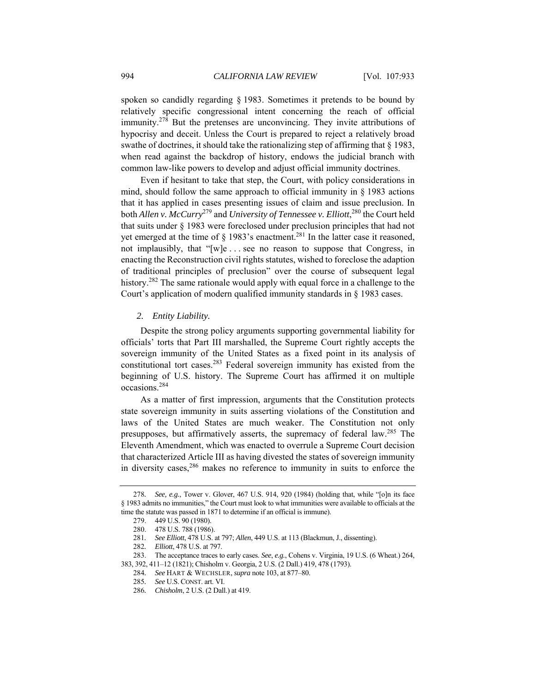spoken so candidly regarding § 1983. Sometimes it pretends to be bound by relatively specific congressional intent concerning the reach of official immunity.278 But the pretenses are unconvincing. They invite attributions of hypocrisy and deceit. Unless the Court is prepared to reject a relatively broad swathe of doctrines, it should take the rationalizing step of affirming that  $\S$  1983, when read against the backdrop of history, endows the judicial branch with common law-like powers to develop and adjust official immunity doctrines.

Even if hesitant to take that step, the Court, with policy considerations in mind, should follow the same approach to official immunity in  $\S$  1983 actions that it has applied in cases presenting issues of claim and issue preclusion. In both *Allen v. McCurry*279 and *University of Tennessee v. Elliott*, 280 the Court held that suits under § 1983 were foreclosed under preclusion principles that had not yet emerged at the time of  $\S$  1983's enactment.<sup>281</sup> In the latter case it reasoned, not implausibly, that "[w]e . . . see no reason to suppose that Congress, in enacting the Reconstruction civil rights statutes, wished to foreclose the adaption of traditional principles of preclusion" over the course of subsequent legal history.<sup>282</sup> The same rationale would apply with equal force in a challenge to the Court's application of modern qualified immunity standards in § 1983 cases.

# *2. Entity Liability.*

Despite the strong policy arguments supporting governmental liability for officials' torts that Part III marshalled, the Supreme Court rightly accepts the sovereign immunity of the United States as a fixed point in its analysis of constitutional tort cases.283 Federal sovereign immunity has existed from the beginning of U.S. history. The Supreme Court has affirmed it on multiple occasions.284

As a matter of first impression, arguments that the Constitution protects state sovereign immunity in suits asserting violations of the Constitution and laws of the United States are much weaker. The Constitution not only presupposes, but affirmatively asserts, the supremacy of federal law.285 The Eleventh Amendment, which was enacted to overrule a Supreme Court decision that characterized Article III as having divested the states of sovereign immunity in diversity cases,  $286$  makes no reference to immunity in suits to enforce the

<sup>278</sup>*. See, e.g.*, Tower v. Glover, 467 U.S. 914, 920 (1984) (holding that, while "[o]n its face § 1983 admits no immunities," the Court must look to what immunities were available to officials at the time the statute was passed in 1871 to determine if an official is immune).

 <sup>279. 449</sup> U.S. 90 (1980).

 <sup>280. 478</sup> U.S. 788 (1986).

<sup>281</sup>*. See Elliott*, 478 U.S. at 797; *Allen*, 449 U.S. at 113 (Blackmun, J., dissenting).

<sup>282</sup>*. Elliott*, 478 U.S. at 797.

 <sup>283.</sup> The acceptance traces to early cases. *See*, *e.g.*, Cohens v. Virginia, 19 U.S. (6 Wheat.) 264, 383, 392, 411–12 (1821); Chisholm v. Georgia, 2 U.S. (2 Dall.) 419, 478 (1793).

<sup>284</sup>*. See* HART & WECHSLER, *supra* note 103, at 877–80.

<sup>285</sup>*. See* U.S. CONST. art. VI.

<sup>286</sup>*. Chisholm*, 2 U.S. (2 Dall.) at 419.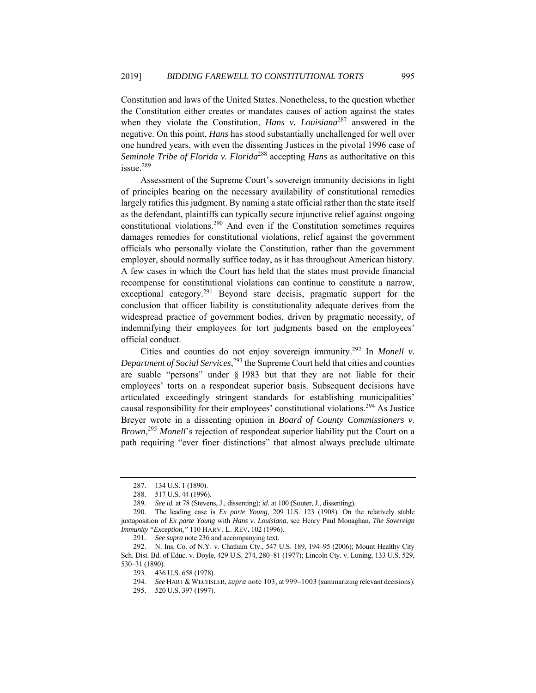Constitution and laws of the United States. Nonetheless, to the question whether the Constitution either creates or mandates causes of action against the states when they violate the Constitution, *Hans v. Louisiana*287 answered in the negative. On this point, *Hans* has stood substantially unchallenged for well over one hundred years, with even the dissenting Justices in the pivotal 1996 case of *Seminole Tribe of Florida v. Florida*288 accepting *Hans* as authoritative on this issue.289

Assessment of the Supreme Court's sovereign immunity decisions in light of principles bearing on the necessary availability of constitutional remedies largely ratifies this judgment. By naming a state official rather than the state itself as the defendant, plaintiffs can typically secure injunctive relief against ongoing constitutional violations.290 And even if the Constitution sometimes requires damages remedies for constitutional violations, relief against the government officials who personally violate the Constitution, rather than the government employer, should normally suffice today, as it has throughout American history. A few cases in which the Court has held that the states must provide financial recompense for constitutional violations can continue to constitute a narrow, exceptional category.<sup>291</sup> Beyond stare decisis, pragmatic support for the conclusion that officer liability is constitutionality adequate derives from the widespread practice of government bodies, driven by pragmatic necessity, of indemnifying their employees for tort judgments based on the employees' official conduct.

Cities and counties do not enjoy sovereign immunity.292 In *Monell v. Department of Social Services*, 293 the Supreme Court held that cities and counties are suable "persons" under § 1983 but that they are not liable for their employees' torts on a respondeat superior basis. Subsequent decisions have articulated exceedingly stringent standards for establishing municipalities' causal responsibility for their employees' constitutional violations.294 As Justice Breyer wrote in a dissenting opinion in *Board of County Commissioners v. Brown*, <sup>295</sup> *Monell*'s rejection of respondeat superior liability put the Court on a path requiring "ever finer distinctions" that almost always preclude ultimate

 <sup>287. 134</sup> U.S. 1 (1890).

 <sup>288. 517</sup> U.S. 44 (1996).

<sup>289</sup>*. See id.* at 78 (Stevens, J., dissenting); *id.* at 100 (Souter, J., dissenting).

 <sup>290.</sup> The leading case is *Ex parte Young*, 209 U.S. 123 (1908). On the relatively stable juxtaposition of *Ex parte Young* with *Hans v. Louisiana*, see Henry Paul Monaghan, *The Sovereign Immunity "Exception,"* 110 HARV. L. REV**.** 102 (1996).

<sup>291</sup>*. See supra* note 236 and accompanying text.

 <sup>292.</sup> N. Ins. Co. of N.Y. v. Chatham Cty., 547 U.S. 189, 194–95 (2006); Mount Healthy City Sch. Dist. Bd. of Educ. v. Doyle, 429 U.S. 274, 280–81 (1977); Lincoln Cty. v. Luning, 133 U.S. 529, 530–31 (1890).

 <sup>293. 436</sup> U.S. 658 (1978).

<sup>294</sup>*. See* HART &WECHSLER, *supra* note 103, at 999–1003 (summarizing relevant decisions).

 <sup>295. 520</sup> U.S. 397 (1997).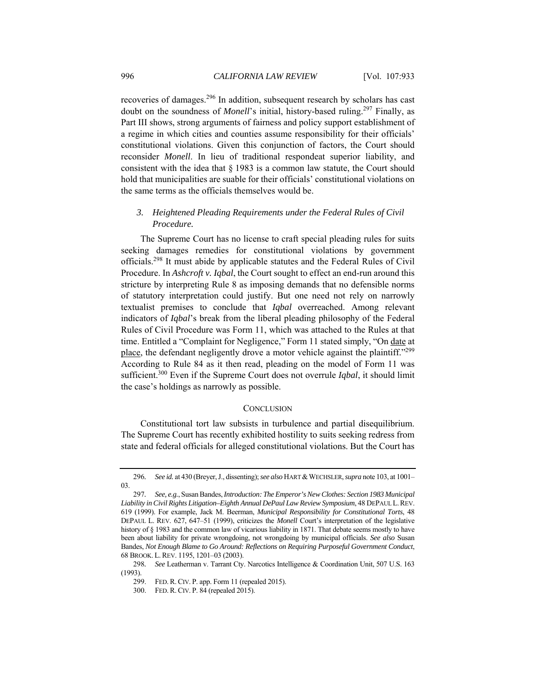recoveries of damages.296 In addition, subsequent research by scholars has cast doubt on the soundness of *Monell*'s initial, history-based ruling.<sup>297</sup> Finally, as Part III shows, strong arguments of fairness and policy support establishment of a regime in which cities and counties assume responsibility for their officials' constitutional violations. Given this conjunction of factors, the Court should reconsider *Monell*. In lieu of traditional respondeat superior liability, and consistent with the idea that § 1983 is a common law statute, the Court should hold that municipalities are suable for their officials' constitutional violations on the same terms as the officials themselves would be.

# *3. Heightened Pleading Requirements under the Federal Rules of Civil Procedure.*

The Supreme Court has no license to craft special pleading rules for suits seeking damages remedies for constitutional violations by government officials.298 It must abide by applicable statutes and the Federal Rules of Civil Procedure. In *Ashcroft v. Iqbal*, the Court sought to effect an end-run around this stricture by interpreting Rule 8 as imposing demands that no defensible norms of statutory interpretation could justify. But one need not rely on narrowly textualist premises to conclude that *Iqbal* overreached. Among relevant indicators of *Iqbal*'s break from the liberal pleading philosophy of the Federal Rules of Civil Procedure was Form 11, which was attached to the Rules at that time. Entitled a "Complaint for Negligence," Form 11 stated simply, "On date at place, the defendant negligently drove a motor vehicle against the plaintiff."<sup>299</sup> According to Rule 84 as it then read, pleading on the model of Form 11 was sufficient.300 Even if the Supreme Court does not overrule *Iqbal*, it should limit the case's holdings as narrowly as possible.

#### **CONCLUSION**

Constitutional tort law subsists in turbulence and partial disequilibrium. The Supreme Court has recently exhibited hostility to suits seeking redress from state and federal officials for alleged constitutional violations. But the Court has

<sup>296.</sup> See id. at 430 (Breyer, J., dissenting); see also HART & WECHSLER, *supra* note 103, at 1001– 03.

<sup>297</sup>*. See, e.g.*, Susan Bandes, *Introduction: The Emperor's New Clothes: Section 1983 Municipal Liability in Civil Rights Litigation–Eighth Annual DePaul Law Review Symposium*, 48 DEPAUL L.REV. 619 (1999). For example, Jack M. Beerman, *Municipal Responsibility for Constitutional Torts*, 48 DEPAUL L. REV. 627, 647–51 (1999), criticizes the *Monell* Court's interpretation of the legislative history of § 1983 and the common law of vicarious liability in 1871. That debate seems mostly to have been about liability for private wrongdoing, not wrongdoing by municipal officials. *See also* Susan Bandes, *Not Enough Blame to Go Around: Reflections on Requiring Purposeful Government Conduct*, 68 BROOK. L.REV. 1195, 1201–03 (2003).

<sup>298</sup>*. See* Leatherman v. Tarrant Cty. Narcotics Intelligence & Coordination Unit, 507 U.S. 163 (1993).

 <sup>299.</sup> FED.R. CIV. P. app. Form 11 (repealed 2015).

 <sup>300.</sup> FED.R. CIV. P. 84 (repealed 2015).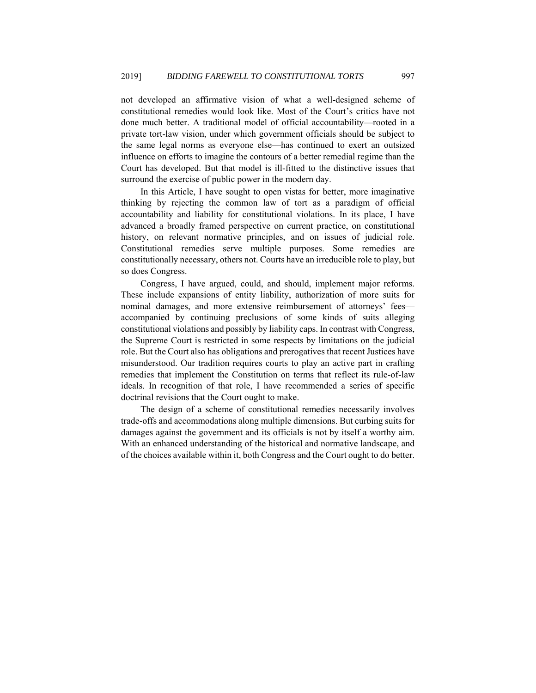not developed an affirmative vision of what a well-designed scheme of constitutional remedies would look like. Most of the Court's critics have not done much better. A traditional model of official accountability—rooted in a private tort-law vision, under which government officials should be subject to the same legal norms as everyone else—has continued to exert an outsized influence on efforts to imagine the contours of a better remedial regime than the Court has developed. But that model is ill-fitted to the distinctive issues that surround the exercise of public power in the modern day.

In this Article, I have sought to open vistas for better, more imaginative thinking by rejecting the common law of tort as a paradigm of official accountability and liability for constitutional violations. In its place, I have advanced a broadly framed perspective on current practice, on constitutional history, on relevant normative principles, and on issues of judicial role. Constitutional remedies serve multiple purposes. Some remedies are constitutionally necessary, others not. Courts have an irreducible role to play, but so does Congress.

Congress, I have argued, could, and should, implement major reforms. These include expansions of entity liability, authorization of more suits for nominal damages, and more extensive reimbursement of attorneys' fees accompanied by continuing preclusions of some kinds of suits alleging constitutional violations and possibly by liability caps. In contrast with Congress, the Supreme Court is restricted in some respects by limitations on the judicial role. But the Court also has obligations and prerogatives that recent Justices have misunderstood. Our tradition requires courts to play an active part in crafting remedies that implement the Constitution on terms that reflect its rule-of-law ideals. In recognition of that role, I have recommended a series of specific doctrinal revisions that the Court ought to make.

The design of a scheme of constitutional remedies necessarily involves trade-offs and accommodations along multiple dimensions. But curbing suits for damages against the government and its officials is not by itself a worthy aim. With an enhanced understanding of the historical and normative landscape, and of the choices available within it, both Congress and the Court ought to do better.